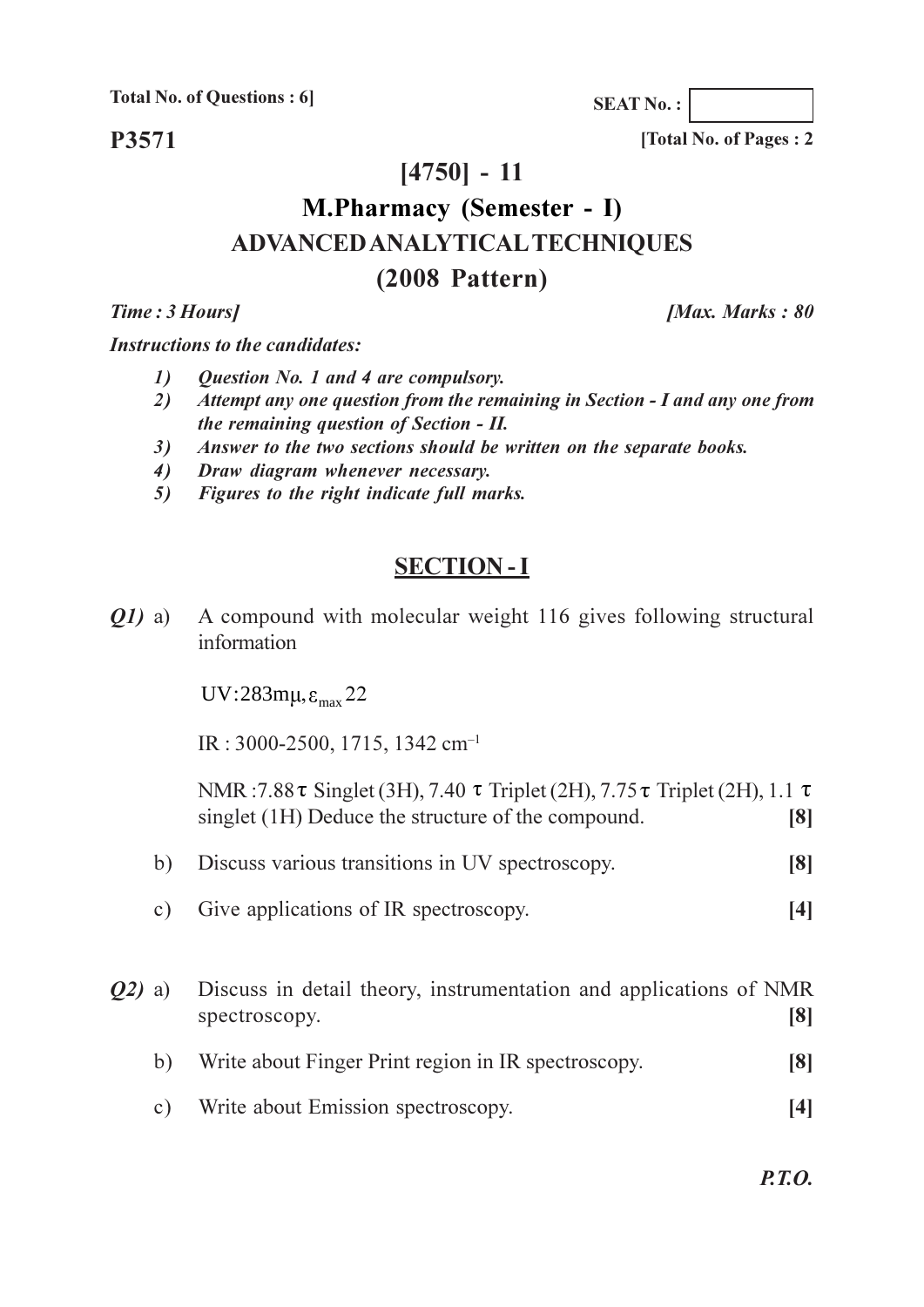**Total No. of Questions: 6** 

P3571

 $[4750] - 11$ 

# **M.Pharmacy (Semester - I) ADVANCED ANALYTICAL TECHNIQUES**  $(2008$  Pattern)

Time: 3 Hours]

**IMax. Marks: 80** 

[Total No. of Pages: 2]

**SEAT No.:** 

**Instructions to the candidates:** 

- $\mathbf{I}$ Question No. 1 and 4 are compulsory.
- Attempt any one question from the remaining in Section I and any one from 2) the remaining question of Section - II.
- Answer to the two sections should be written on the separate books.  $3)$
- Draw diagram whenever necessary. 4)
- Figures to the right indicate full marks. 5)

## **SECTION-I**

A compound with molecular weight 116 gives following structural *O1*) a) information

UV:283 $m\mu$ , $\varepsilon_{\text{max}}$ 22

 $IR: 3000-2500, 1715, 1342 \text{ cm}^{-1}$ 

NMR: 7.88  $\tau$  Singlet (3H), 7.40  $\tau$  Triplet (2H), 7.75  $\tau$  Triplet (2H), 1.1  $\tau$ singlet (1H) Deduce the structure of the compound.  $\lceil 8 \rceil$ 

- Discuss various transitions in UV spectroscopy.  $b)$  $\lceil 8 \rceil$
- $c)$ Give applications of IR spectroscopy.  $[4]$

 $O(2)$  a) Discuss in detail theory, instrumentation and applications of NMR spectroscopy.  $\lceil 8 \rceil$ Write about Finger Print region in IR spectroscopy.  $b)$  $[8]$ 

Write about Emission spectroscopy.  $c)$  $[4]$ 

 $P.T.O.$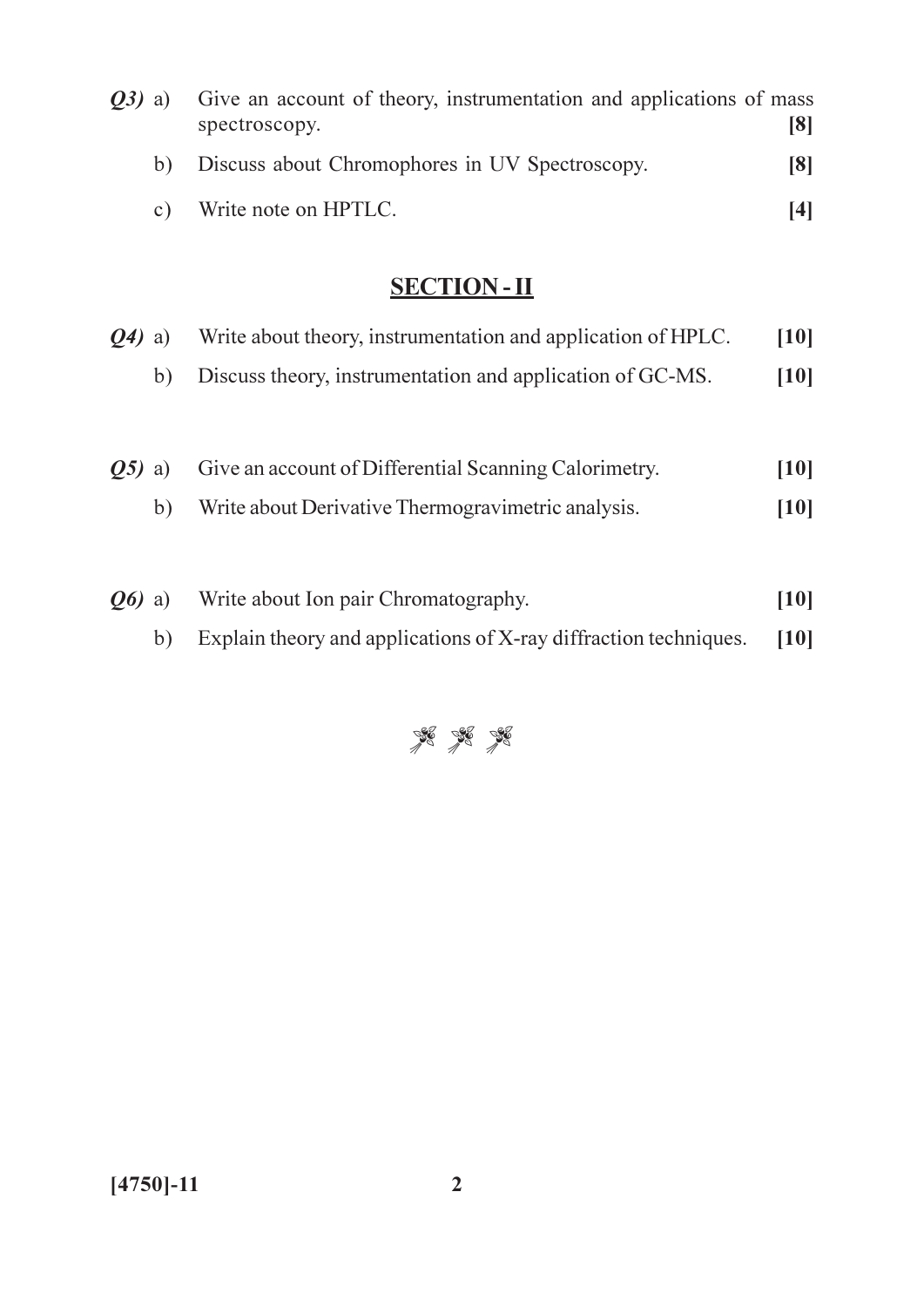| <b><i>O3</i></b> ) a) | Give an account of theory, instrumentation and applications of mass |     |
|-----------------------|---------------------------------------------------------------------|-----|
|                       | spectroscopy.                                                       | [8] |
| b)                    | Discuss about Chromophores in UV Spectroscopy.                      | [8] |
|                       | c) Write note on HPTLC.                                             | [4] |

| $Q_4$ ) a)              |    | Write about theory, instrumentation and application of HPLC. | [10] |
|-------------------------|----|--------------------------------------------------------------|------|
|                         | b) | Discuss theory, instrumentation and application of GC-MS.    | [10] |
| Q5)                     | a) | Give an account of Differential Scanning Calorimetry.        | [10] |
|                         | b) | Write about Derivative Thermogravimetric analysis.           | [10] |
| $\boldsymbol{0}$ (b) a) |    | Write about Ion pair Chromatography.                         | [10] |
|                         |    |                                                              |      |

b) Explain theory and applications of X-ray diffraction techniques. [10]

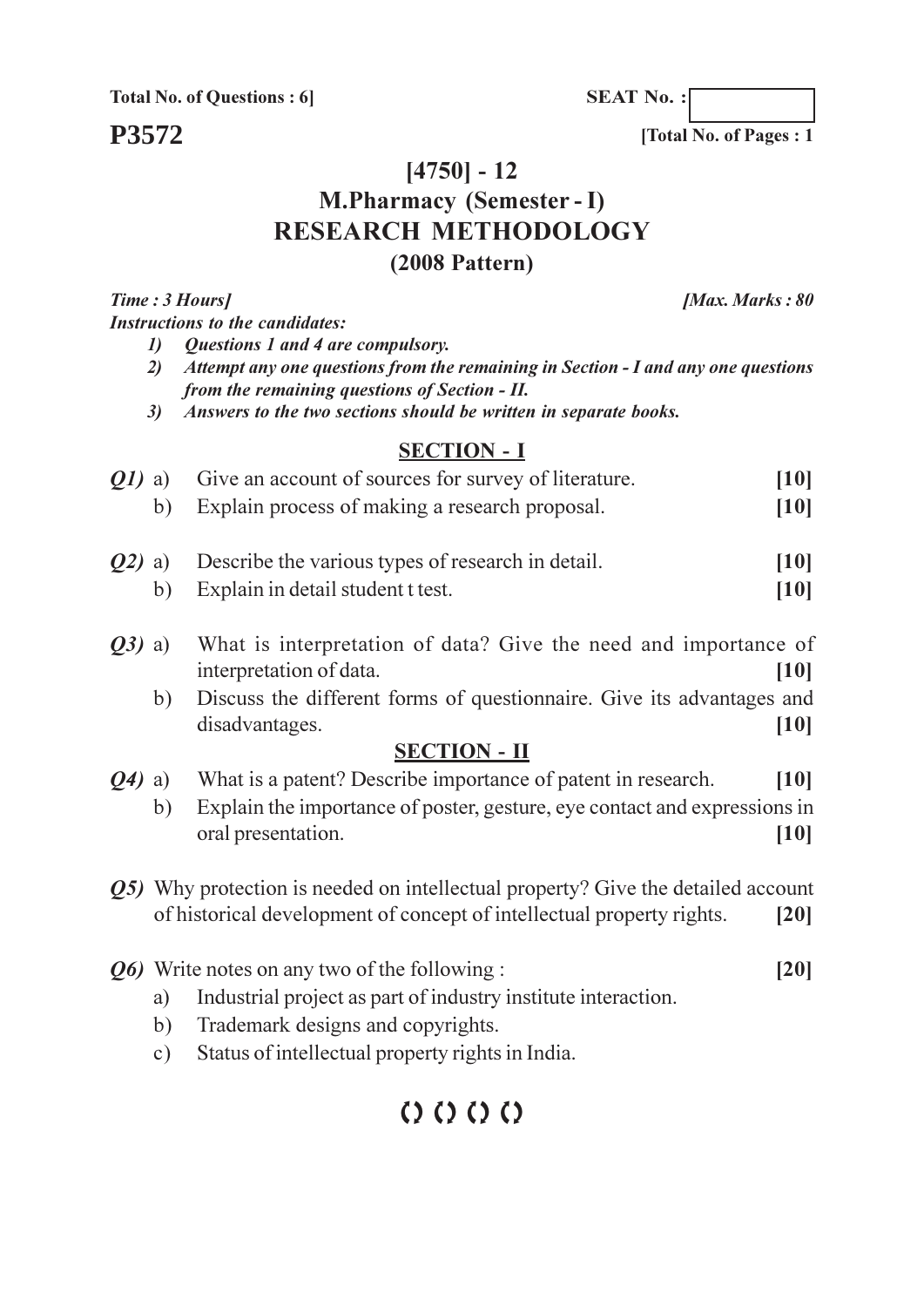**Total No. of Questions: 6** 

P3572

**SEAT No.:** 

[Total No. of Pages: 1]

## $[4750] - 12$

# **M.Pharmacy (Semester - I) RESEARCH METHODOLOGY**

### $(2008$  Pattern)

Time: 3 Hours] **Instructions to the candidates:** 

- Questions 1 and 4 are compulsory.  $\mathbf{D}$
- 2) Attempt any one questions from the remaining in Section I and any one questions from the remaining questions of Section - II.
- Answers to the two sections should be written in separate books.  $3)$

#### **SECTION - I**

| 01)       | a) | Give an account of sources for survey of literature.                                    | [10]              |
|-----------|----|-----------------------------------------------------------------------------------------|-------------------|
|           | b) | Explain process of making a research proposal.                                          | [10]              |
| Q2)       | a) | Describe the various types of research in detail.                                       | [10]              |
|           | b) | Explain in detail student t test.                                                       | [10]              |
| $Q3)$ a)  |    | What is interpretation of data? Give the need and importance of                         |                   |
|           |    | interpretation of data.                                                                 | [10]              |
|           | b) | Discuss the different forms of questionnaire. Give its advantages and                   |                   |
|           |    | disadvantages.                                                                          | $\left[10\right]$ |
|           |    | <b>SECTION - II</b>                                                                     |                   |
| $(Q4)$ a) |    | What is a patent? Describe importance of patent in research.                            | [10]              |
|           | b) | Explain the importance of poster, gesture, eye contact and expressions in               |                   |
|           |    | oral presentation.                                                                      | [10]              |
|           |    | <b>Q5)</b> Why protection is needed on intellectual property? Give the detailed account |                   |
|           |    | of historical development of concept of intellectual property rights.                   | [20]              |

- $Q_6$ ) Write notes on any two of the following :  $[20]$ 
	- Industrial project as part of industry institute interaction. a)
	- Trademark designs and copyrights.  $b)$
	- Status of intellectual property rights in India.  $c)$

# $(0)$   $(0)$   $(0)$

[Max. Marks: 80]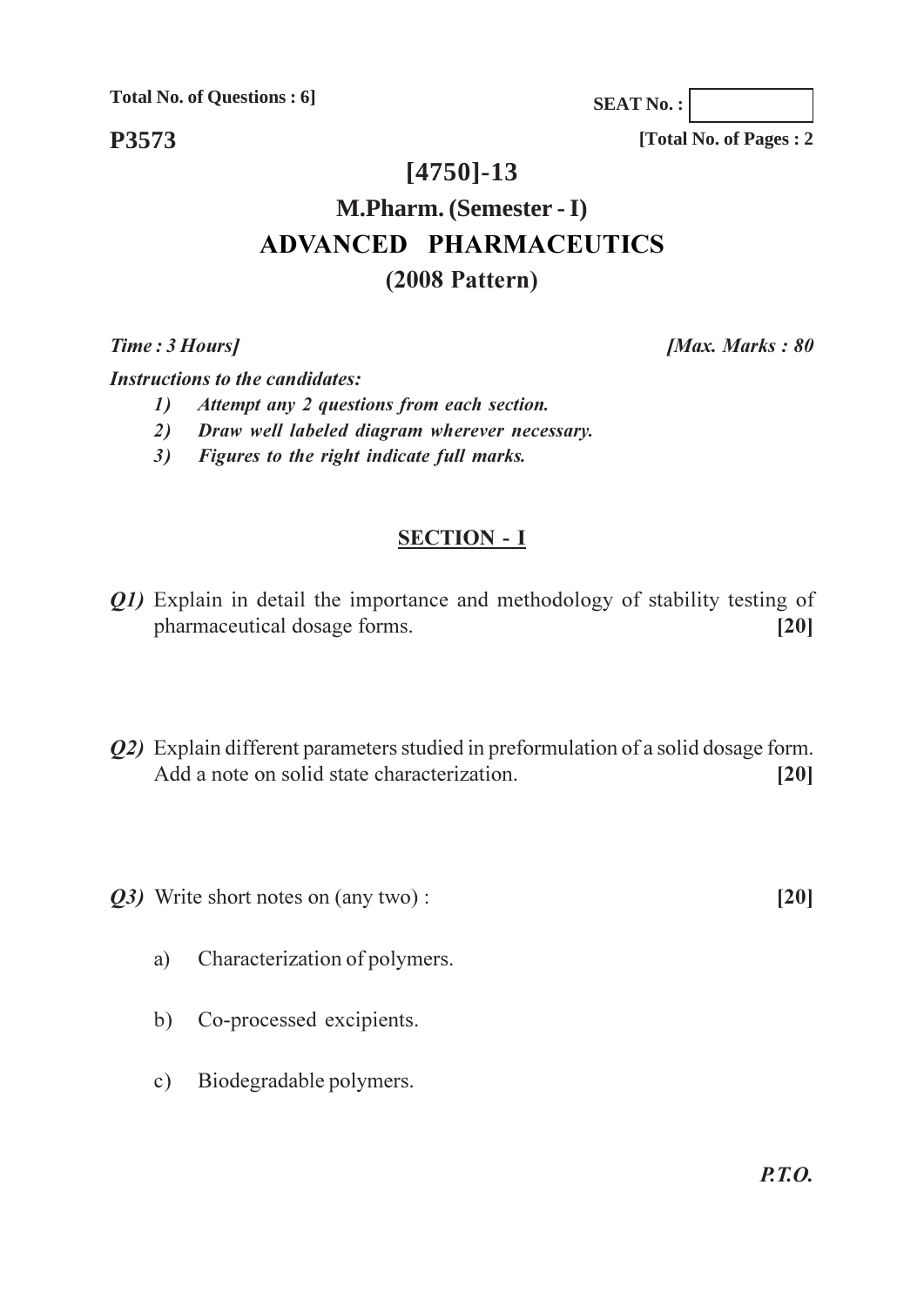**Total No. of Questions : 6]**

**P3573**

**[Total No. of Pages : 2**

**SEAT No. :**

# **[4750]-13**

# **M.Pharm. (Semester - I) ADVANCED PHARMACEUTICS (2008 Pattern)**

**Time**: 3 Ho

*[Max. Marks: 80]* 

**Instructions to the candidates:** 

- *attempt any 2 questions from each section.*
- 2) Draw well labeled diagram wherever necessary.
- 3) Figures to the right indicate full marks.

## **SECTION - I**

- *Q1*) Explain in detail the importance and methodology of stability testing of pharmaceutical dosage forms. [20]
- *Q2*) Explain different parameters studied in preformulation of a solid dosage form. Add a note on solid state characterization. [20]
- $Q3$ ) Write short notes on (any two):  $[20]$

- a) Characterization of polymers.
- b) Co-processed excipients.
- c) Biodegradable polymers.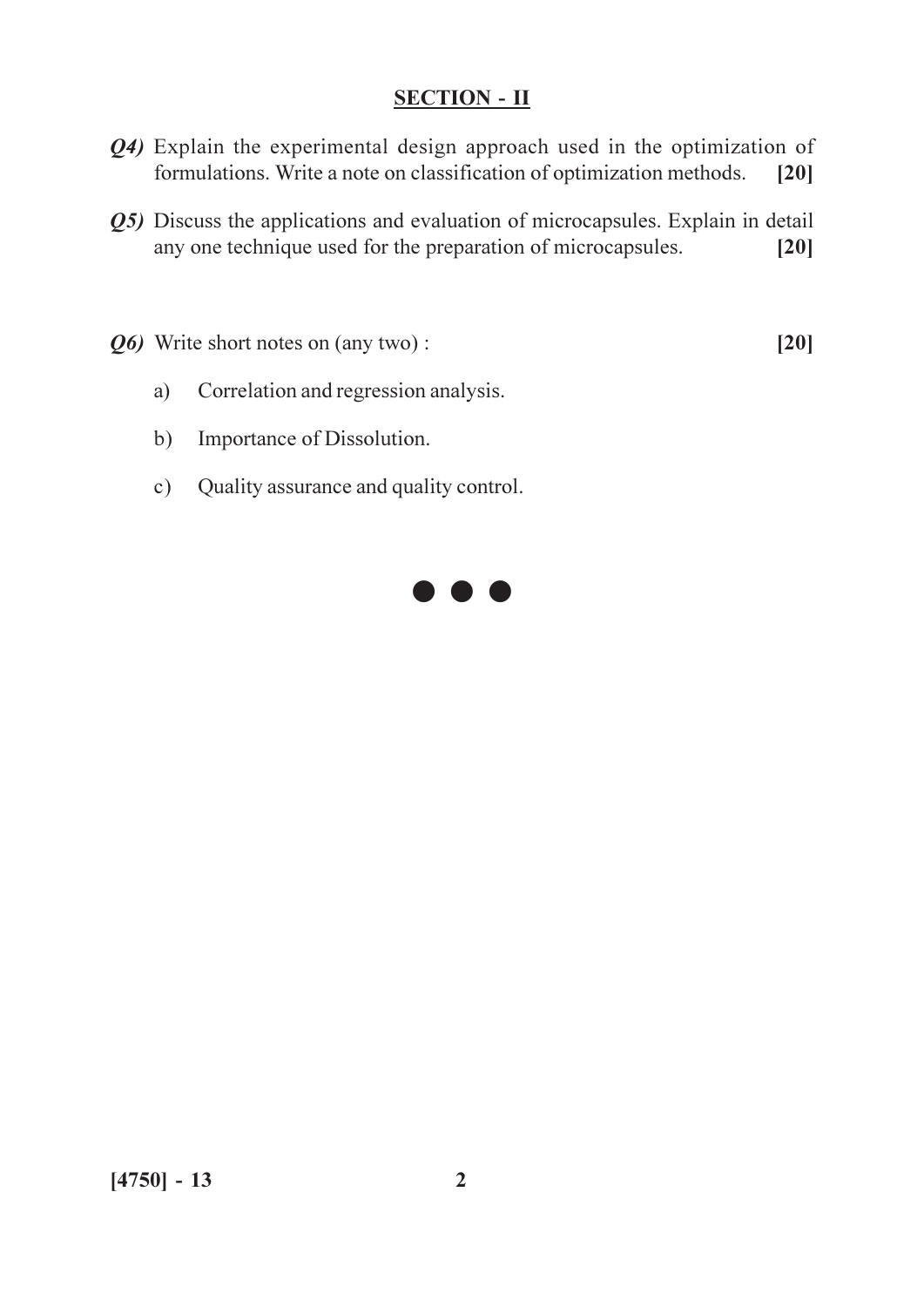- $Q_4$ ) Explain the experimental design approach used in the optimization of formulations. Write a note on classification of optimization methods.  $[20]$
- Q5) Discuss the applications and evaluation of microcapsules. Explain in detail any one technique used for the preparation of microcapsules.  $[20]$
- Q6) Write short notes on (any two):

 $[20]$ 

- Correlation and regression analysis. a)
- $b)$ Importance of Dissolution.
- Quality assurance and quality control.  $c)$

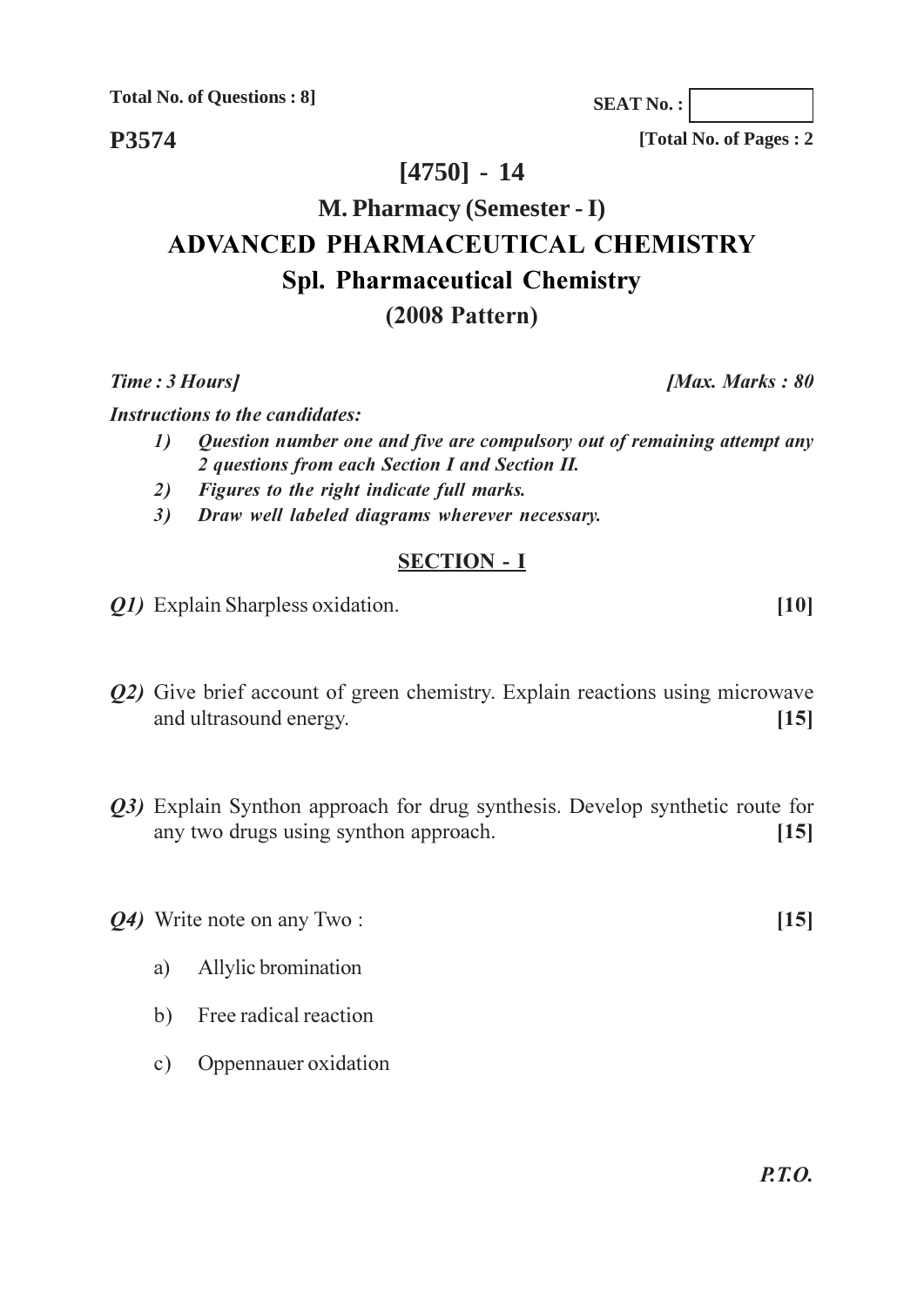**Total No. of Questions: 8]** 

P3574

 $[4750] - 14$ 

# **M. Pharmacy (Semester - I) ADVANCED PHARMACEUTICAL CHEMISTRY Spl. Pharmaceutical Chemistry**

### $(2008$  Pattern)

Time: 3 Hours]

**Instructions to the candidates:** 

- Question number one and five are compulsory out of remaining attempt any  $\mathcal{L}$ 2 questions from each Section I and Section II.
- 2) Figures to the right indicate full marks.
- Draw well labeled diagrams wherever necessary.  $3)$

#### **SECTION - I**

- *Q1*) Explain Sharpless oxidation.
- Q2) Give brief account of green chemistry. Explain reactions using microwave and ultrasound energy.  $[15]$
- Q3) Explain Synthon approach for drug synthesis. Develop synthetic route for any two drugs using synthon approach.  $[15]$

*Q4*) Write note on any Two:

- Allylic bromination a)
- Free radical reaction  $b)$
- c) Oppennauer oxidation

[Total No. of Pages: 2]

**SEAT No.:** 

 $[10]$ 

 $[15]$ 

[Max. Marks: 80]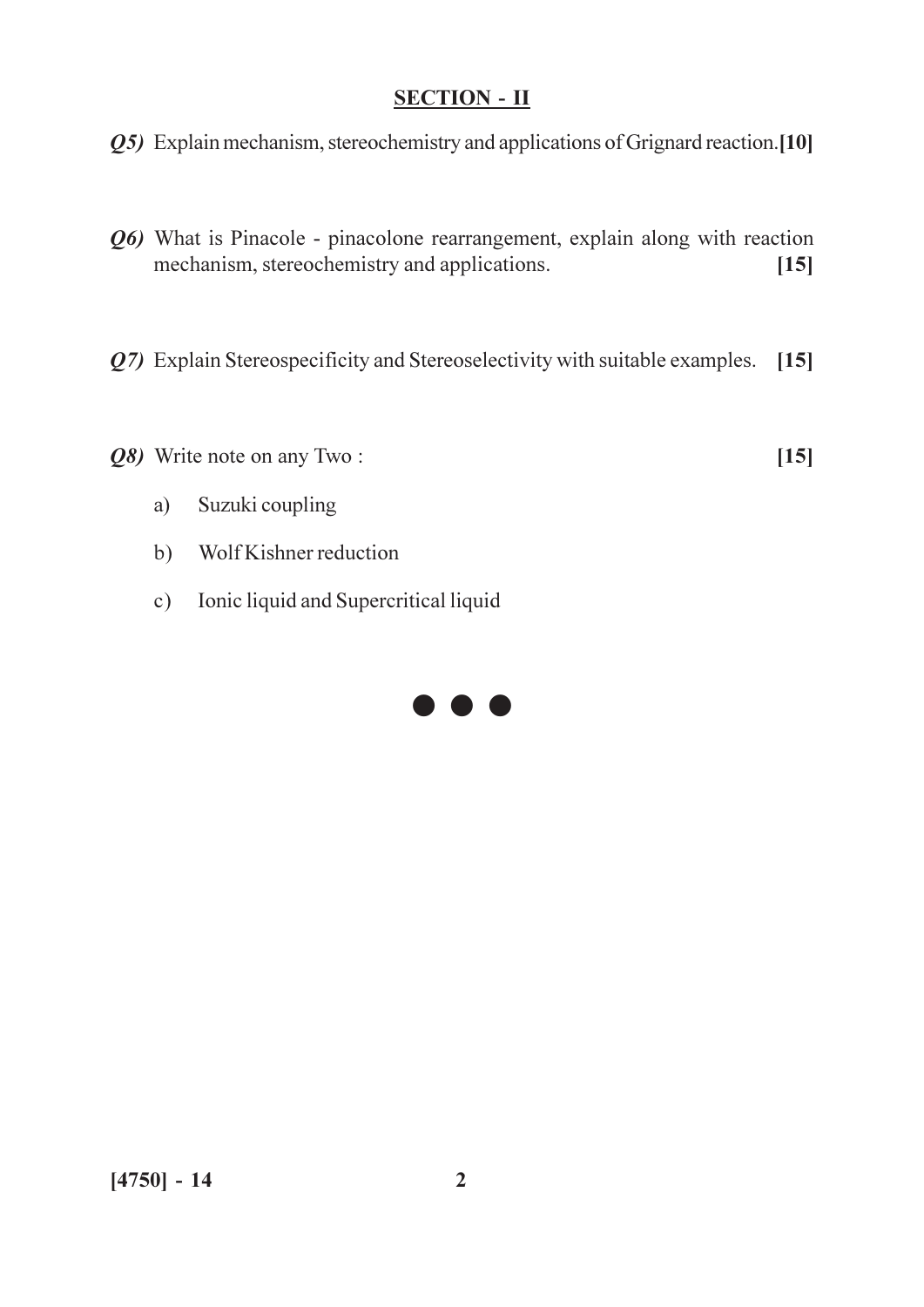Q5) Explain mechanism, stereochemistry and applications of Grignard reaction.[10]

- $Q_6$ ) What is Pinacole pinacolone rearrangement, explain along with reaction mechanism, stereochemistry and applications.  $[15]$
- $Q$ 7) Explain Stereospecificity and Stereoselectivity with suitable examples. [15]
- Q8) Write note on any Two:

 $[15]$ 

- Suzuki coupling a)
- Wolf Kishner reduction  $b)$
- c) Ionic liquid and Supercritical liquid

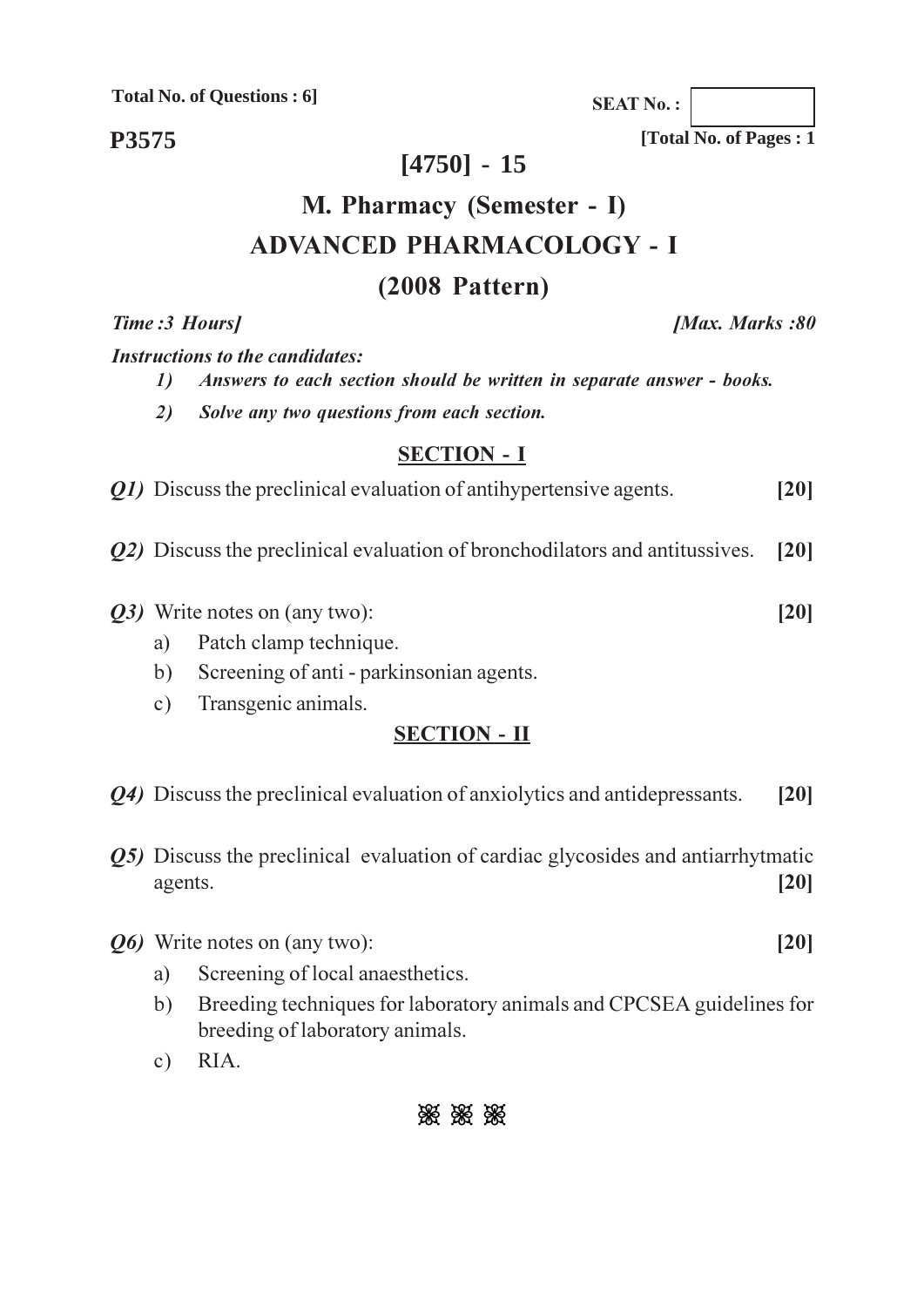**Total No. of Questions: 6]** 

P3575

## $[4750] - 15$

# M. Pharmacy (Semester - I) **ADVANCED PHARMACOLOGY - I** (2008 Pattern)

#### Time: 3 Hours]

**Instructions to the candidates:** 

- $\boldsymbol{\mathit{1}}$ Answers to each section should be written in separate answer - books.
- $2)$ Solve any two questions from each section.

#### **SECTION - I**

*Q1*) Discuss the preclinical evaluation of antihypertensive agents.  $[20]$ 

- *Q2*) Discuss the preclinical evaluation of bronchodilators and antitussives.  $[20]$
- Q3) Write notes on (any two):
	- Patch clamp technique. a)
	- Screening of anti parkinsonian agents.  $b)$
	- Transgenic animals.  $c)$

### **SECTION - II**

- *Q4*) Discuss the preclinical evaluation of anxiolytics and antidepressants.  $[20]$
- **Q5)** Discuss the preclinical evaluation of cardiac glycosides and antiarrhytmatic  $[20]$ agents.
- *Q6* Write notes on (any two):
	- Screening of local anaesthetics. a)
	- Breeding techniques for laboratory animals and CPCSEA guidelines for  $b)$ breeding of laboratory animals.
	- $c)$ RIA.

# 8% 8% 8%

**SEAT No.:** 

[Total No. of Pages: 1]

**[Max. Marks:80** 

 $[20]$ 

 $[20]$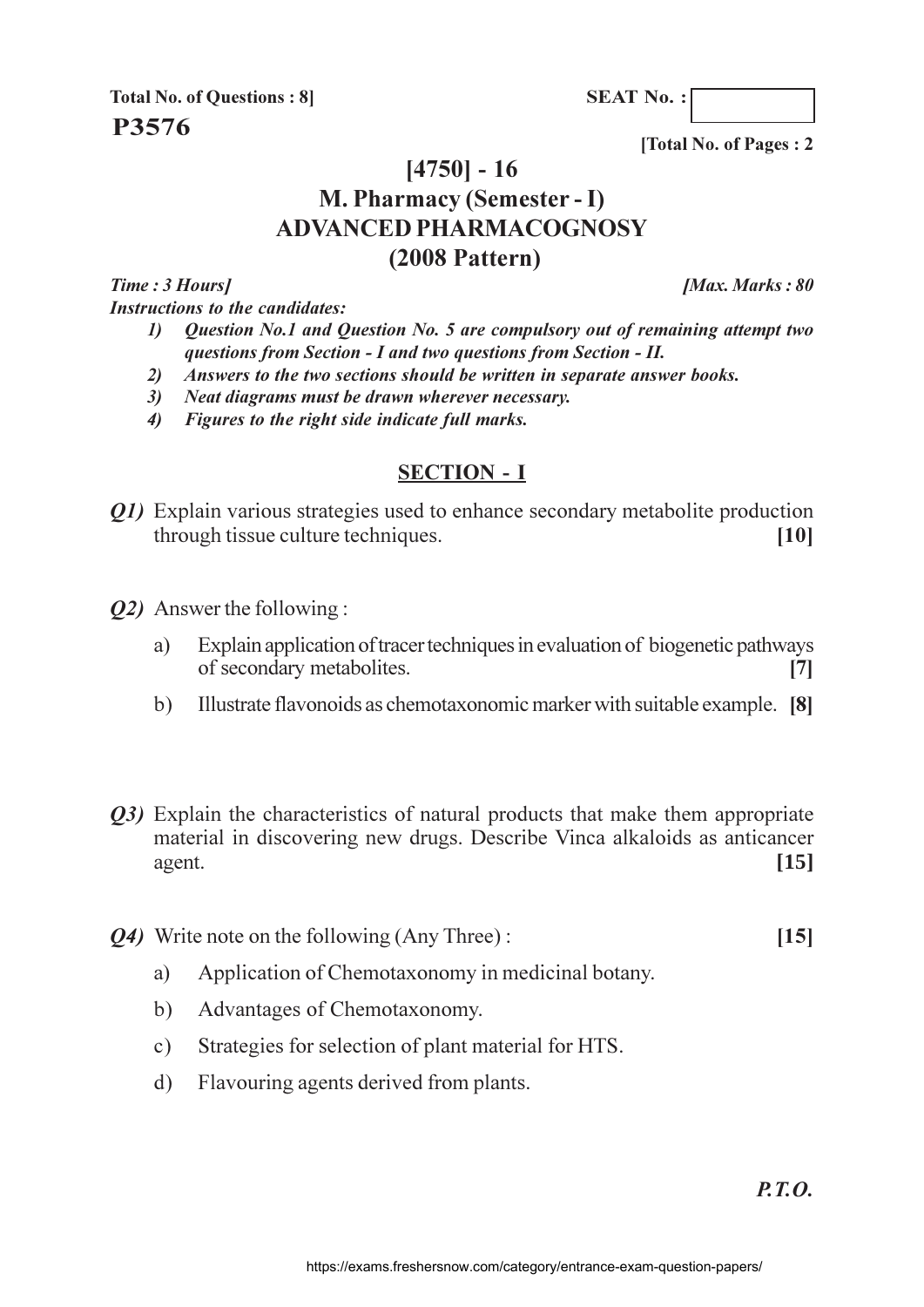**SEAT No.:** 

**Total No. of Questions: 8** P3576

[Total No. of Pages: 2]

## $[4750] - 16$ M. Pharmacy (Semester - I) **ADVANCED PHARMACOGNOSY**  $(2008$  Pattern)

Time: 3 Hours1 **Instructions to the candidates:**  **IMax. Marks: 80** 

- Question No.1 and Question No. 5 are compulsory out of remaining attempt two  $\boldsymbol{\mathit{1}}$ questions from Section - I and two questions from Section - II.
- $2)$ Answers to the two sections should be written in separate answer books.
- 3) Neat diagrams must be drawn wherever necessary.
- 4) Figures to the right side indicate full marks.

### **SECTION - I**

- *O1*) Explain various strategies used to enhance secondary metabolite production through tissue culture techniques.  $[10]$
- *O2* Answer the following:
	- Explain application of tracer techniques in evaluation of biogenetic pathways a) of secondary metabolites.  $\overline{17}$
	- $b)$ Illustrate flavonoids as chemotaxonomic marker with suitable example. [8]
- *O3*) Explain the characteristics of natural products that make them appropriate material in discovering new drugs. Describe Vinca alkaloids as anticancer  $[15]$ agent.
- **Q4)** Write note on the following (Any Three):
	- Application of Chemotaxonomy in medicinal botany. a)
	- $b)$ Advantages of Chemotaxonomy.
	- Strategies for selection of plant material for HTS.  $c)$
	- Flavouring agents derived from plants.  $\mathbf{d}$

 $[15]$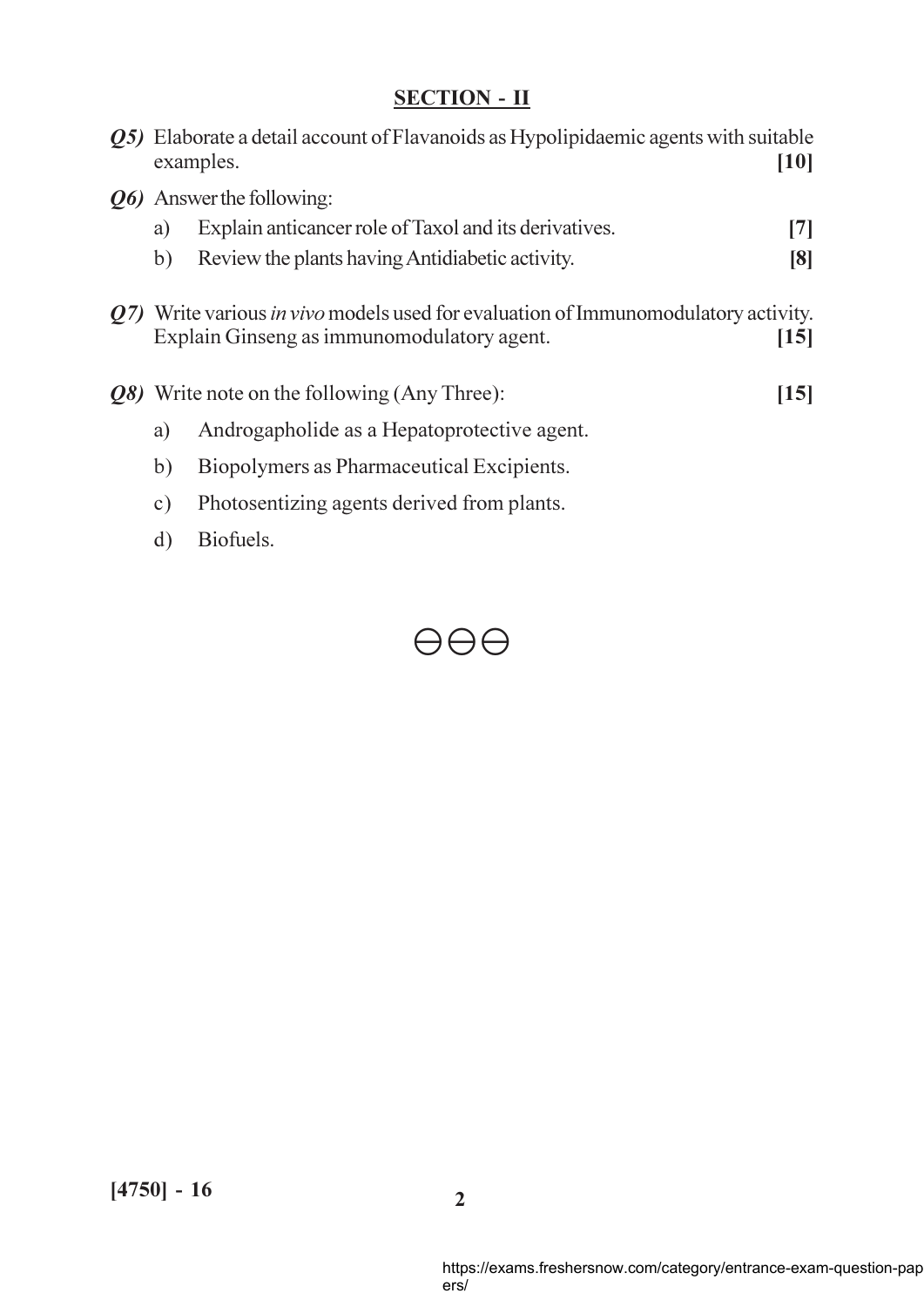|     |                                                                                                                                             | Q5) Elaborate a detail account of Flavanoids as Hypolipidaemic agents with suitable<br>examples.<br>[10] |     |
|-----|---------------------------------------------------------------------------------------------------------------------------------------------|----------------------------------------------------------------------------------------------------------|-----|
|     |                                                                                                                                             | <i><b>Q6</b></i> Answer the following:                                                                   |     |
|     | a)                                                                                                                                          | Explain anticancer role of Taxol and its derivatives.                                                    | [7] |
|     | b)                                                                                                                                          | Review the plants having Antidiabetic activity.                                                          | [8] |
| 07) | Write various <i>in vivo</i> models used for evaluation of Immunomodulatory activity.<br>Explain Ginseng as immunomodulatory agent.<br>[15] |                                                                                                          |     |
|     |                                                                                                                                             | <b><i>Q8</i></b> ) Write note on the following (Any Three):<br>[15]                                      |     |
|     | a)                                                                                                                                          | Androgapholide as a Hepatoprotective agent.                                                              |     |
|     | b)                                                                                                                                          | Biopolymers as Pharmaceutical Excipients.                                                                |     |
|     | $\circ$ )                                                                                                                                   | Photosentizing agents derived from plants.                                                               |     |
|     | d)                                                                                                                                          | Biofuels.                                                                                                |     |

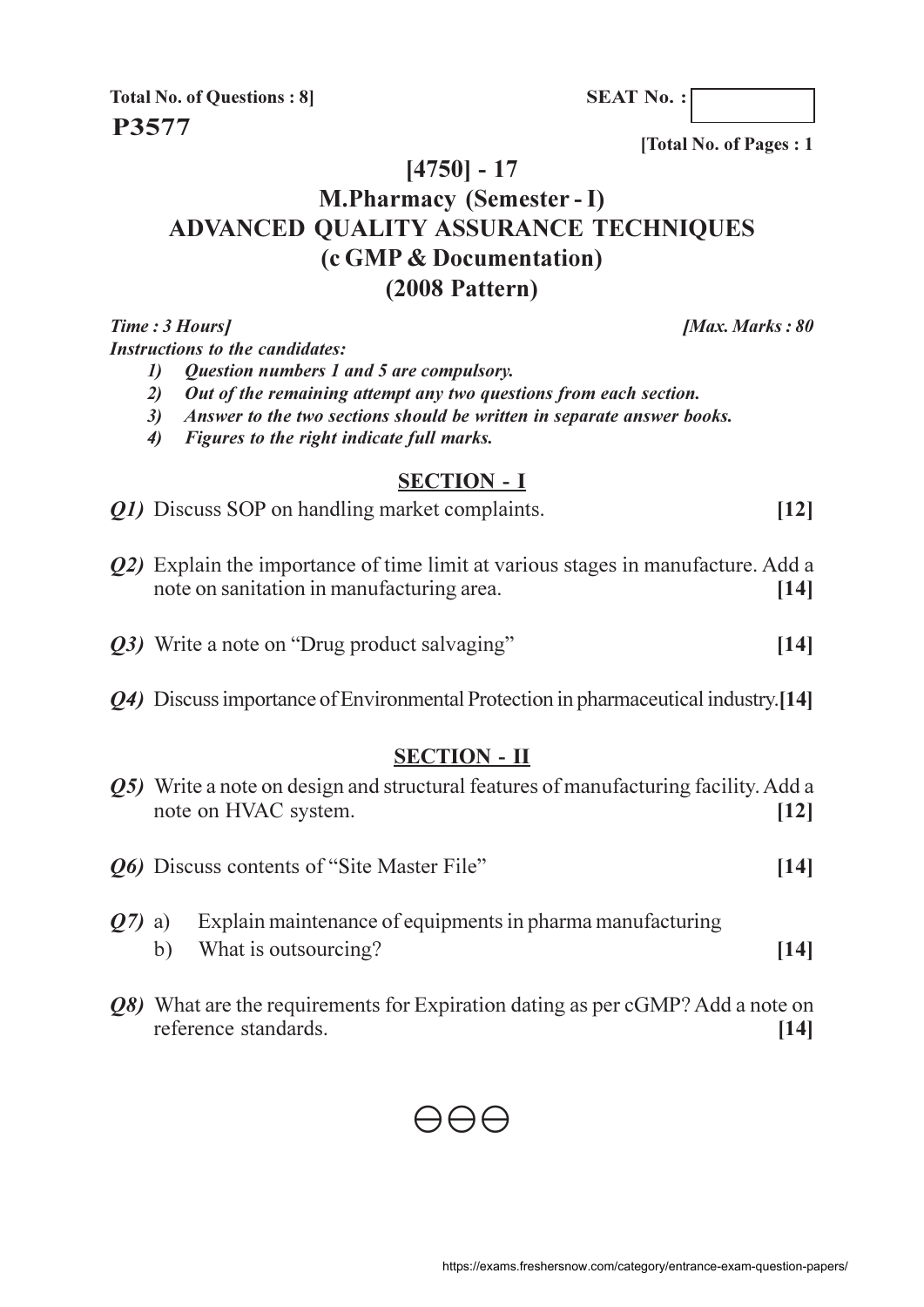**SEAT No.:** 

**Total No. of Questions: 8 P3577** 

[Total No. of Pages: 1

[Max. Marks: 80

### $[4750] - 17$

# **M.Pharmacy (Semester - I) ADVANCED OUALITY ASSURANCE TECHNIQUES** (c GMP & Documentation)  $(2008$  Pattern)

Time: 3 Hours]

**Instructions to the candidates:** 

- **Question numbers 1 and 5 are compulsory.**  $\mathcal{L}$
- 2) Out of the remaining attempt any two questions from each section.
- 3) Answer to the two sections should be written in separate answer books.
- 4) Figures to the right indicate full marks.

#### **SECTION - I**

|  | Q1) Discuss SOP on handling market complaints. |  |
|--|------------------------------------------------|--|
|--|------------------------------------------------|--|

- Q2) Explain the importance of time limit at various stages in manufacture. Add a note on sanitation in manufacturing area.  $[14]$
- Q3) Write a note on "Drug product salvaging"  $[14]$
- 04) Discuss importance of Environmental Protection in pharmaceutical industry.[14]

#### **SECTION - II**

|                |    | <b><i>Q5</i></b> ) Write a note on design and structural features of manufacturing facility. Add a<br>note on HVAC system. | [12]               |
|----------------|----|----------------------------------------------------------------------------------------------------------------------------|--------------------|
|                |    | <i><b>Q6</b></i> Discuss contents of "Site Master File"                                                                    | $\vert$ 14 $\vert$ |
| <b>O</b> 7) a) | b) | Explain maintenance of equipments in pharma manufacturing<br>What is outsourcing?                                          | $\vert$ 14 $\vert$ |

*O8*) What are the requirements for Expiration dating as per cGMP? Add a note on reference standards.  $[14]$ 

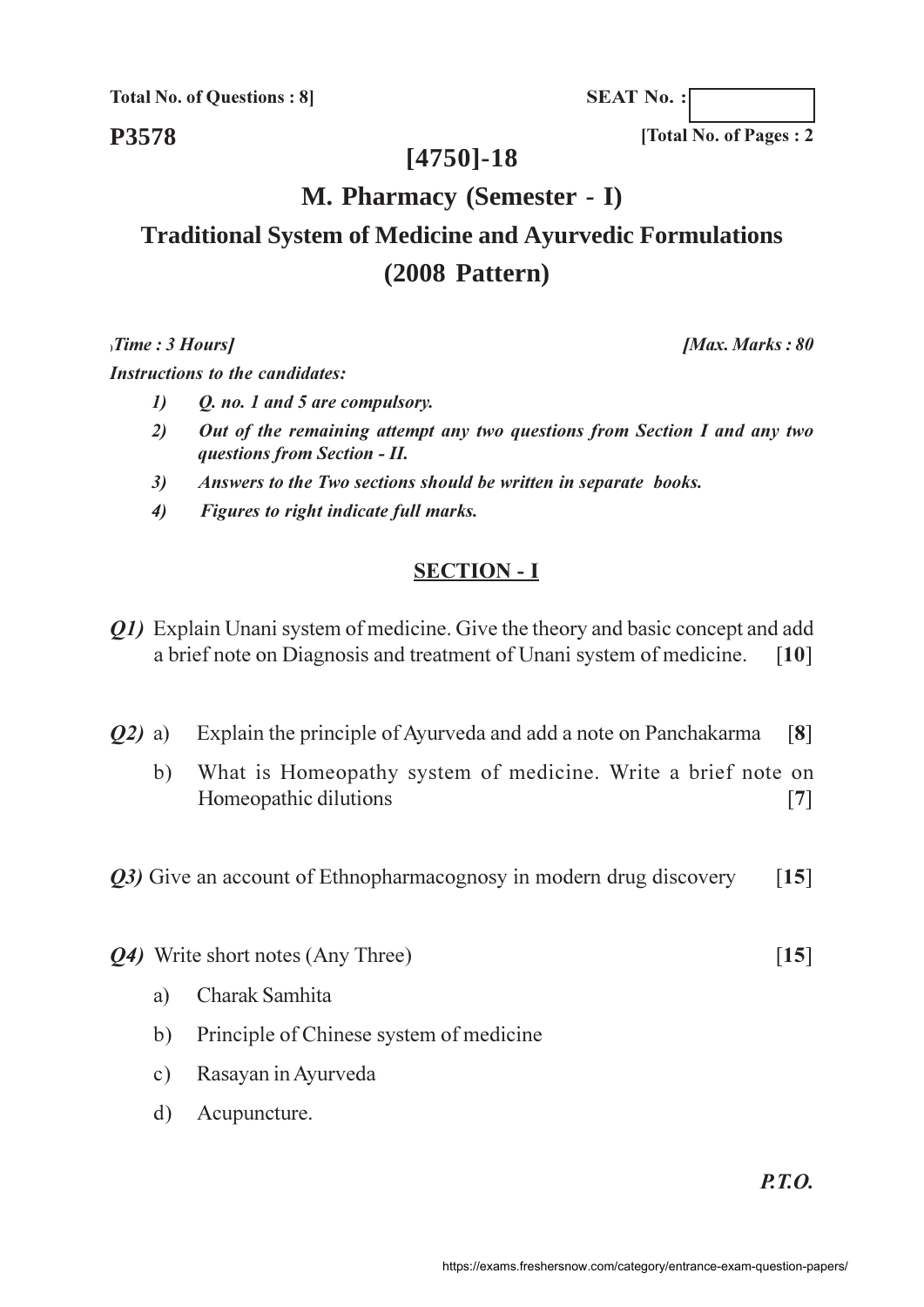**Total No. of Questions: 8** 

**SEAT No.:** 

[Total No. of Pages: 2

[Max. Marks: 80]

**P3578** 

## $[4750] - 18$

## M. Pharmacy (Semester - I)

# **Traditional System of Medicine and Ayurvedic Formulations**  $(2008$  Pattern)

 $, Time : 3$  Hours]

**Instructions to the candidates:** 

- $\mathbf{I}$ O. no. 1 and 5 are compulsory.
- $2)$ Out of the remaining attempt any two questions from Section I and any two questions from Section - II.
- $3)$ Answers to the Two sections should be written in separate books.
- $\boldsymbol{\epsilon}$ Figures to right indicate full marks.

### **SECTION - I**

- *O1*) Explain Unani system of medicine. Give the theory and basic concept and add a brief note on Diagnosis and treatment of Unani system of medicine.  $\lceil 10 \rceil$
- Explain the principle of Ayurveda and add a note on Panchakarma  $(02)$  a)  $\lceil 8 \rceil$ 
	- What is Homeopathy system of medicine. Write a brief note on  $b)$ Homeopathic dilutions  $[7]$

Q3) Give an account of Ethnopharmacognosy in modern drug discovery  $\lceil 15 \rceil$ 

- *Q4*) Write short notes (Any Three)
	- Charak Samhita a)
	- Principle of Chinese system of medicine  $b)$
	- Rasayan in Ayurveda  $c)$
	- $d)$ Acupuncture.

 $PTO$ 

 $\lceil 15 \rceil$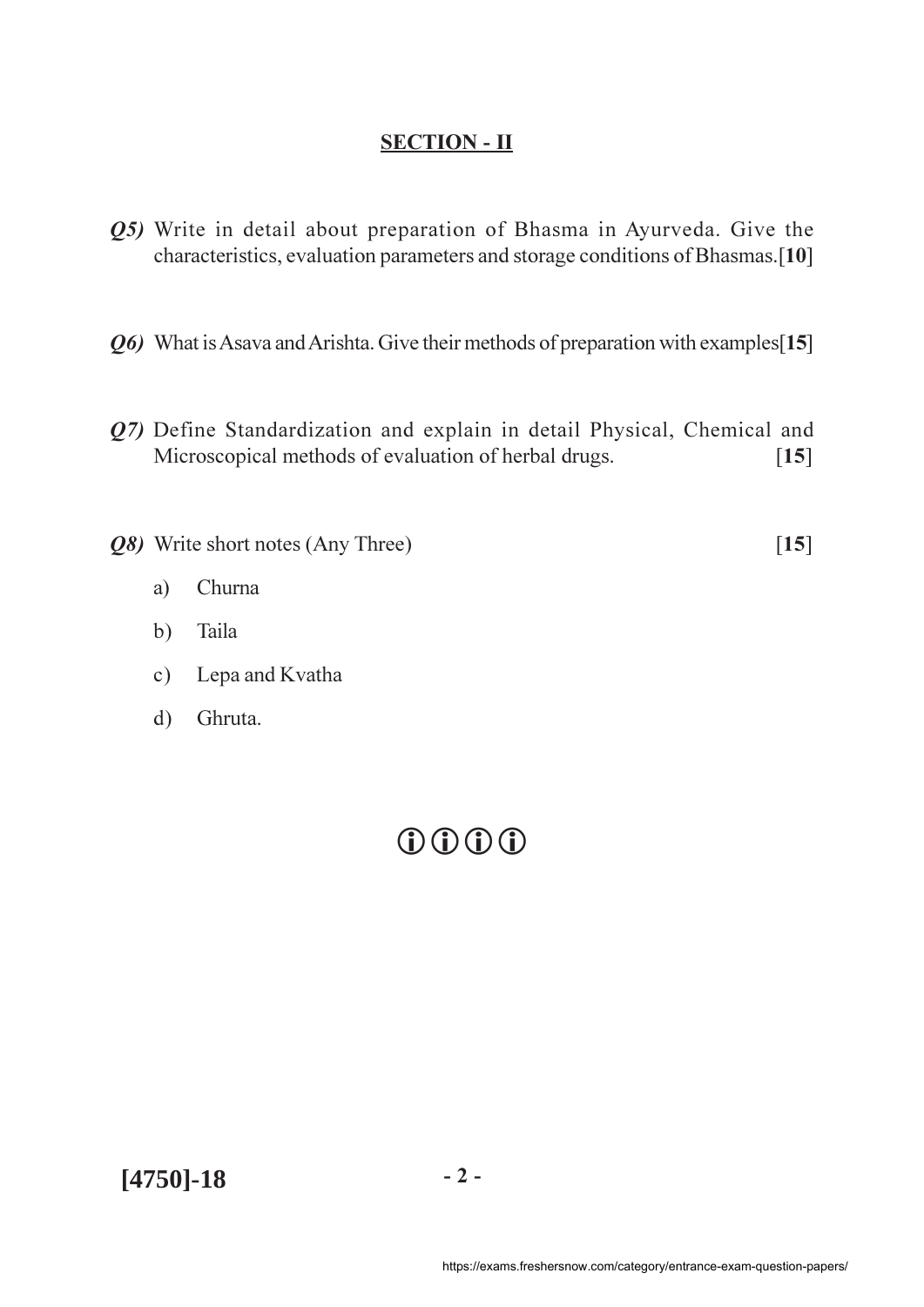- Q5) Write in detail about preparation of Bhasma in Ayurveda. Give the characteristics, evaluation parameters and storage conditions of Bhasmas.[10]
- Q6) What is Asava and Arishta. Give their methods of preparation with examples [15]
- Q7) Define Standardization and explain in detail Physical, Chemical and Microscopical methods of evaluation of herbal drugs.  $[15]$
- Q8) Write short notes (Any Three)

 $[15]$ 

- Churna a)
- Taila  $b)$
- Lepa and Kvatha  $c)$
- Ghruta.  $d)$

# $0.000$

 $[4750] - 18$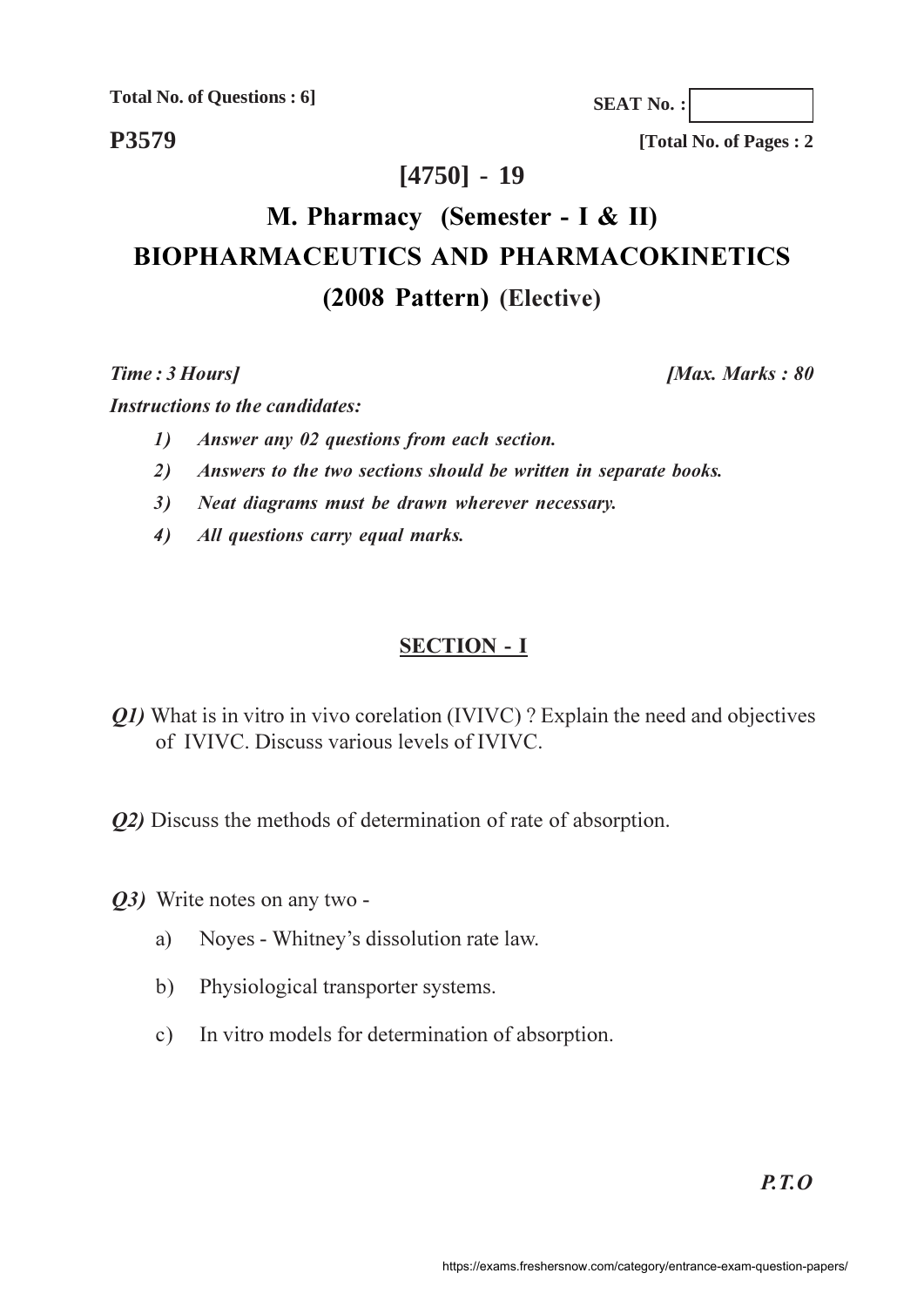**Total No. of Questions : 6]**

**SEAT No. :**

**P3579**

**[Total No. of Pages : 2**

## **[4750] - 19**

# **M. Pharmacy (Semester - I & II) BIOPHARMACEUTICS AND PHARMACOKINETICS** (2008 Pattern) (Elective)

**Time**: 3 Ho

*<i>Max. Marks*: 80

**Instructions to the candidates:** 

- *answer any 02 questions from each section.*
- 2) Answers to the two sections should be written in separate books.
- 3) Neat diagrams must be drawn wherever necessary.
- 4) All questions carry equal marks.

## **SECTION - I**

- Q1) What is in vitro in vivo corelation (IVIVC)? Explain the need and objectives of IVIVC. Discuss various levels of IVIVC.
- 22) Discuss the methods of determination of rate of absorption.
- 23) Write notes on any two
	- a) Noyes Whitney's dissolution rate law.
	- b) Physiological transporter systems.
	- c) In vitro models for determination of absorption.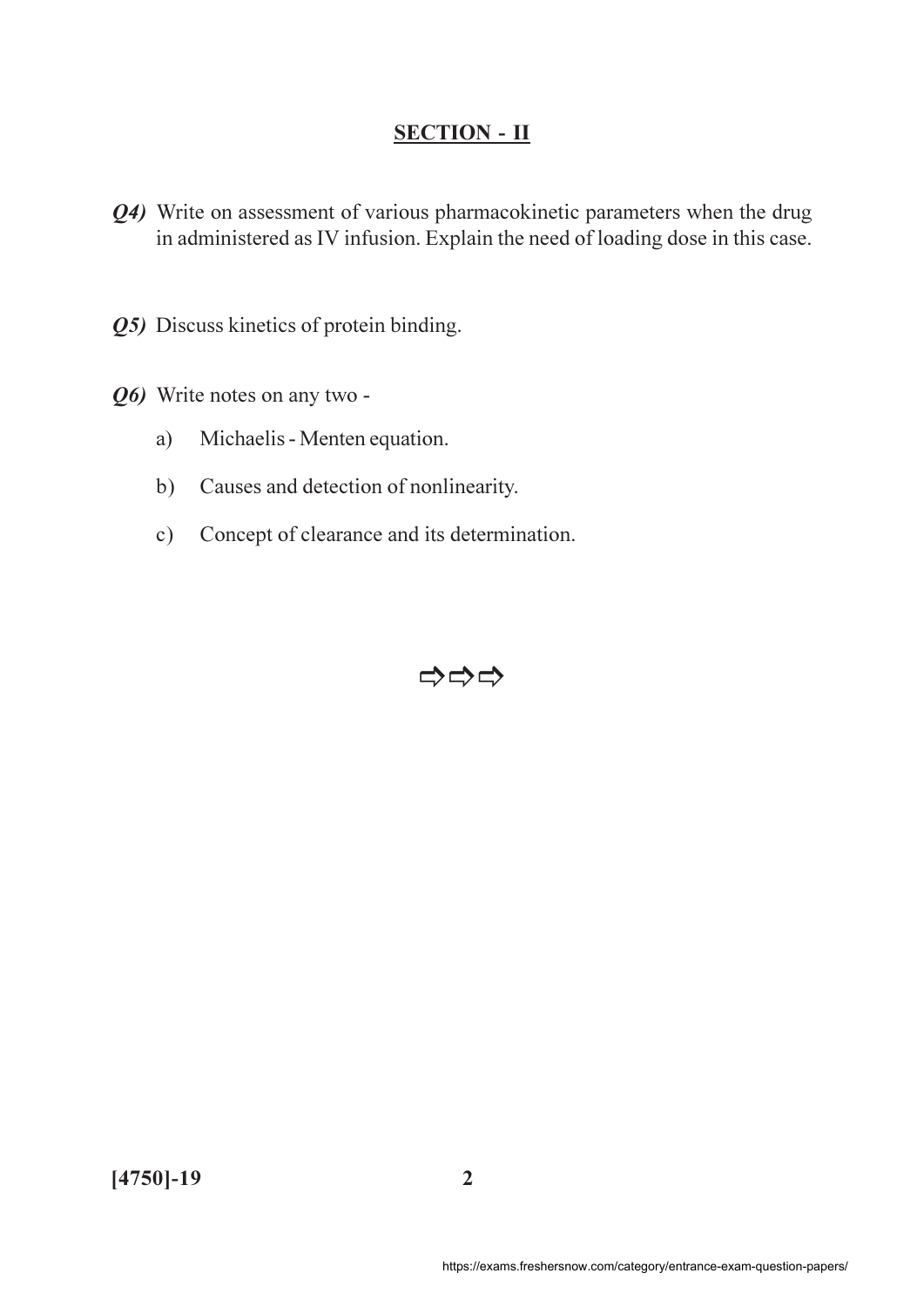- Q4) Write on assessment of various pharmacokinetic parameters when the drug in administered as IV infusion. Explain the need of loading dose in this case.
- Q5) Discuss kinetics of protein binding.
- Q6) Write notes on any two -
	- Michaelis Menten equation.  $a)$
	- Causes and detection of nonlinearity.  $b)$
	- Concept of clearance and its determination.  $c)$

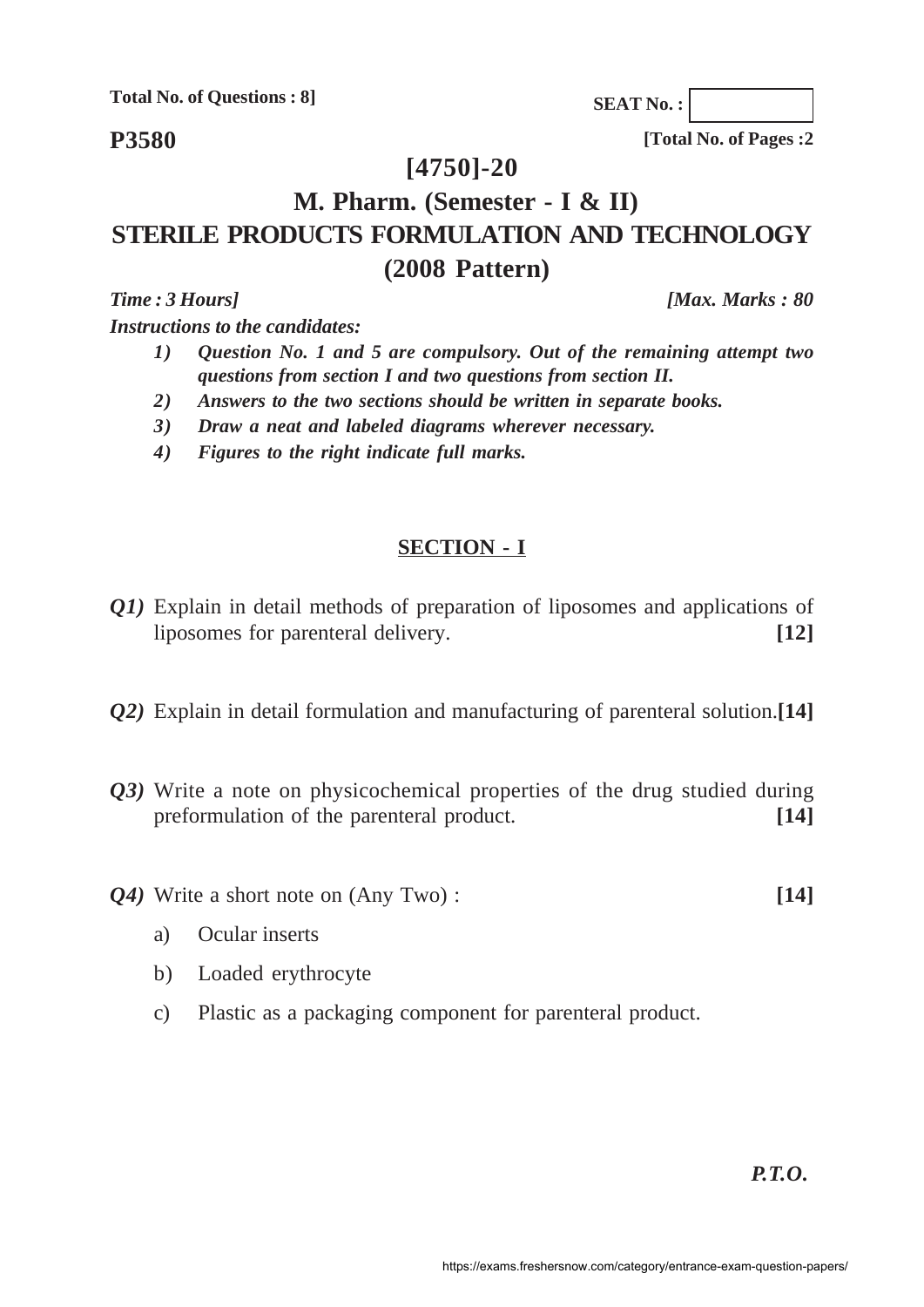**Total No. of Questions : 8]**

**P3580**

**[Total No. of Pages :2**

**SEAT No. :**

## **[4750]-20**

# **M. Pharm. (Semester - I & II) STERILE PRODUCTS FORMULATION AND TECHNOLOGY (2008 Pattern)**

*Instructions to the candidates:*

- *1) Question No. 1 and 5 are compulsory. Out of the remaining attempt two questions from section I and two questions from section II.*
- *2) Answers to the two sections should be written in separate books.*
- *3) Draw a neat and labeled diagrams wherever necessary.*
- *4) Figures to the right indicate full marks.*

### **SECTION - I**

- *Q1)* Explain in detail methods of preparation of liposomes and applications of liposomes for parenteral delivery. **[12]**
- *Q2)* Explain in detail formulation and manufacturing of parenteral solution.**[14]**
- *Q3)* Write a note on physicochemical properties of the drug studied during preformulation of the parenteral product. **[14]**
- *Q4)* Write a short note on (Any Two) : **[14]**
	-

- a) Ocular inserts
- b) Loaded erythrocyte
- c) Plastic as a packaging component for parenteral product.

*P.T.O.*

*Time : 3 Hours] [Max. Marks : 80*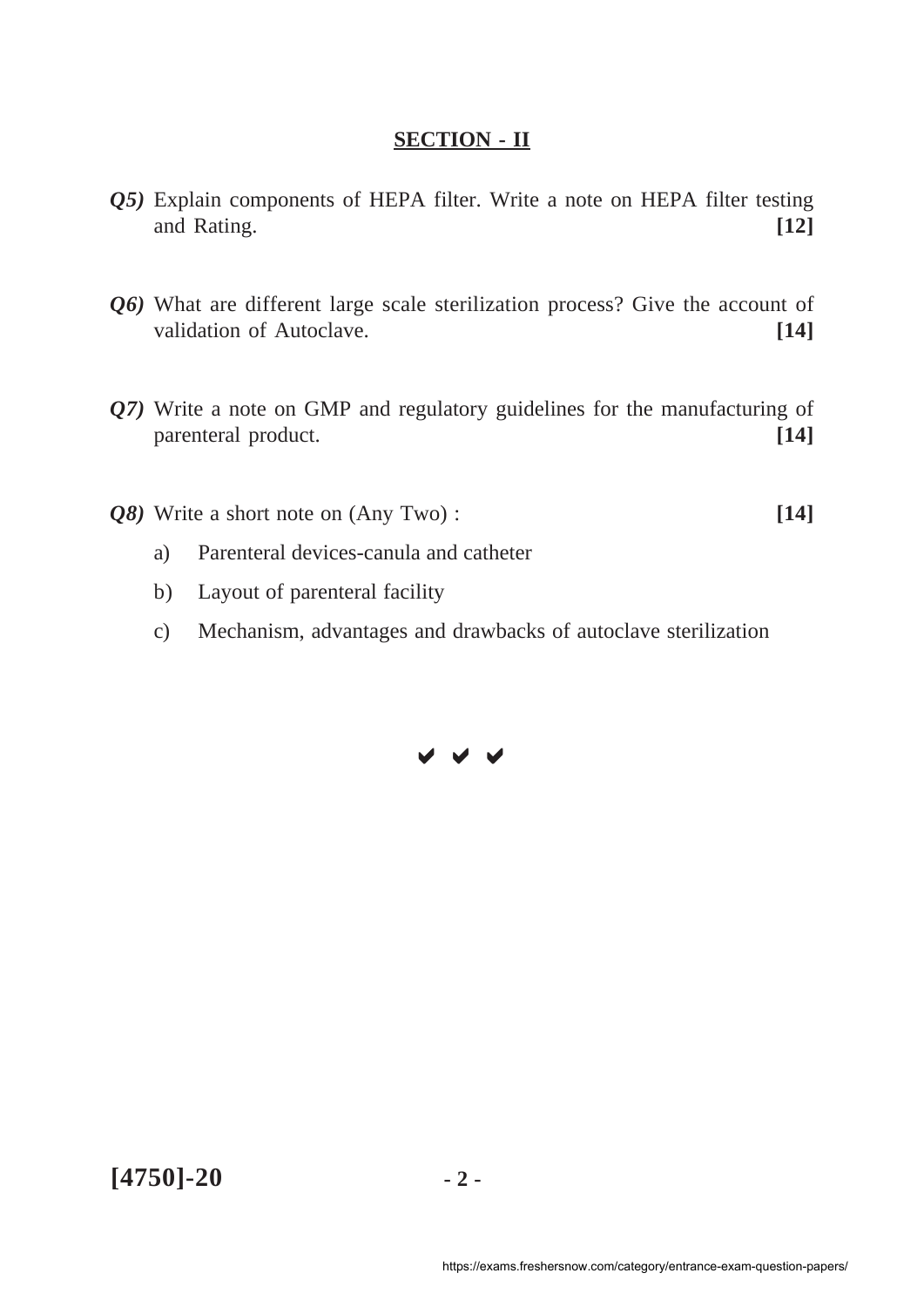- *Q5)* Explain components of HEPA filter. Write a note on HEPA filter testing and Rating. **[12]**
- *Q6)* What are different large scale sterilization process? Give the account of validation of Autoclave. **[14]**
- *Q7)* Write a note on GMP and regulatory guidelines for the manufacturing of parenteral product. **[14]**
- *Q8)* Write a short note on (Any Two) : **[14]**
	- a) Parenteral devices-canula and catheter
	- b) Layout of parenteral facility
	- c) Mechanism, advantages and drawbacks of autoclave sterilization

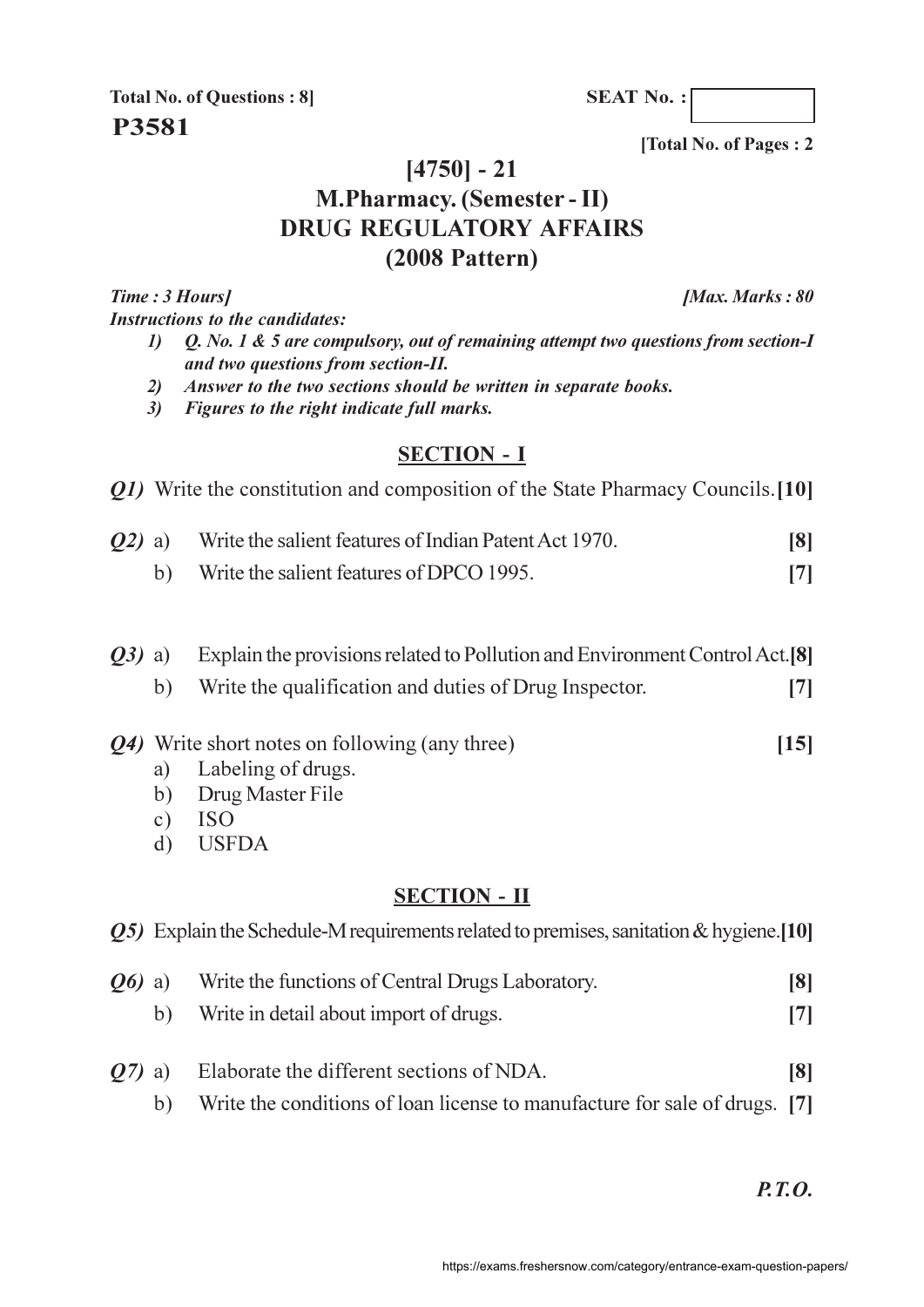**SEAT No.:** 

**Total No. of Questions: 8 P3581** 

[Total No. of Pages: 2

## $[4750] - 21$

# **M.Pharmacy.** (Semester - II) **DRUG REGULATORY AFFAIRS**  $(2008$  Pattern)

Time: 3 Hours] **Instructions to the candidates:**  [Max. Marks: 80

- Q. No. 1 & 5 are compulsory, out of remaining attempt two questions from section- $I$  $\mathbf{D}$ and two questions from section-II.
- Answer to the two sections should be written in separate books.  $2)$
- 3) Figures to the right indicate full marks.

## **SECTION - I**

| <i>Q1</i> ) Write the constitution and composition of the State Pharmacy Councils. [10] |  |  |
|-----------------------------------------------------------------------------------------|--|--|
|                                                                                         |  |  |

| $Q2$ ) a)<br>Write the salient features of Indian Patent Act 1970. |                                          | $\lceil 8 \rceil$ |
|--------------------------------------------------------------------|------------------------------------------|-------------------|
|                                                                    | Write the salient features of DPCO 1995. |                   |

Explain the provisions related to Pollution and Environment Control Act.<sup>[8]</sup>  $O3)$  a) Write the qualification and duties of Drug Inspector.  $b)$  $[7]$ 

- Q4) Write short notes on following (any three)
	- Labeling of drugs. a)
	- Drug Master File  $b)$
	- **ISO**  $c)$
	- **USEDA**  $\mathbf{d}$

### **SECTION - II**

|                     | <b><i>O5</i></b> ) Explain the Schedule-M requirements related to premises, sanitation & hygiene. [10] |                                                                            |                   |
|---------------------|--------------------------------------------------------------------------------------------------------|----------------------------------------------------------------------------|-------------------|
| <b><i>O6</i></b> a) |                                                                                                        | Write the functions of Central Drugs Laboratory.                           | $\lceil 8 \rceil$ |
|                     | b)                                                                                                     | Write in detail about import of drugs.                                     |                   |
| $O(7)$ a)           |                                                                                                        | Elaborate the different sections of NDA.                                   | $\lceil 8 \rceil$ |
|                     |                                                                                                        | Write the conditions of loan license to manufacture for sale of drugs. [7] |                   |

 $P.T.O.$ 

 $[15]$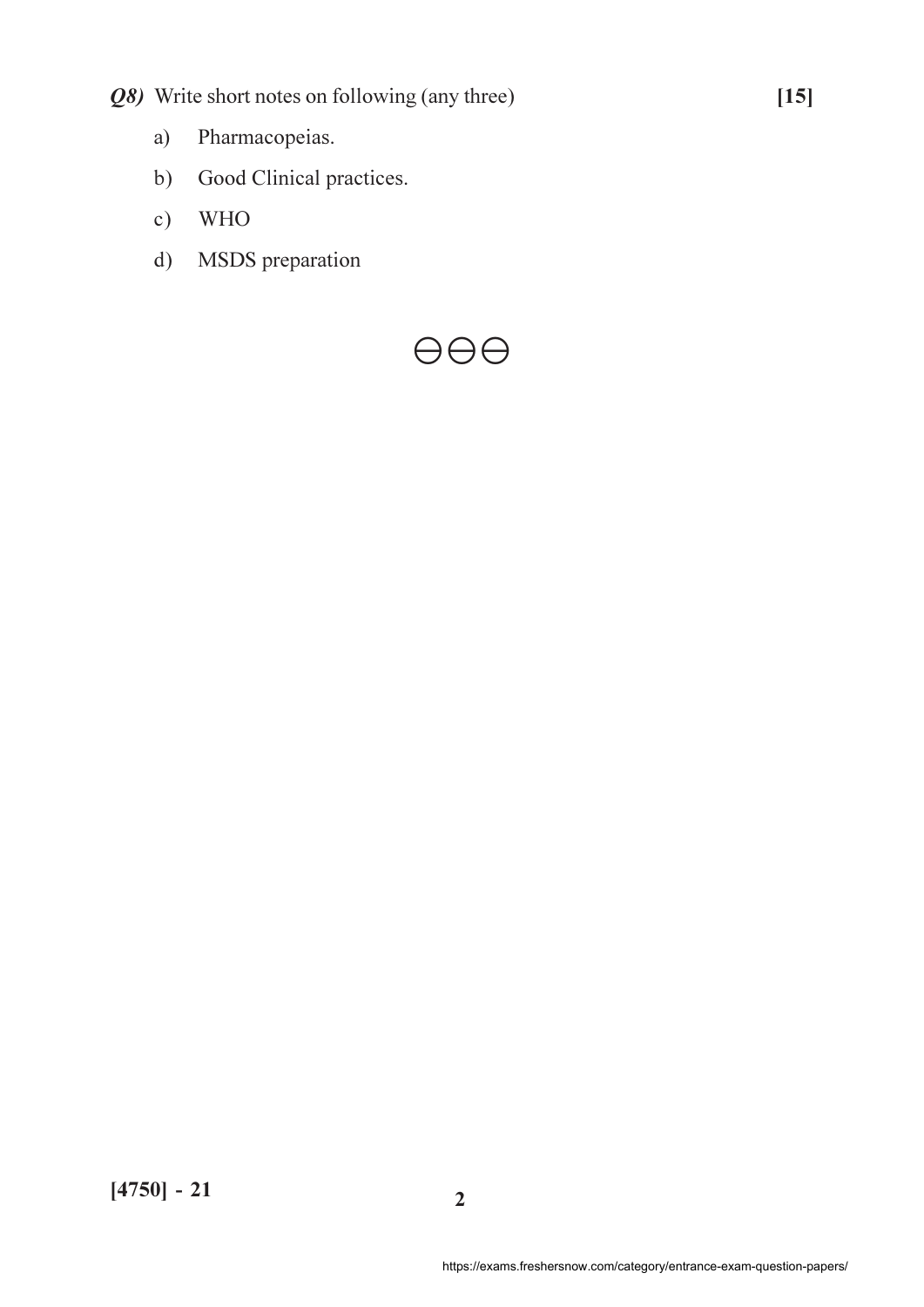- Q8) Write short notes on following (any three)
	- Pharmacopeias.  $a)$
	- $b)$ Good Clinical practices.
	- **WHO**  $c)$
	- MSDS preparation  $d)$

# $\Theta$  $\Theta$  $\Theta$

 $[15]$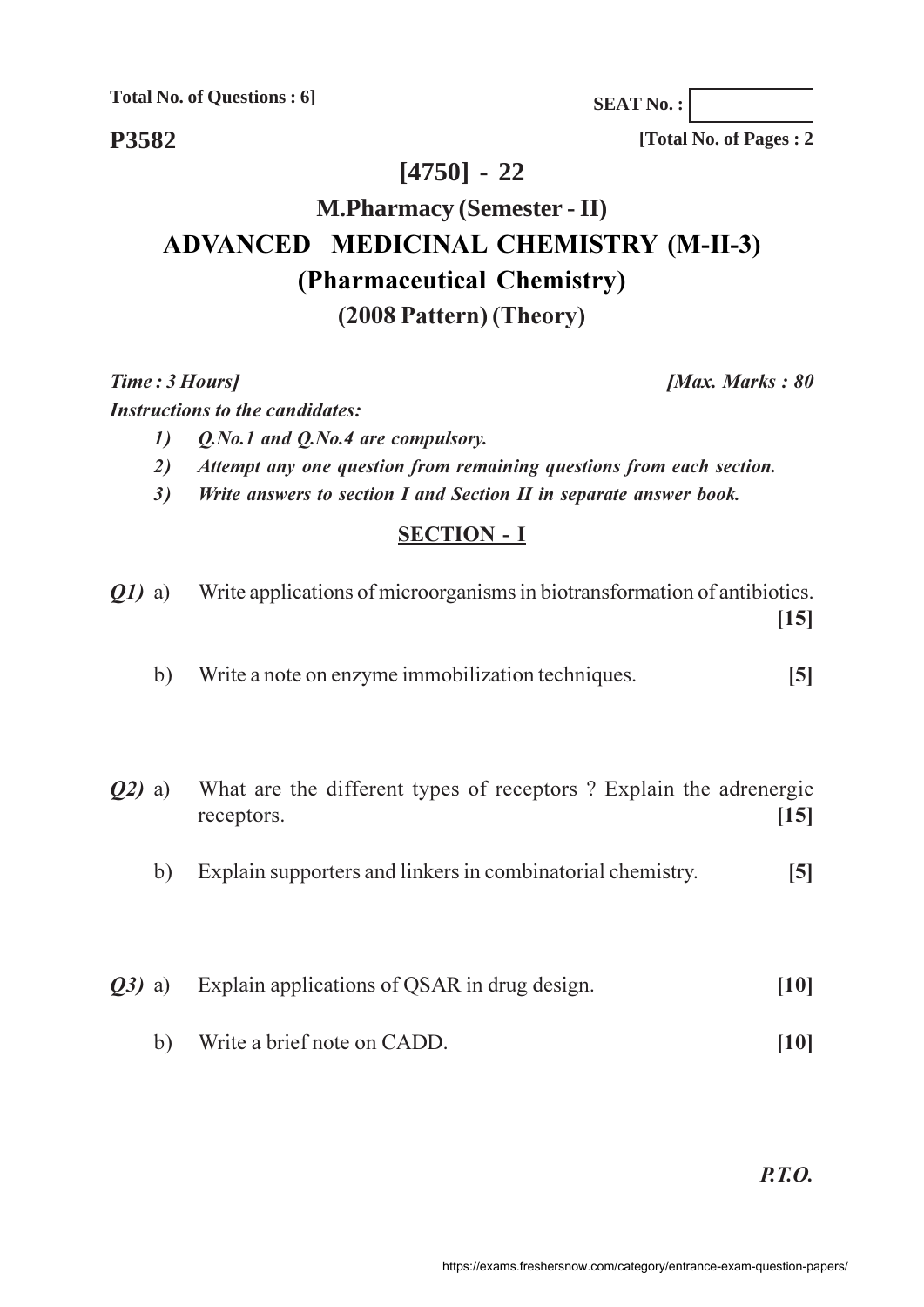**Total No. of Questions : 6]**

**SEAT No. :**

**P3582**

**[Total No. of Pages : 2**

*<i>Max. Marks*: 80

## **[4750] - 22**

# **M.Pharmacy (Semester - II) ADVANCED MEDICINAL CHEMISTRY (M-II-3) (Pharmaceutical Chemistry)**  $(2008$  Pattern) (Theory)

**Time**: 3 Ho

**Instructions to the candidates:** 

- *-(a.b.o.l and Q.No.4 are compulsory.*)
- 2) Attempt any one question from remaining questions from each section.
- 3) Write answers to section I and Section II in separate answer book.

## **SECTION - I**

| <i>O1</i> ) a) |    | Write applications of microorganisms in biotransformation of antibiotics.       | [15]           |
|----------------|----|---------------------------------------------------------------------------------|----------------|
|                | b) | Write a note on enzyme immobilization techniques.                               | $\mathbf{5}$   |
| $Q2)$ a)       |    | What are the different types of receptors? Explain the adrenergic<br>receptors. | [15]           |
|                | b) | Explain supporters and linkers in combinatorial chemistry.                      | $\mathsf{[5]}$ |
| $Q3)$ a)       |    | Explain applications of QSAR in drug design.                                    |                |
|                | b) | Write a brief note on CADD.                                                     | [10]           |

*P.T.O.*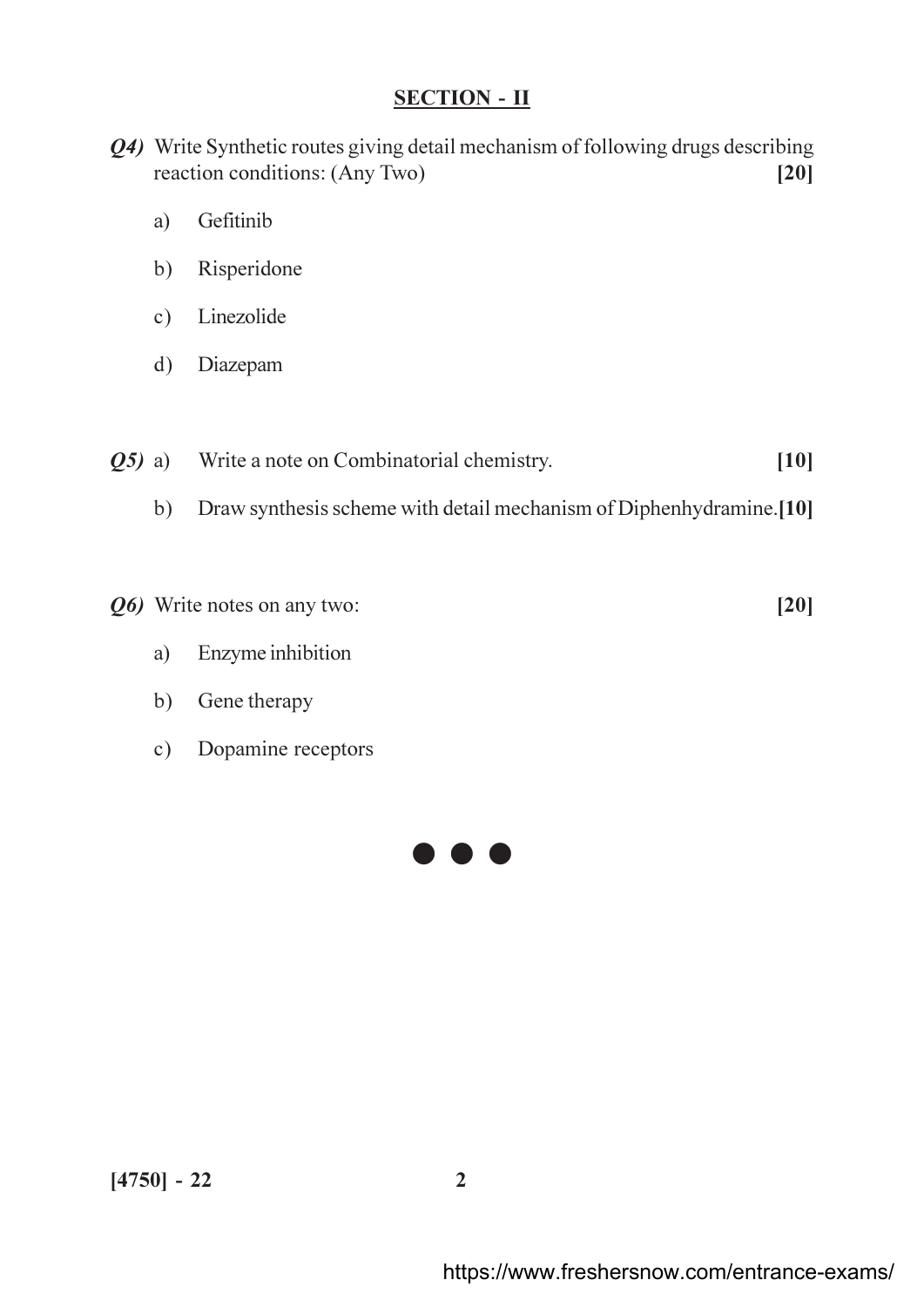- Q4) Write Synthetic routes giving detail mechanism of following drugs describing reaction conditions: (Any Two)  $[20]$ 
	- Gefitinib a)
	- Risperidone  $b)$
	- $c)$ Linezolide
	- Diazepam  $\mathbf{d}$
- Write a note on Combinatorial chemistry.  $[10]$  $(25)$  a)
	- Draw synthesis scheme with detail mechanism of Diphenhydramine.[10]  $b)$
- Q6) Write notes on any two:
	- Enzyme inhibition a)
	- Gene therapy  $b)$
	- Dopamine receptors  $c)$



 $[20]$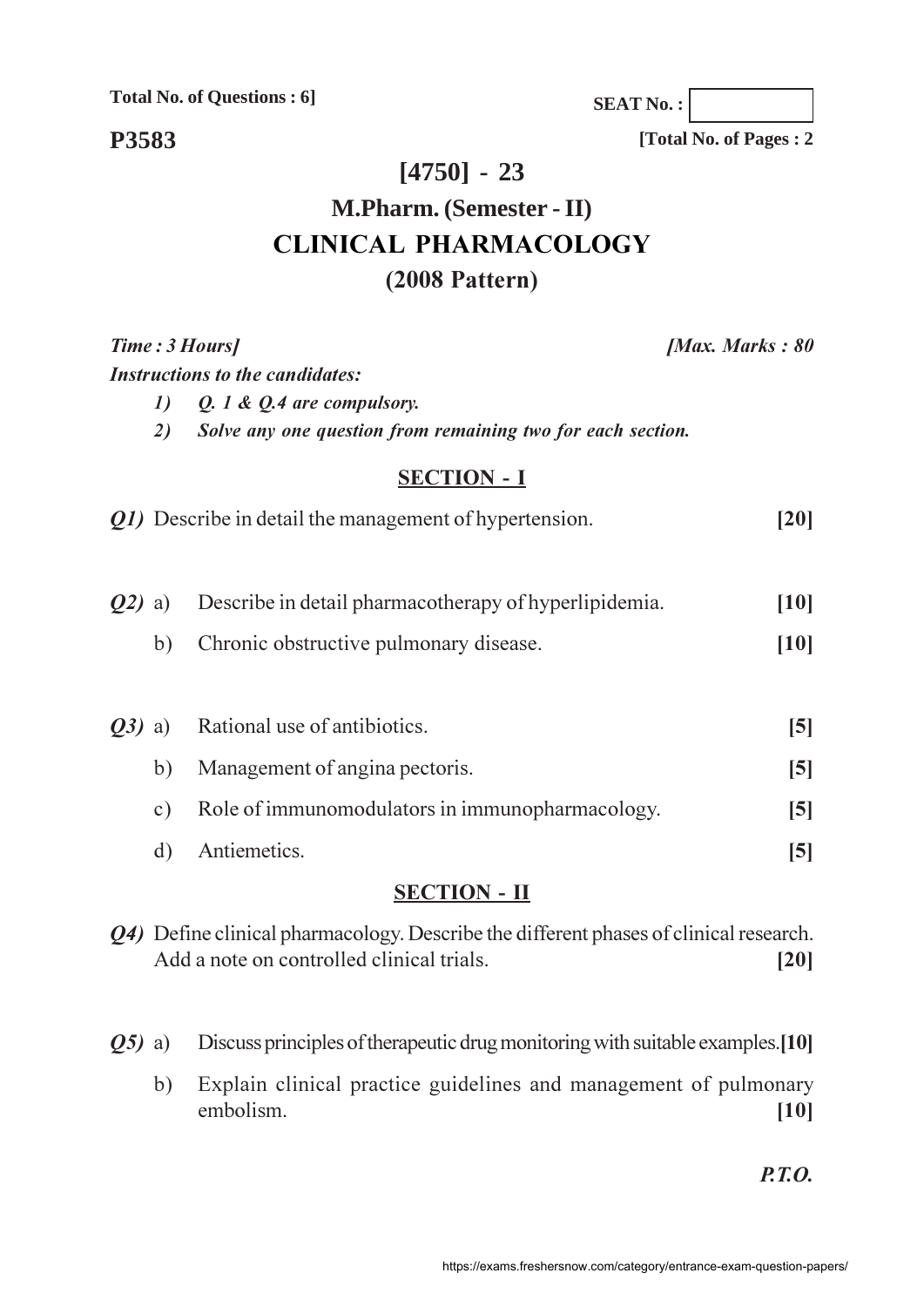**Total No. of Questions : 6]**

**SEAT No. :**

**[Total No. of Pages : 2**

**P3583**

# **[4750] - 23**

# **M.Pharm. (Semester - II) CLINICAL PHARMACOLOGY (2008 Pattern)**

**Time**: 3 Ho **Instructions to the candidates:**  *[Max. Marks: 80]* 

*-* $\theta$  2. 1 &  $\theta$ . 4 are compulsory.

2) Solve any one question from remaining two for each section.

### **SECTION - I**

| <i>Q1</i> ) Describe in detail the management of hypertension. | [20] |
|----------------------------------------------------------------|------|
|                                                                |      |

| <b>Q2</b> ) a) Describe in detail pharmacotherapy of hyperlipidemia. | $[10]$ |
|----------------------------------------------------------------------|--------|
|                                                                      |        |

- b) Chronic obstructive pulmonary disease. [10]
- *Q3*) a) Ration al use of antibiotics. [5] b) Management of angina pectoris. [5] c) Role of immunomodulators in immunopharmacology. [5] d) Antiemetics. tiemetics. [5]

## **SECTION - II**

- Q4) Define clinical pharmacology. Describe the different phases of clinical research. Add a note on controlled clinical trials. [20]
- 25) a) D iscuss principles of therapeutic drug monitoring with suitable examples.[10]
	- b) Explain clinical practice guidelines and management of pulmonary embolism. [10]

*P.T.O.*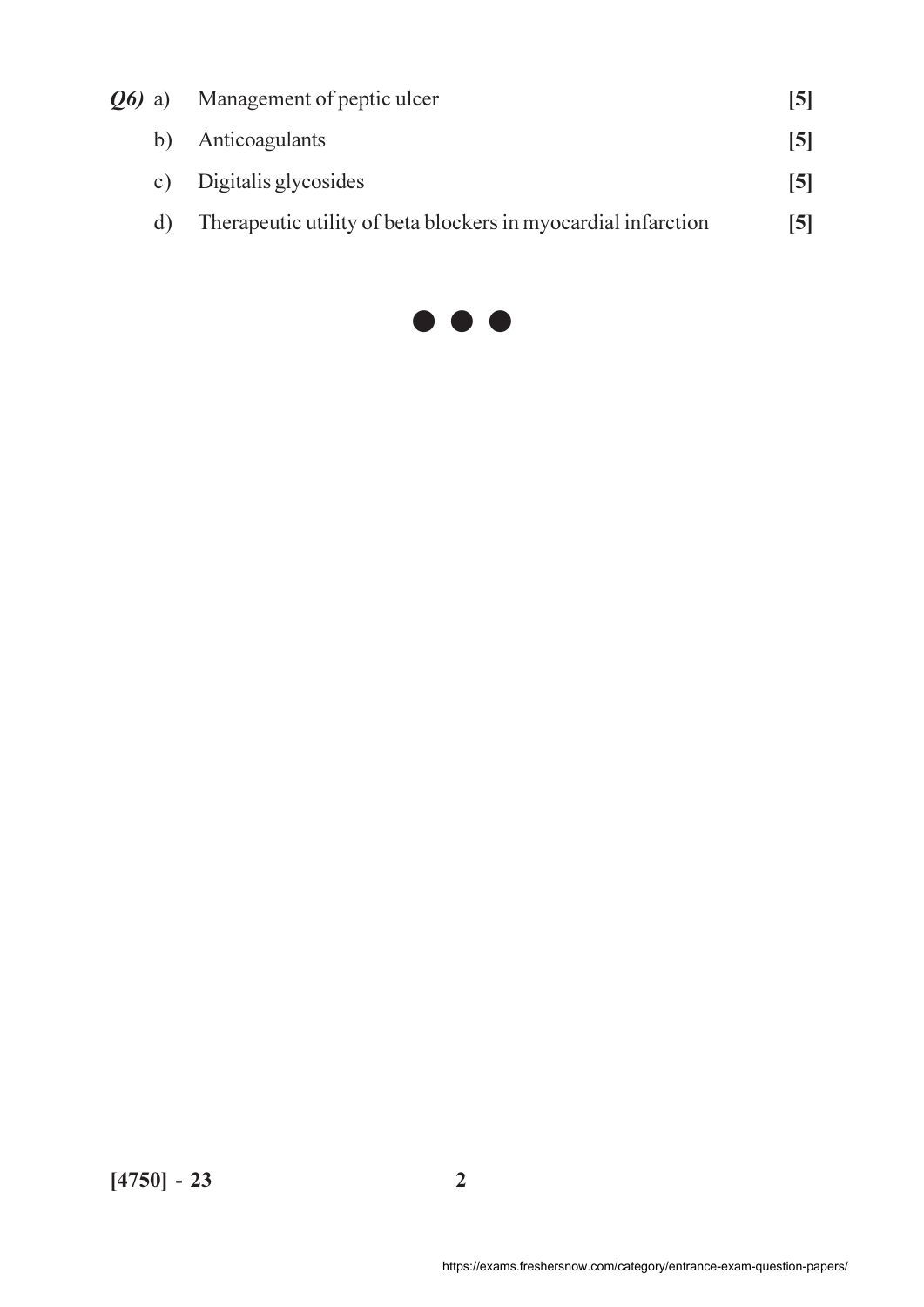| <b><i>O6</i></b> a) | Management of peptic ulcer                                    | 15 I |
|---------------------|---------------------------------------------------------------|------|
| b)                  | Anticoagulants                                                | 15 I |
| C)                  | Digitalis glycosides                                          | [5]  |
| d)                  | Therapeutic utility of beta blockers in myocardial infarction | [5]  |
|                     |                                                               |      |

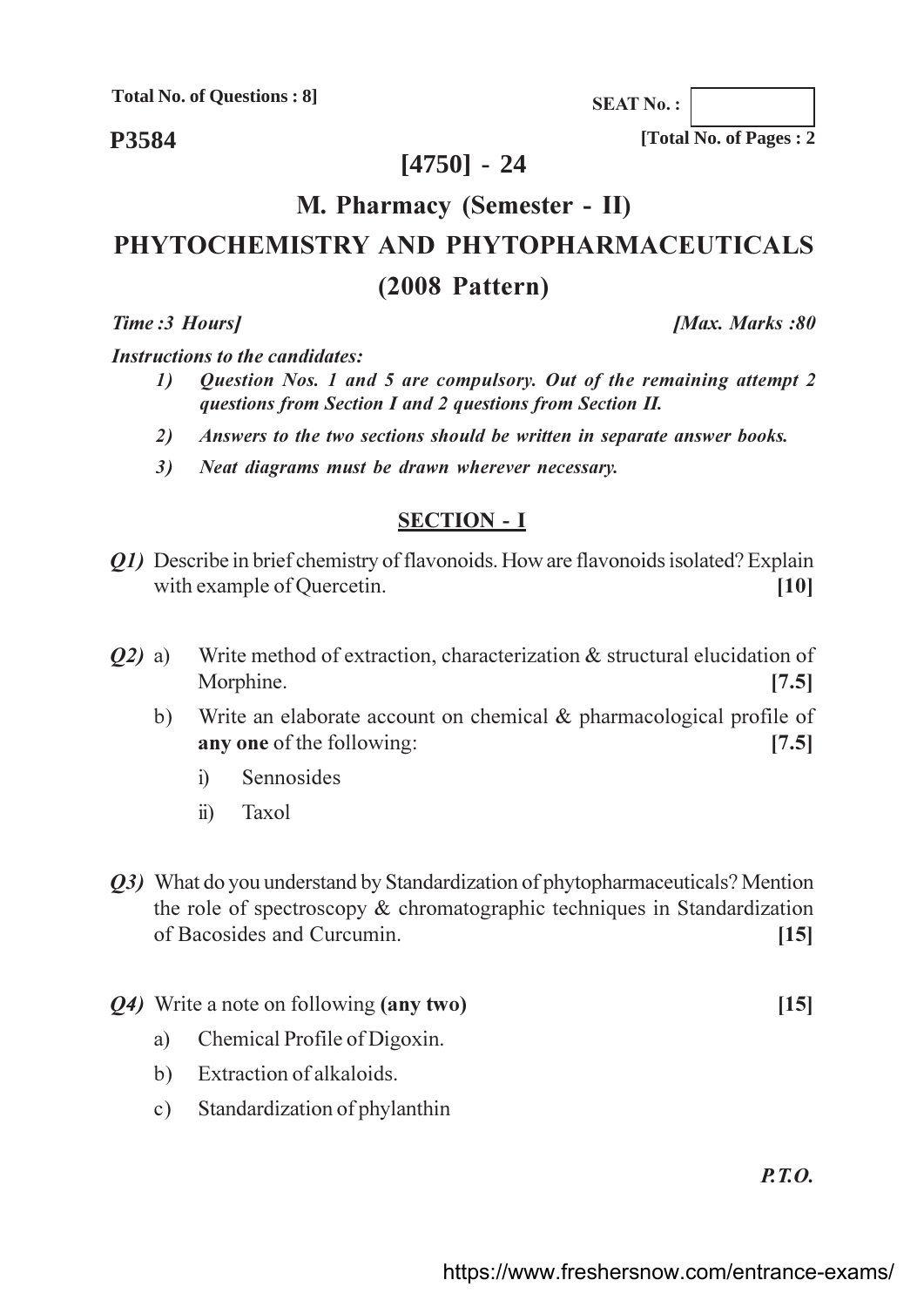**Total No. of Questions: 8]** 

P3584

**SEAT No.:** 

[Total No. of Pages: 2

## $[4750] - 24$

# M. Pharmacy (Semester - II) PHYTOCHEMISTRY AND PHYTOPHARMACEUTICALS  $(2008$  Pattern)

Time: 3 Hours]

**[Max. Marks:80**]

**Instructions to the candidates:** 

- $\boldsymbol{\mathit{1}}$ Question Nos. 1 and 5 are compulsory. Out of the remaining attempt 2 questions from Section I and 2 questions from Section II.
- Answers to the two sections should be written in separate answer books. 2)
- Neat diagrams must be drawn wherever necessary.  $3)$

### **SECTION - I**

- *O1*) Describe in brief chemistry of flavonoids. How are flavonoids isolated? Explain with example of Quercetin.  $[10]$
- Write method of extraction, characterization & structural elucidation of  $O(2)$  a) Morphine.  $[7.5]$ 
	- Write an elaborate account on chemical  $\&$  pharmacological profile of  $b)$ any one of the following:  $[7.5]$ 
		- Sennosides  $\overline{1}$
		- Taxol  $\ddot{i}$
- *Q3*) What do you understand by Standardization of phytopharmaceuticals? Mention the role of spectroscopy  $\&$  chromatographic techniques in Standardization of Bacosides and Curcumin.  $[15]$
- *Q4*) Write a note on following (any two)
	- Chemical Profile of Digoxin. a)
	- Extraction of alkaloids.  $b)$
	- Standardization of phylanthin  $c)$

 $P.7.0.$ 

 $[15]$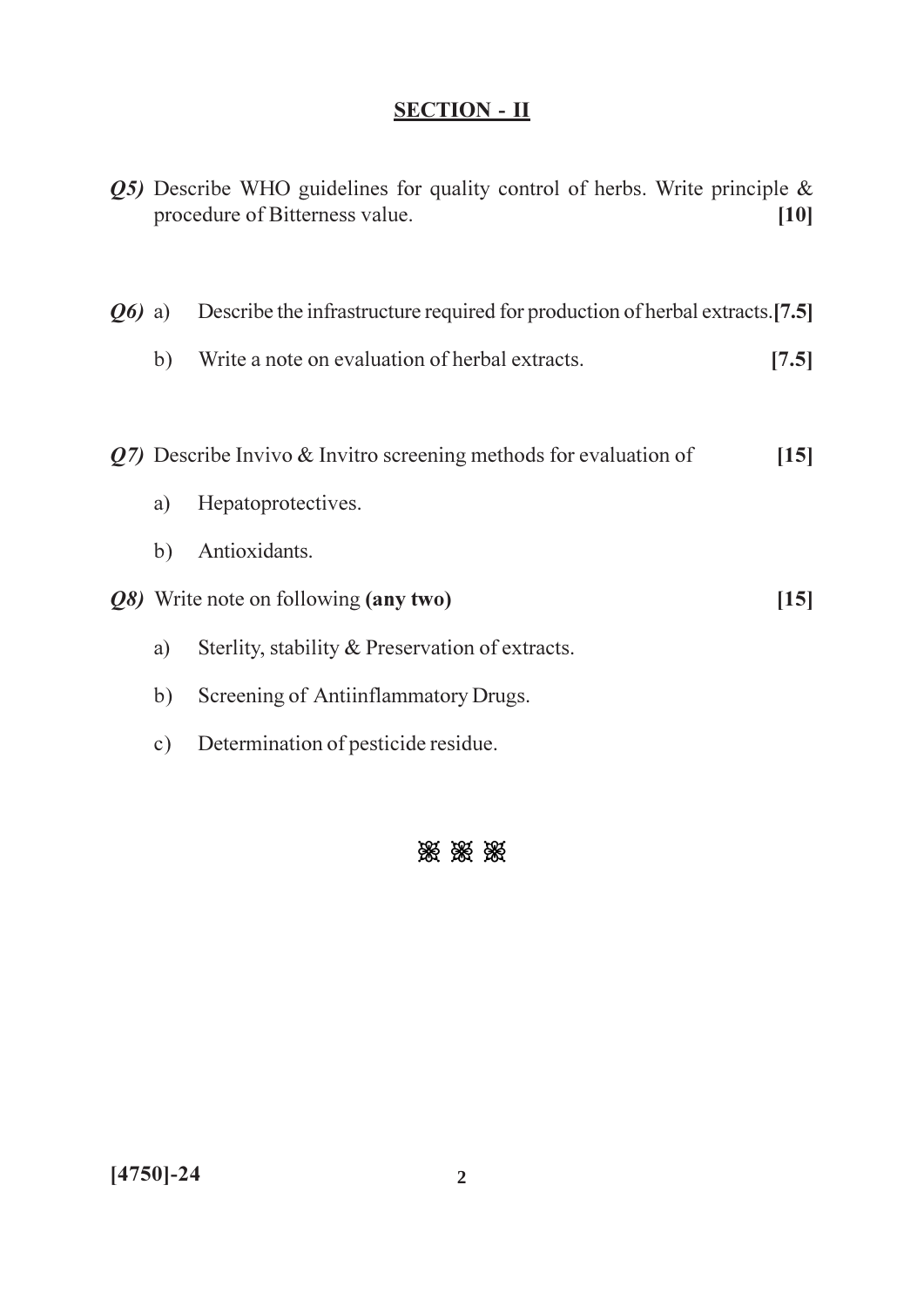|          |           | $Q5$ ) Describe WHO guidelines for quality control of herbs. Write principle &<br>procedure of Bitterness value. | $[10]$           |
|----------|-----------|------------------------------------------------------------------------------------------------------------------|------------------|
| $Q_0$ a) |           | Describe the infrastructure required for production of herbal extracts.[7.5]                                     |                  |
|          | b)        | Write a note on evaluation of herbal extracts.                                                                   | [7.5]            |
|          |           |                                                                                                                  |                  |
|          |           | $Q7$ ) Describe Invivo & Invitro screening methods for evaluation of                                             | $\vert 15 \vert$ |
|          | a)        | Hepatoprotectives.                                                                                               |                  |
|          | b)        | Antioxidants.                                                                                                    |                  |
|          |           | Q8) Write note on following (any two)                                                                            | $[15]$           |
|          | a)        | Sterlity, stability & Preservation of extracts.                                                                  |                  |
|          | b)        | Screening of Antiinflammatory Drugs.                                                                             |                  |
|          | $\circ$ ) | Determination of pesticide residue.                                                                              |                  |

# 淡淡淡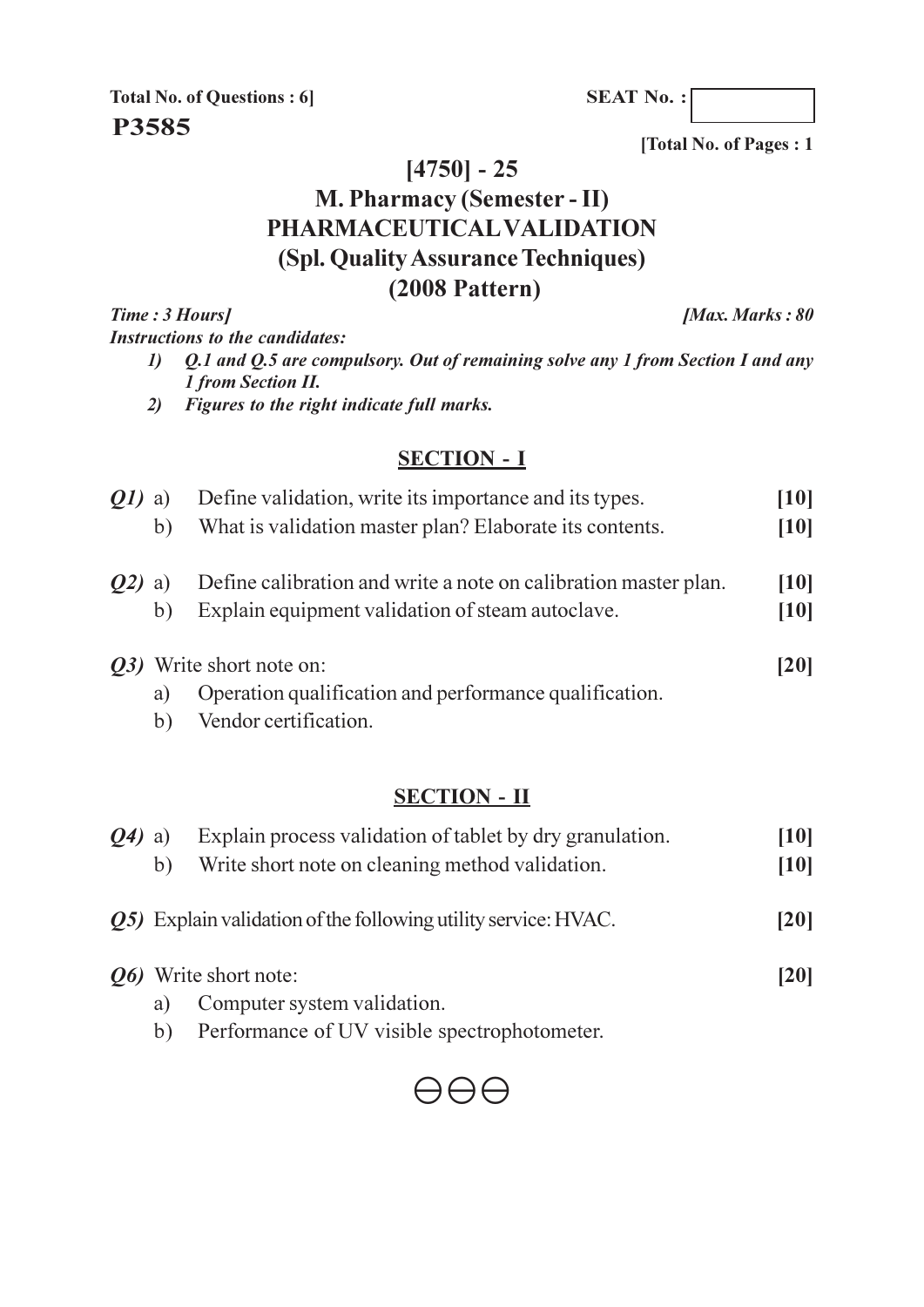**SEAT No.:** 

**Total No. of Questions: 6** P3585

[Total No. of Pages: 1

# $[4750] - 25$ M. Pharmacy (Semester - II) PHARMACEUTICAL VALIDATION

(Spl. Quality Assurance Techniques)

# $(2008$  Pattern)

Time: 3 Hours] [Max. Marks: 80] **Instructions to the candidates:** Q.1 and Q.5 are compulsory. Out of remaining solve any 1 from Section I and any  $\boldsymbol{\eta}$ 

- 1 from Section II.
- 2) Figures to the right indicate full marks.

### **SECTION - I**

| <i>Q1)</i> | a) | Define validation, write its importance and its types.                             | [10]   |
|------------|----|------------------------------------------------------------------------------------|--------|
|            | b) | What is validation master plan? Elaborate its contents.                            |        |
|            | a) | Define calibration and write a note on calibration master plan.                    | [10]   |
|            | b) | Explain equipment validation of steam autoclave.                                   | $[10]$ |
|            | a) | Q3) Write short note on:<br>Operation qualification and performance qualification. | [20]   |
|            | b) | Vendor certification.                                                              |        |

## **SECTION - II**

| 04) | a) | Explain process validation of tablet by dry granulation.       | $[10]$ |
|-----|----|----------------------------------------------------------------|--------|
|     | b) | Write short note on cleaning method validation.                | [10]   |
|     |    | Q5) Explain validation of the following utility service: HVAC. | [20]   |
|     |    | <i><b>O6</b></i> Write short note:                             | [20]   |
|     | a) | Computer system validation.                                    |        |
|     | b) | Performance of UV visible spectrophotometer.                   |        |

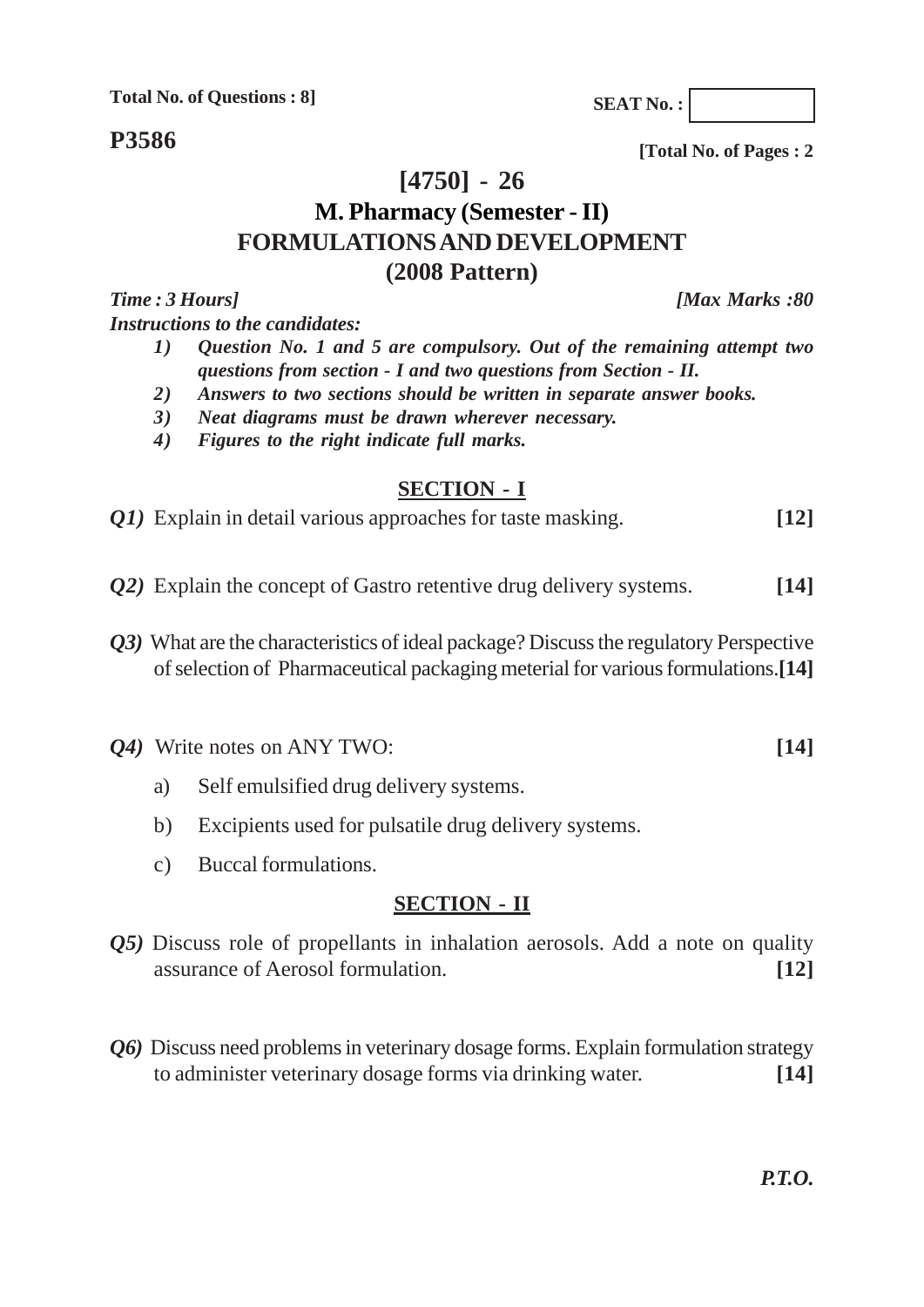**Total No. of Questions : 8]**

**P3586**

**[4750] - 26**

# **M. Pharmacy (Semester - II) FORMULATIONS AND DEVELOPMENT (2008 Pattern)**

*Time : 3 Hours] [Max Marks :80 Instructions to the candidates:*

- *1) Question No. 1 and 5 are compulsory. Out of the remaining attempt two questions from section - I and two questions from Section - II.*
- *2) Answers to two sections should be written in separate answer books.*
- *3) Neat diagrams must be drawn wherever necessary.*
- *4) Figures to the right indicate full marks.*

#### **SECTION - I**

*Q1)* Explain in detail various approaches for taste masking. **[12]**

- *Q2)* Explain the concept of Gastro retentive drug delivery systems. **[14]**
- *Q3)* What are the characteristics of ideal package? Discuss the regulatory Perspective of selection of Pharmaceutical packaging meterial for various formulations.**[14]**

*Q4)* Write notes on ANY TWO: **[14]**

- a) Self emulsified drug delivery systems.
- b) Excipients used for pulsatile drug delivery systems.
- c) Buccal formulations.

### **SECTION - II**

- *Q5)* Discuss role of propellants in inhalation aerosols. Add a note on quality assurance of Aerosol formulation. **[12]**
- *Q6)* Discuss need problems in veterinary dosage forms. Explain formulation strategy to administer veterinary dosage forms via drinking water. **[14]**

*P.T.O.*

**[Total No. of Pages : 2**

**SEAT No. :**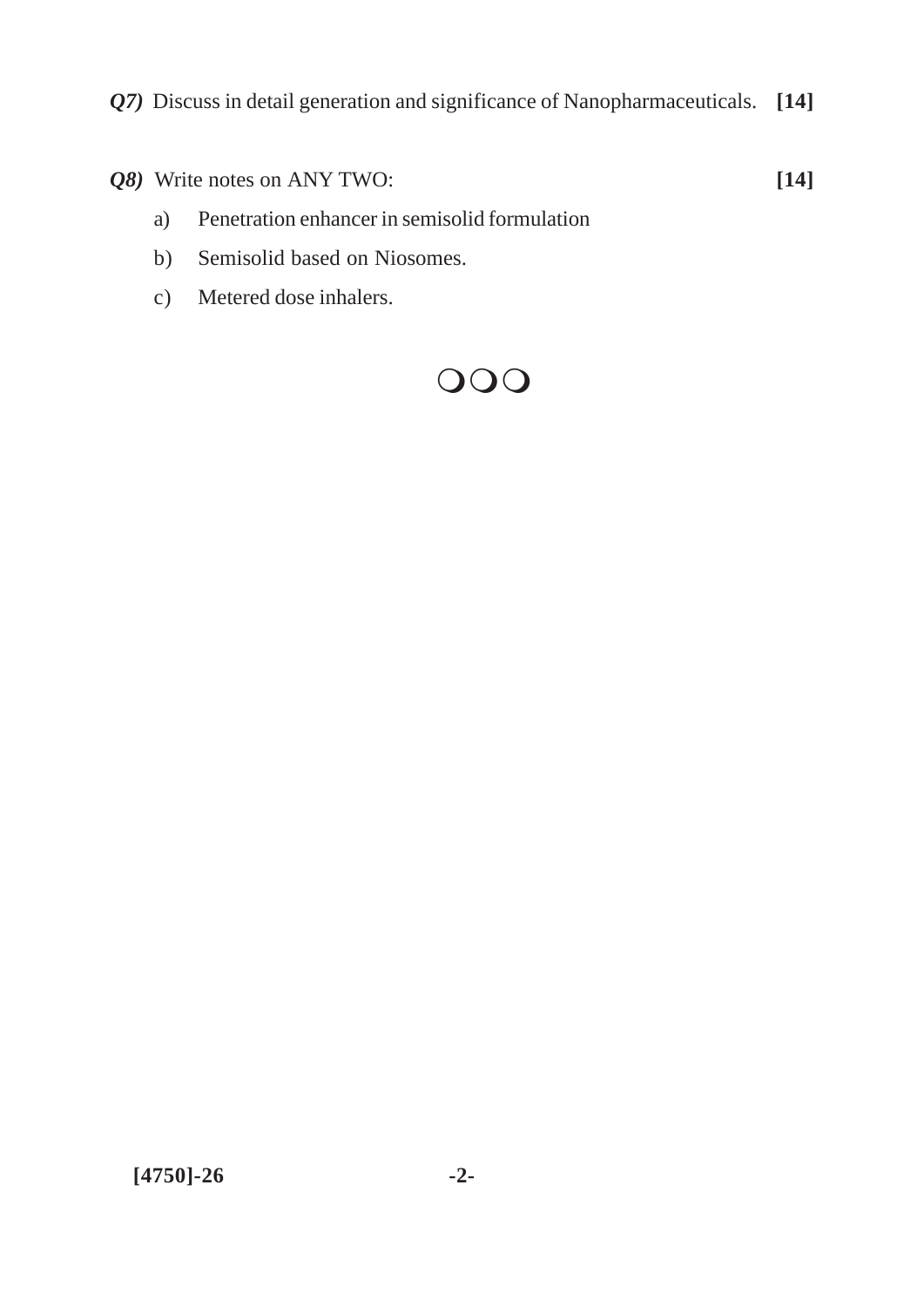*Q7)* Discuss in detail generation and significance of Nanopharmaceuticals. **[14]**

*Q8)* Write notes on ANY TWO: **[14]**

- a) Penetration enhancer in semisolid formulation
- b) Semisolid based on Niosomes.
- c) Metered dose inhalers.

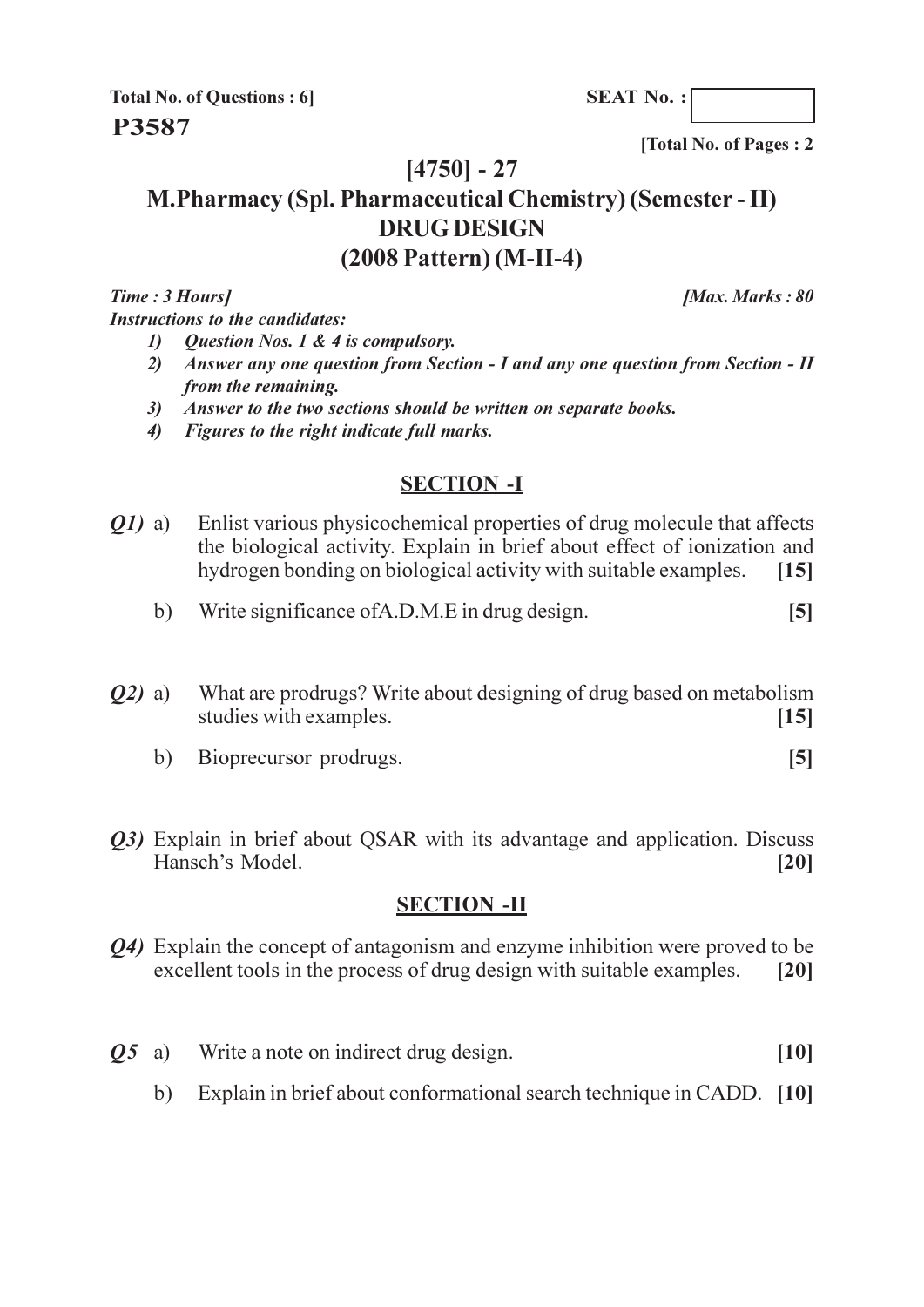**SEAT No.:** 

**Total No. of Questions: 6 P3587** 

[Total No. of Pages: 2

## $[4750] - 27$

# **M.Pharmacy (Spl. Pharmaceutical Chemistry) (Semester - II) DRUG DESIGN**  $(2008$  Pattern $)$  (M-II-4)

Time: 3 Hours] **Instructions to the candidates:**  [Max. Marks: 80]

- Question Nos. 1 & 4 is compulsory.  $\boldsymbol{\eta}$
- Answer any one question from Section I and any one question from Section II  $2)$ from the remaining.
- 3) Answer to the two sections should be written on separate books.
- 4) Figures to the right indicate full marks.

#### **SECTION -I**

- Enlist various physicochemical properties of drug molecule that affects *O1*) a) the biological activity. Explain in brief about effect of ionization and hydrogen bonding on biological activity with suitable examples.  $[15]$ 
	- b) Write significance of A.D.M.E in drug design.  $[5]$
- What are prodrugs? Write about designing of drug based on metabolism  $Q2)$  a) studies with examples.  $[15]$ 
	- Bioprecursor prodrugs.  $\left[5\right]$ b)
- *Q3*) Explain in brief about QSAR with its advantage and application. Discuss Hansch's Model.  $\left[20\right]$

#### **SECTION -II**

- *O4*) Explain the concept of antagonism and enzyme inhibition were proved to be excellent tools in the process of drug design with suitable examples.  $\lceil 20 \rceil$
- Write a note on indirect drug design.  $\boldsymbol{05}$  a)  $[10]$ 
	- Explain in brief about conformational search technique in CADD. [10]  $b)$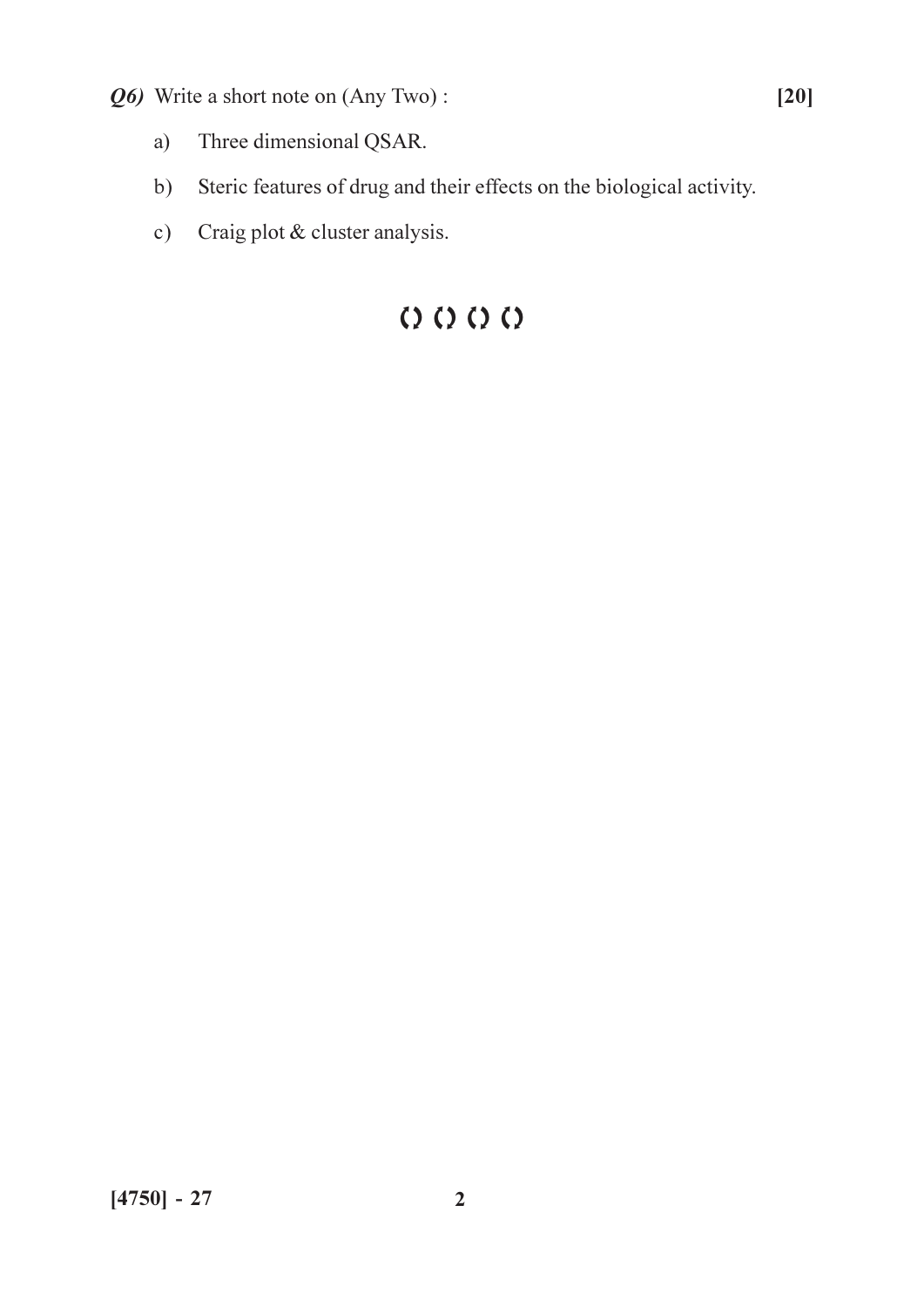- Q6) Write a short note on (Any Two):
	- Three dimensional QSAR. a)
	- Steric features of drug and their effects on the biological activity.  $b)$
	- c) Craig plot & cluster analysis.

# $Q$   $Q$   $Q$   $Q$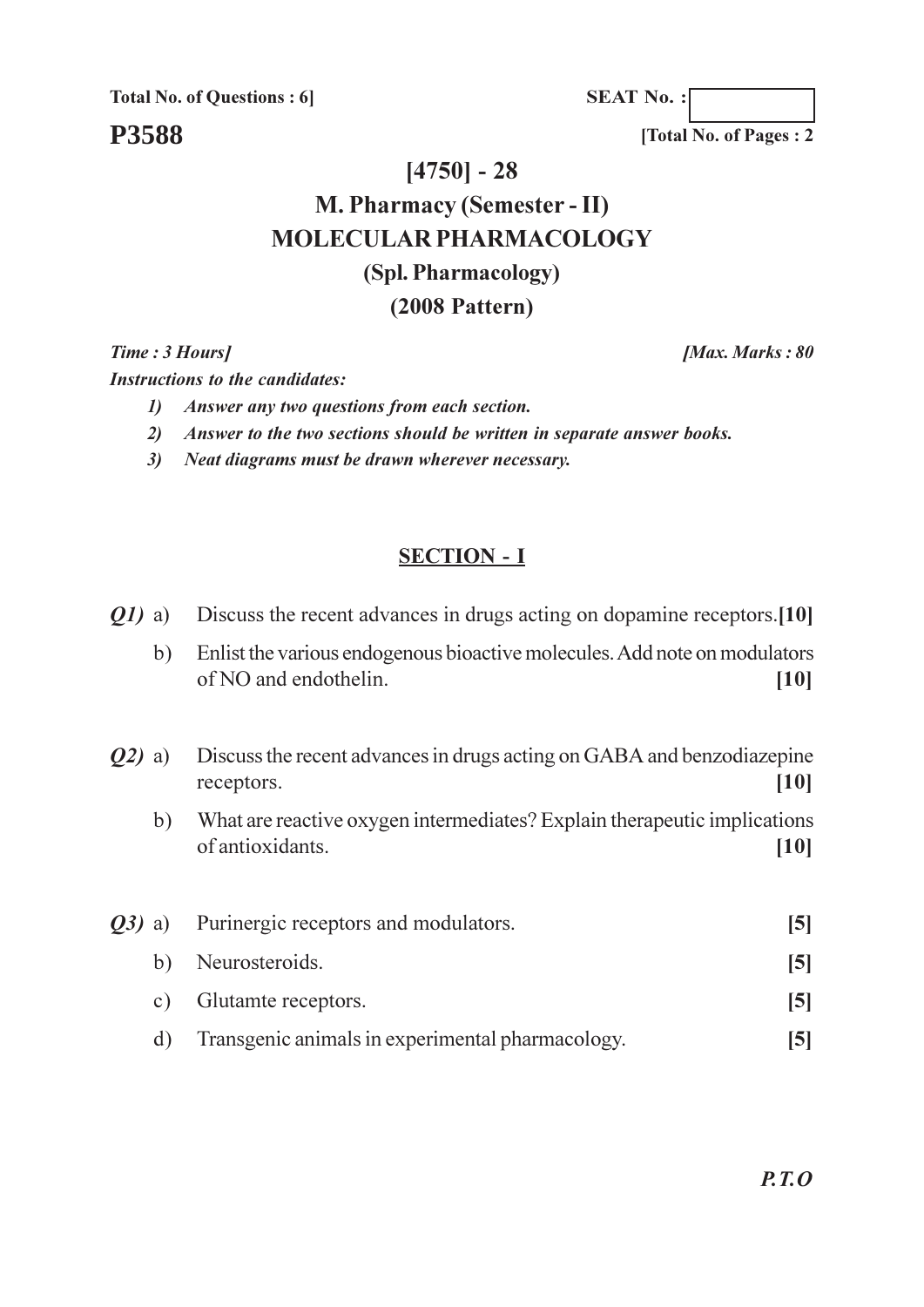**Total No. of Questions: 6** 

**P3588** 

 $[4750] - 28$ 

# **M. Pharmacy (Semester - II) MOLECULAR PHARMACOLOGY** (Spl. Pharmacology)  $(2008$  Pattern)

Time: 3 Hours]

**Instructions to the candidates:** 

- 1) Answer any two questions from each section.
- 2) Answer to the two sections should be written in separate answer books.
- 3) Neat diagrams must be drawn wherever necessary.

### **SECTION - I**

- Discuss the recent advances in drugs acting on dopamine receptors. [10]  $Q1$ ) a)
	- $b)$ Enlist the various endogenous bioactive molecules. Add note on modulators of NO and endothelin.  $[10]$
- Discuss the recent advances in drugs acting on GABA and benzodiazepine  $O(2)$  a)  $[10]$ receptors.
	- What are reactive oxygen intermediates? Explain therapeutic implications  $b)$ of antioxidants  $[10]$

| <b><i>O3</i></b> ) a) | Purinergic receptors and modulators.             |   |
|-----------------------|--------------------------------------------------|---|
|                       | b) Neurosteroids.                                | 5 |
|                       | c) Glutamet receptors.                           | 5 |
| d)                    | Transgenic animals in experimental pharmacology. |   |

 $P.T.O$ 

[Total No. of Pages: 2]

[Max. Marks: 80]

**SEAT No.:**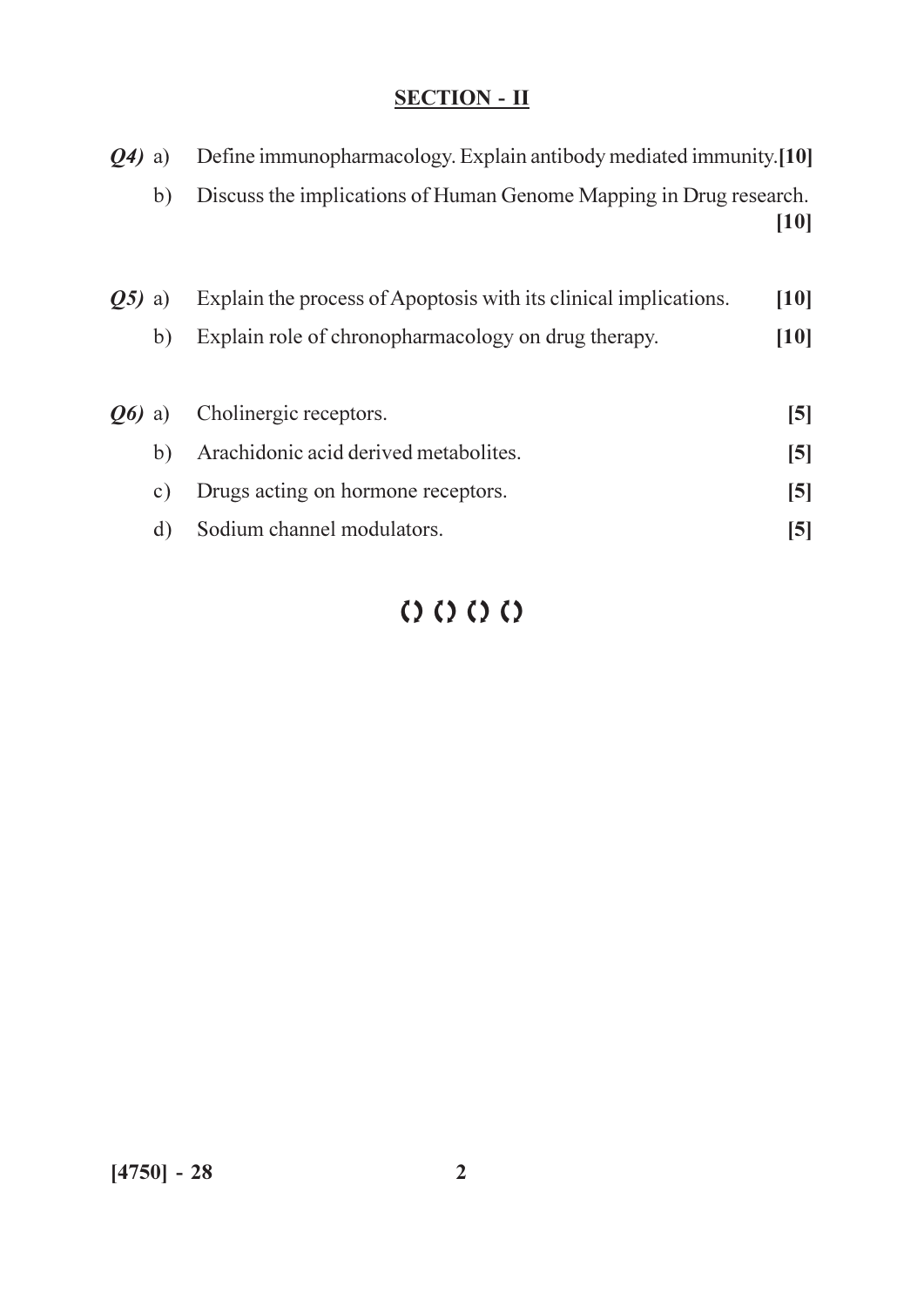| $Q_4$ ) a)          |           | Define immunopharmacology. Explain antibody mediated immunity.[10] |                         |
|---------------------|-----------|--------------------------------------------------------------------|-------------------------|
|                     | b)        | Discuss the implications of Human Genome Mapping in Drug research. | [10]                    |
| O5)                 | a)        | Explain the process of Apoptosis with its clinical implications.   | [10]                    |
|                     | b)        | Explain role of chronopharmacology on drug therapy.                | [10]                    |
| <b><i>O6</i></b> a) |           | Cholinergic receptors.                                             | $\mathsf{[5]}$          |
|                     | b)        | Arachidonic acid derived metabolites.                              | $\mathsf{[}5\mathsf{]}$ |
|                     | $\circ$ ) | Drugs acting on hormone receptors.                                 | $\mathsf{[5]}$          |
|                     | d)        | Sodium channel modulators.                                         | [5]                     |

# $QQQQ$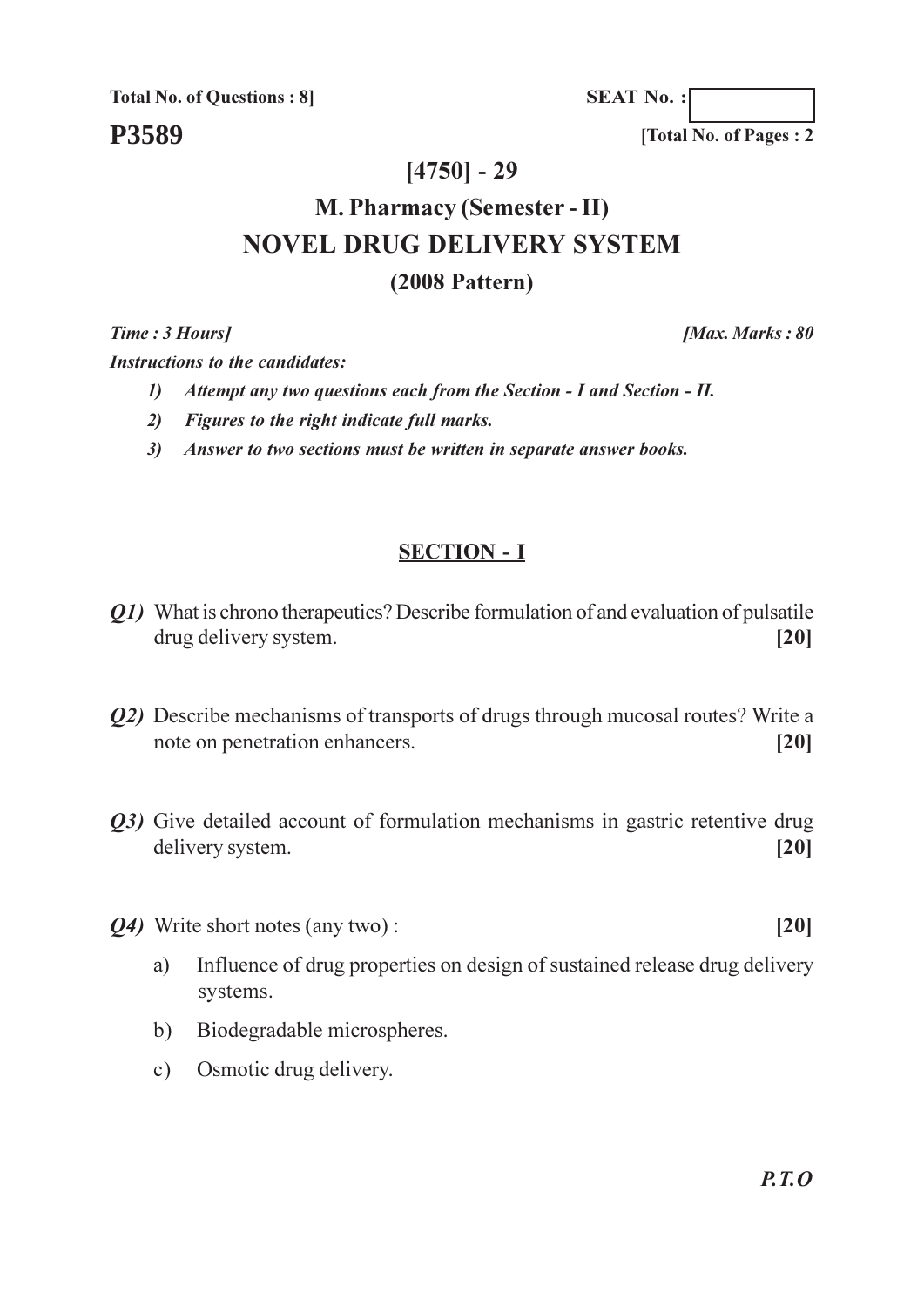**Total No. of Questions: 8** 

P3589

**SEAT No.:** 

[Total No. of Pages: 2]

### $[4750] - 29$

# **M. Pharmacy (Semester - II) NOVEL DRUG DELIVERY SYSTEM**  $(2008$  Pattern)

Time: 3 Hours1

**Instructions to the candidates:** 

- 1) Attempt any two questions each from the Section I and Section II.
- 2) Figures to the right indicate full marks.
- 3) Answer to two sections must be written in separate answer books.

### **SECTION - I**

- Q1) What is chrono therapeutics? Describe formulation of and evaluation of pulsatile drug delivery system.  $[20]$
- *O2*) Describe mechanisms of transports of drugs through mucosal routes? Write a note on penetration enhancers.  $[20]$
- *Q3*) Give detailed account of formulation mechanisms in gastric retentive drug delivery system.  $[20]$
- *O4*) Write short notes (any two):
	- Influence of drug properties on design of sustained release drug delivery a) systems.
	- Biodegradable microspheres.  $b)$
	- Osmotic drug delivery.  $c)$

**IMax. Marks: 80** 

 $[20]$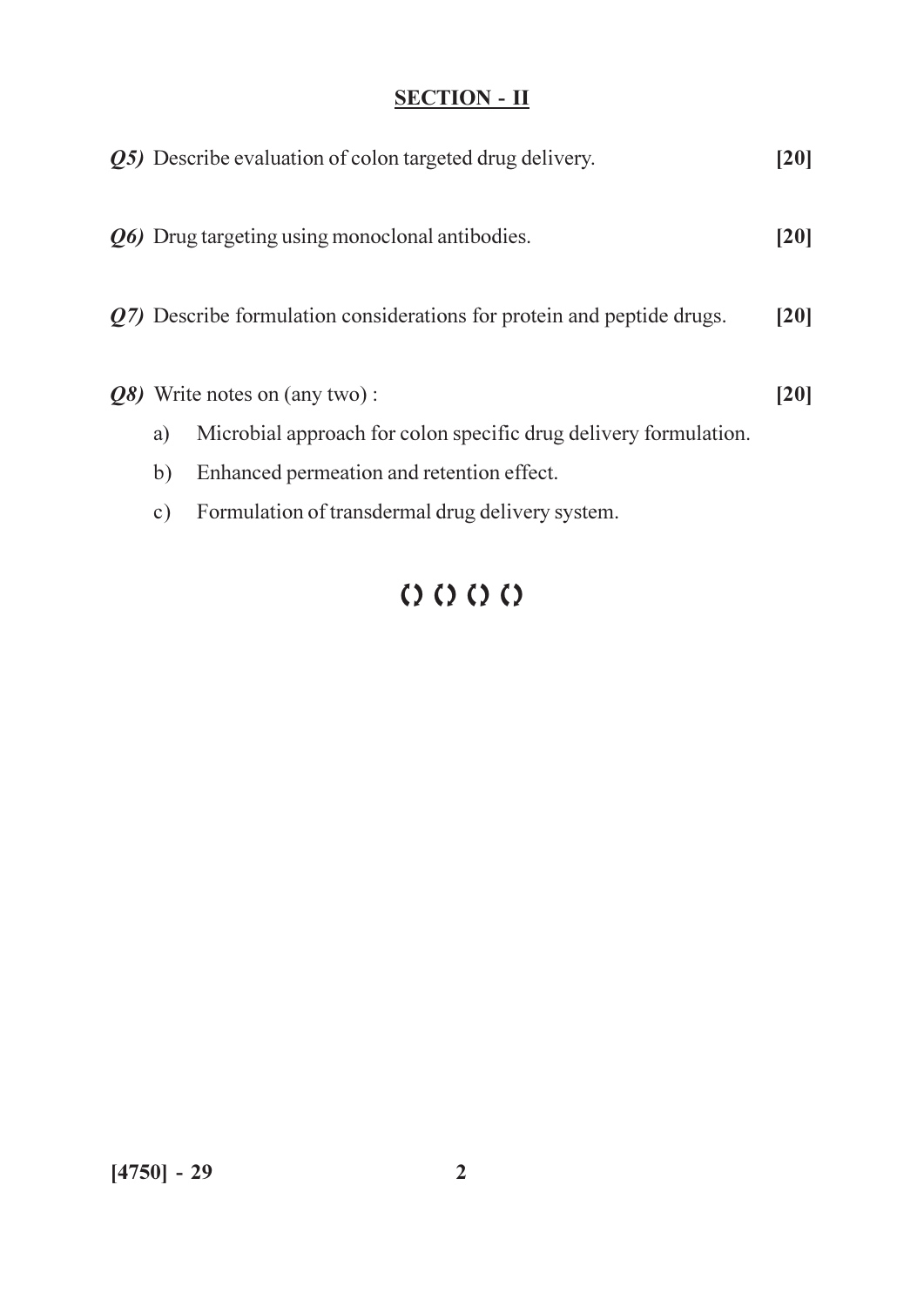|               | <b><i>Q5</i></b> ) Describe evaluation of colon targeted drug delivery. | 20   |
|---------------|-------------------------------------------------------------------------|------|
|               | Q6) Drug targeting using monoclonal antibodies.                         | [20] |
|               | Q7) Describe formulation considerations for protein and peptide drugs.  | [20] |
|               | <i>Q8</i> ) Write notes on (any two):                                   | [20] |
| a)            | Microbial approach for colon specific drug delivery formulation.        |      |
| b)            | Enhanced permeation and retention effect.                               |      |
| $\mathbf{c})$ | Formulation of transdermal drug delivery system.                        |      |

# $QQQQ$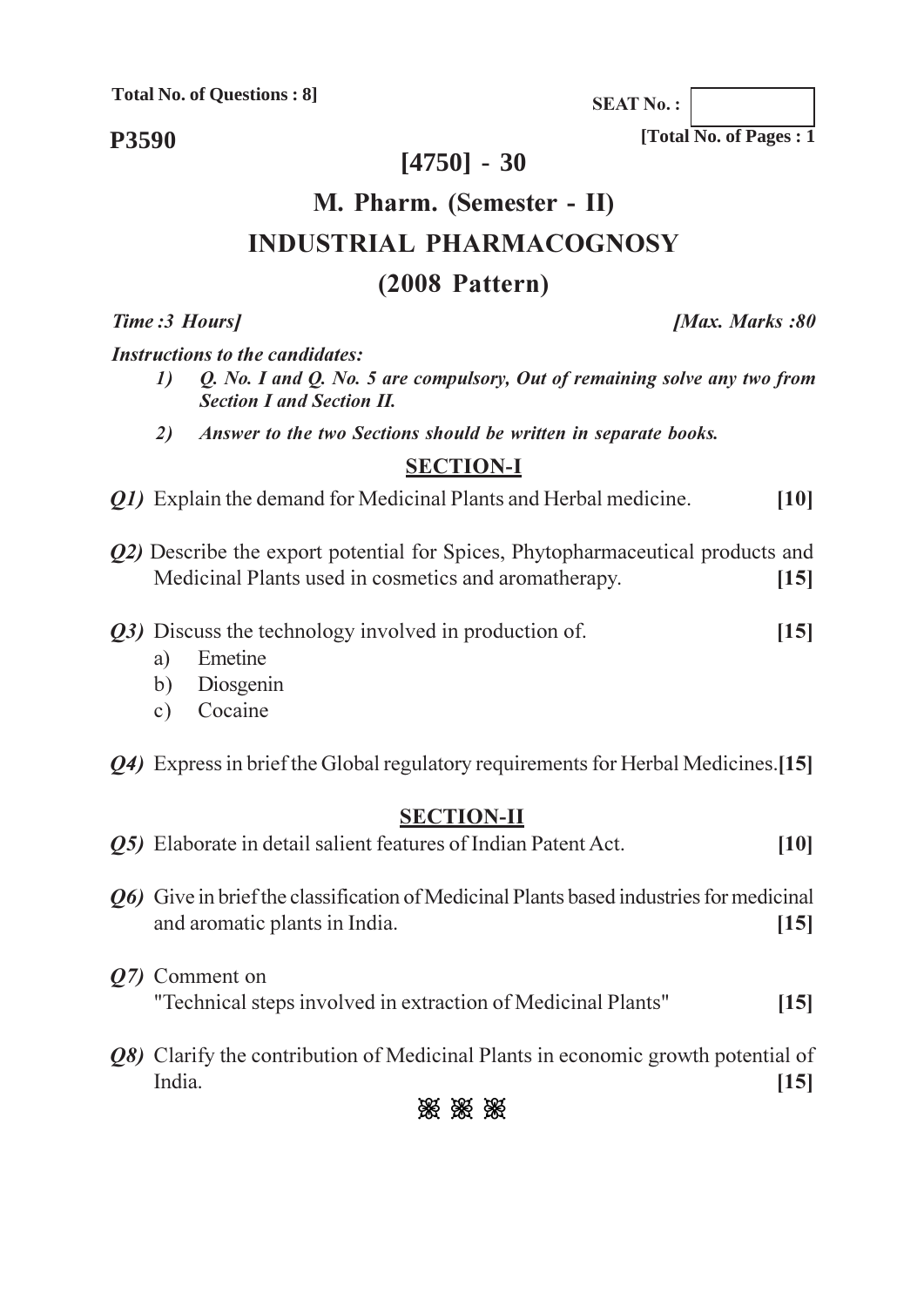**Total No. of Questions: 8]** 

P3590

## $[4750] - 30$

# M. Pharm. (Semester - II) **INDUSTRIAL PHARMACOGNOSY**

### $(2008$  Pattern)

Time: 3 Hours]

**Instructions to the candidates:** 

- $\mathbf{I}$ Q. No. I and Q. No. 5 are compulsory, Out of remaining solve any two from **Section I and Section II.**
- 2) Answer to the two Sections should be written in separate books.

### **SECTION-I**

- *O1*) Explain the demand for Medicinal Plants and Herbal medicine.  $[10]$
- *O2*) Describe the export potential for Spices, Phytopharmaceutical products and Medicinal Plants used in cosmetics and aromatherapy.  $[15]$
- Q3) Discuss the technology involved in production of.  $[15]$ 
	- Emetine a)
	- Diosgenin  $b)$
	- Cocaine  $c)$
- *Q4*) Express in brief the Global regulatory requirements for Herbal Medicines. [15]

### **SECTION-II**

- O5) Elaborate in detail salient features of Indian Patent Act.  $[10]$
- O6) Give in brief the classification of Medicinal Plants based industries for medicinal and aromatic plants in India.  $[15]$
- *O7* Comment on "Technical steps involved in extraction of Medicinal Plants"  $[15]$
- *Q8*) Clarify the contribution of Medicinal Plants in economic growth potential of India  $[15]$



**[Max. Marks:80**]

[Total No. of Pages: 1]

**SEAT No.:**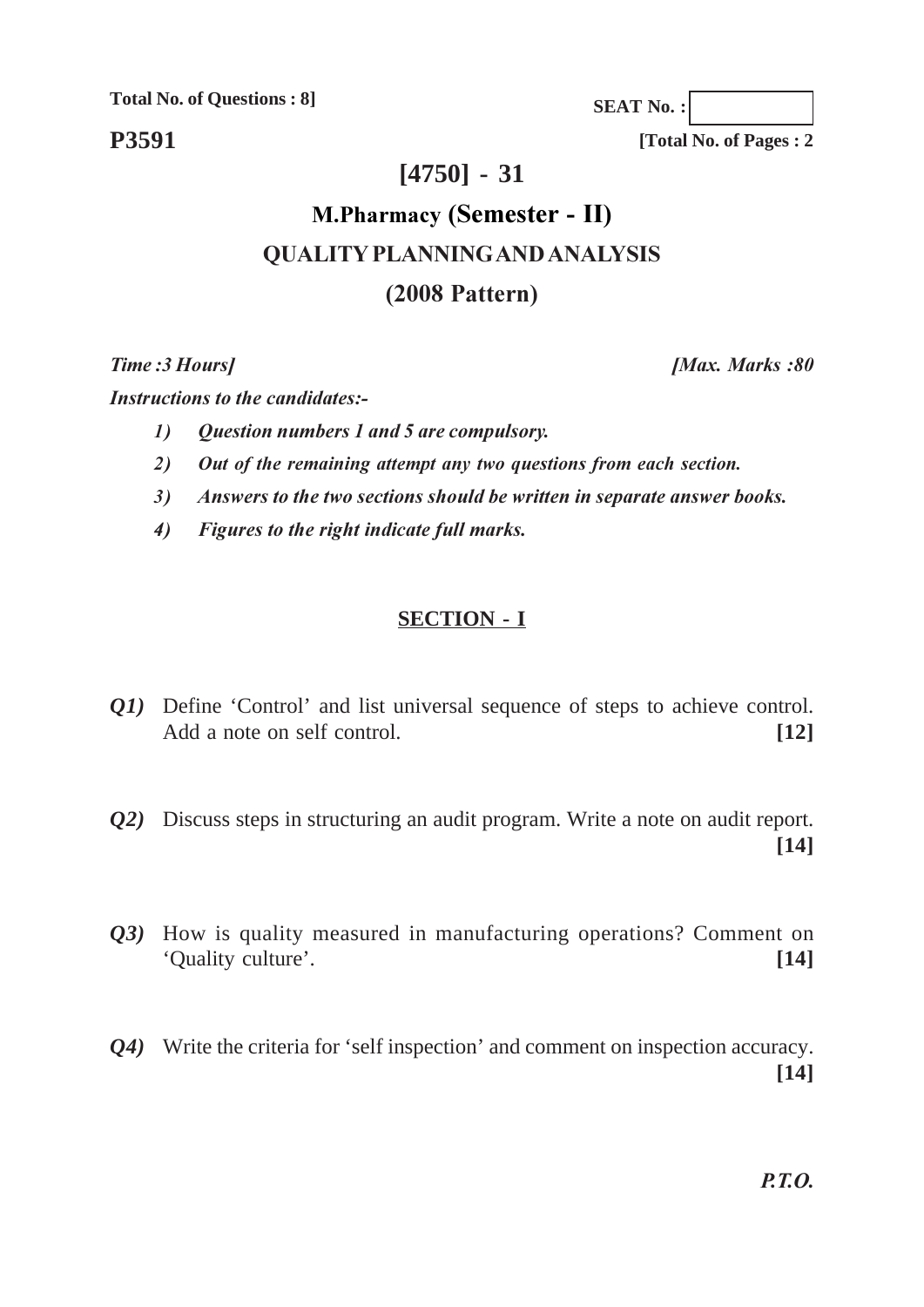**Total No. of Questions : 8]**

**P3591**

**[Total No. of Pages : 2**

**SEAT No. :**

## **[4750] - 31**

# **M.Pharmacy (Semester - II) QUALITY PLANNING AND ANALYSIS (2008 Pattern)**

*Time* : 3 Ho

Instructions to the candidates:-

- *-(elementagerian numbers 1 and 5 are compulsory.*
- 2) Out of the remaining attempt any two questions from each section.
- 3) Answers to the two sections should be written in separate answer books.
- 4) Figures to the right indicate full marks.

#### **SECTION - I**

- *Q1*) Define 'Control' and list universal sequence of steps to achieve control. Add a note on self control. **[12]**
- *Q2)* Discuss steps in structuring an audit program. Write a note on audit report. **[14]**
- *Q3)* How is quality measured in manufacturing operations? Comment on 'Quality culture'. **[14]**
- *Q4)* Write the criteria for 'self inspection' and comment on inspection accuracy. **[14]**

*<i>Max. Marks*:80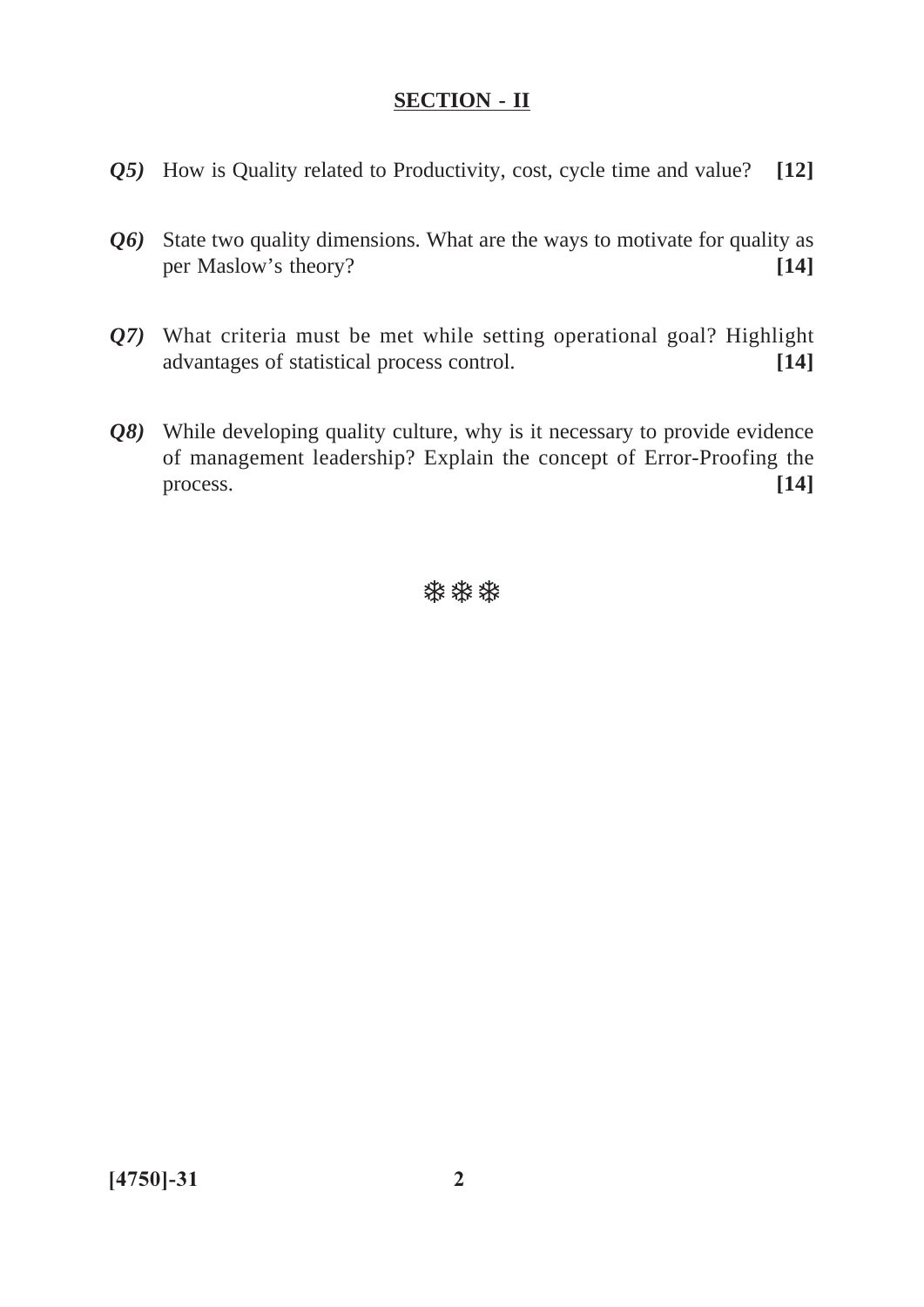- *Q5)* How is Quality related to Productivity, cost, cycle time and value? **[12]**
- *Q6)* State two quality dimensions. What are the ways to motivate for quality as per Maslow's theory? **[14]**
- *Q7)* What criteria must be met while setting operational goal? Highlight advantages of statistical process control. **[14]**
- *Q8)* While developing quality culture, why is it necessary to provide evidence of management leadership? Explain the concept of Error-Proofing the process. **[14]**

**\*\*\***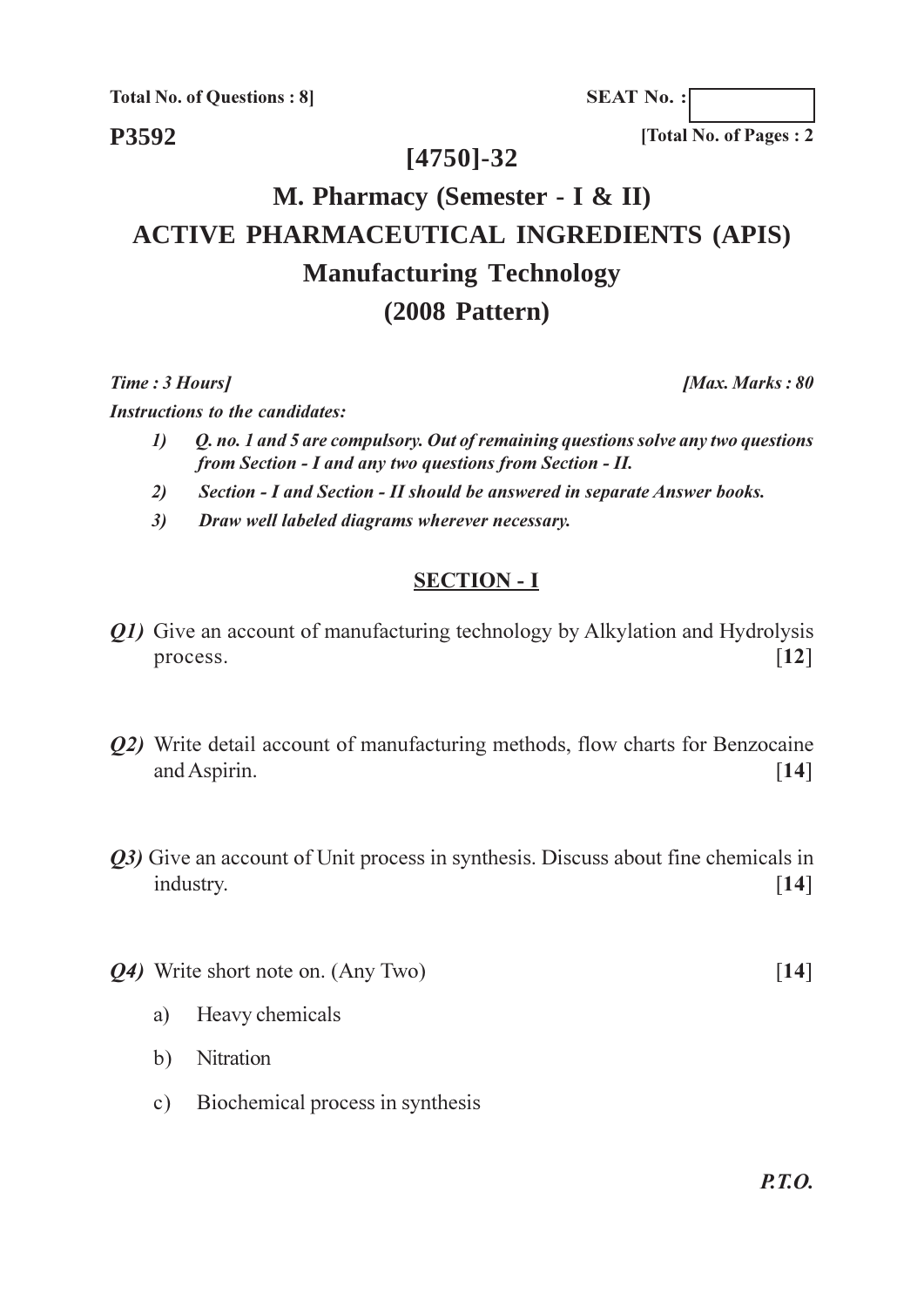**Total No. of Questions: 8** 

**SEAT No.:** 

P3592

#### $[4750] - 32$

# M. Pharmacy (Semester - I & II) **ACTIVE PHARMACEUTICAL INGREDIENTS (APIS) Manufacturing Technology**  $(2008$  Pattern)

Time: 3 Hours]

**Instructions to the candidates:** 

- Q. no. 1 and 5 are compulsory. Out of remaining questions solve any two questions  $\boldsymbol{\eta}$ from Section - I and any two questions from Section - II.
- Section I and Section II should be answered in separate Answer books.  $2)$
- Draw well labeled diagrams wherever necessary.  $3)$

#### **SECTION - I**

- *O1*) Give an account of manufacturing technology by Alkylation and Hydrolysis  $[12]$ process.
- Q2) Write detail account of manufacturing methods, flow charts for Benzocaine and Aspirin.  $\lceil 14 \rceil$
- 03) Give an account of Unit process in synthesis. Discuss about fine chemicals in industry.  $\lceil 14 \rceil$
- *O4*) Write short note on. (Any Two)  $\lceil 14 \rceil$ 
	- Heavy chemicals a)
	- b) Nitration
	- Biochemical process in synthesis  $c)$

[Max. Marks: 80]

[Total No. of Pages: 2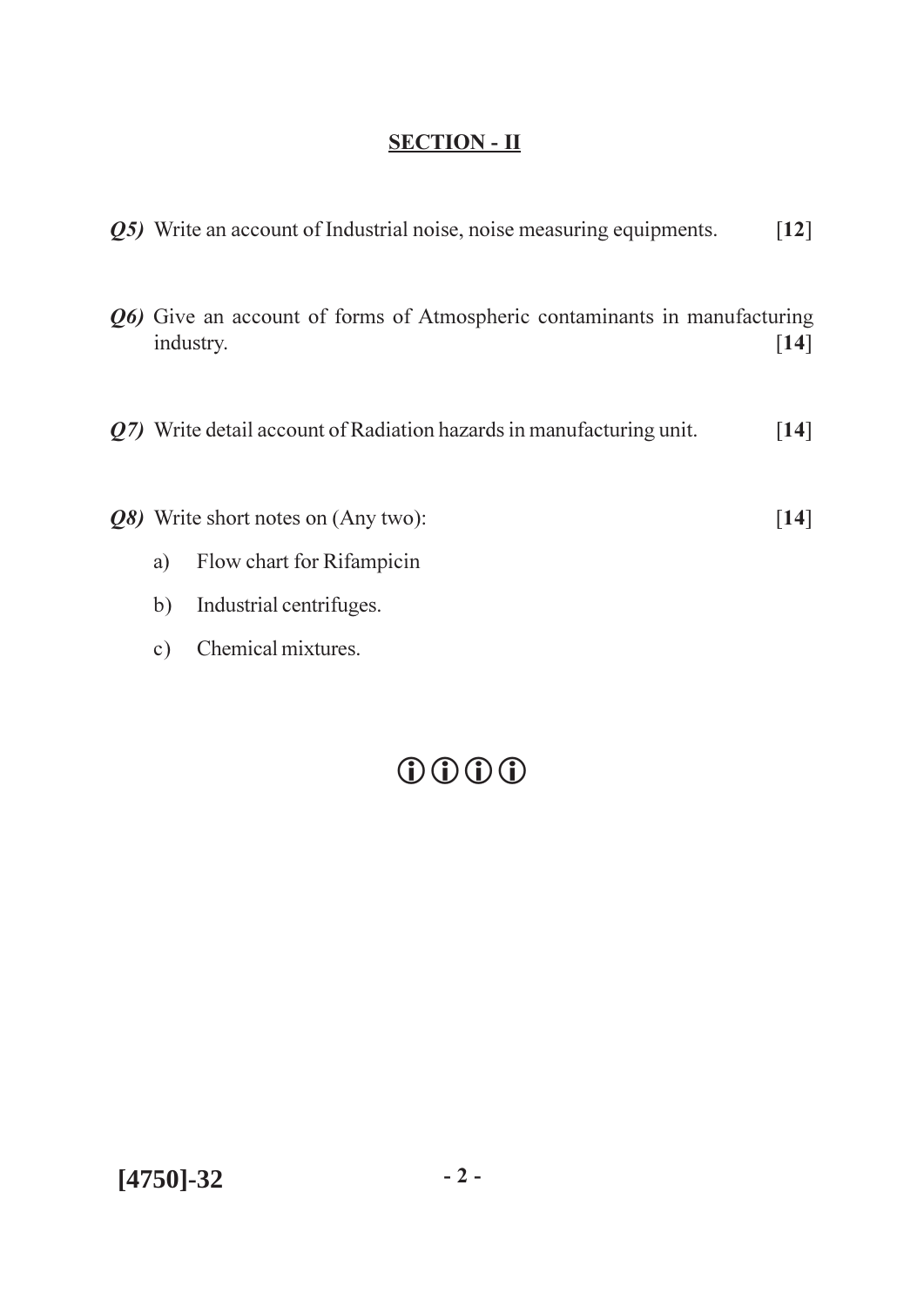|    | Q5) Write an account of Industrial noise, noise measuring equipments.                  | $\lceil 12 \rceil$ |
|----|----------------------------------------------------------------------------------------|--------------------|
|    | Q6) Give an account of forms of Atmospheric contaminants in manufacturing<br>industry. | $\lceil 14 \rceil$ |
|    | $\varrho$ 7) Write detail account of Radiation hazards in manufacturing unit.          | $[14]$             |
|    | <i>Q8</i> ) Write short notes on (Any two):                                            | 14                 |
| a) | Flow chart for Rifampicin                                                              |                    |
| b) | Industrial centrifuges.                                                                |                    |

c) Chemical mixtures.

# $\begin{tabular}{ccccc} & $\circ$ & $\circ$ & $\circ$ \\ \hline $\circ$ & $\circ$ & $\circ$ & $\circ$ \\ \hline \end{tabular}$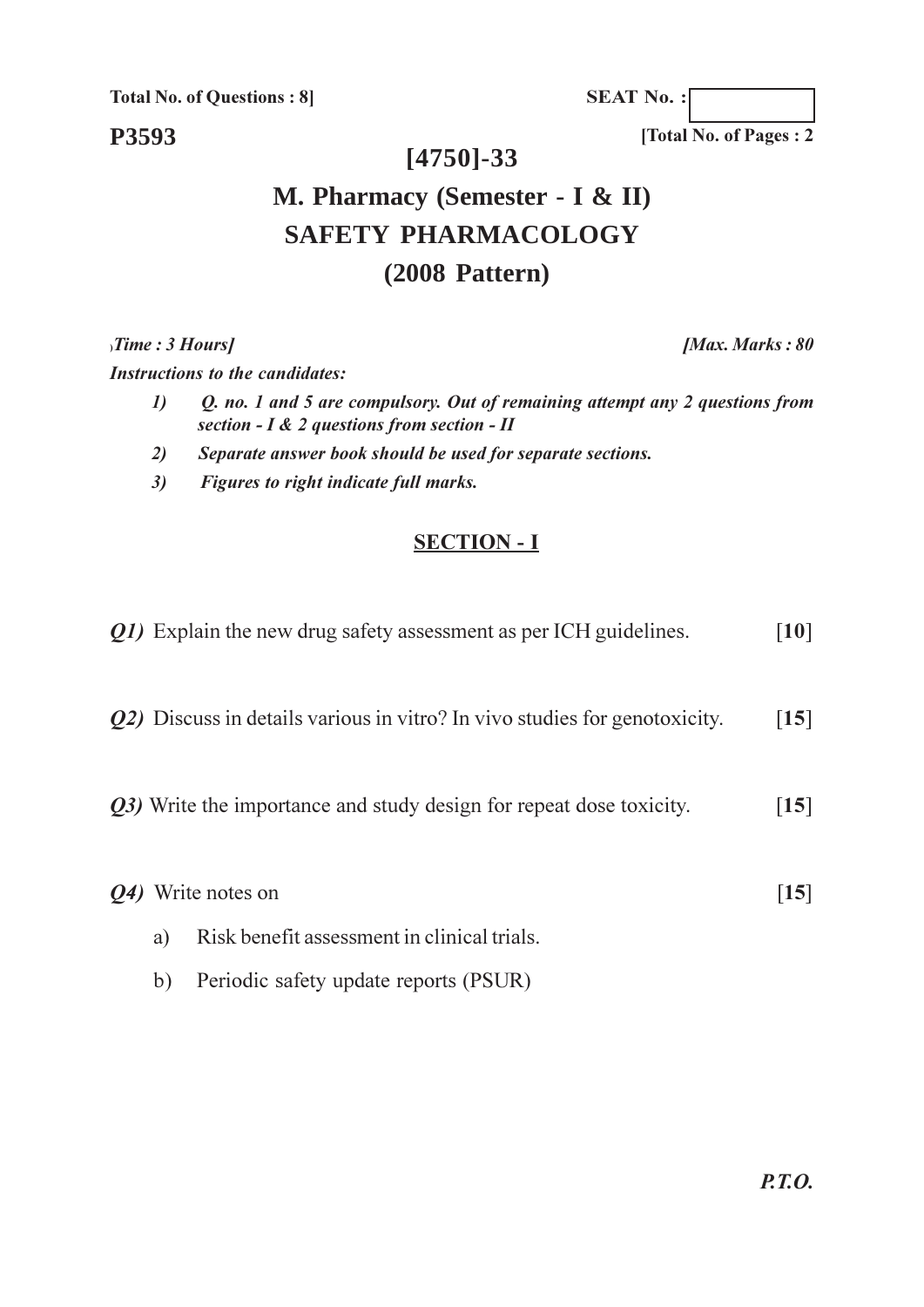**Total No. of Questions: 8]** 

**SEAT No.:** 

P3593

### $[4750] - 33$

# M. Pharmacy (Semester - I & II) **SAFETY PHARMACOLOGY**  $(2008$  Pattern)

 $\sum$  Time : 3 Hours]

**Instructions to the candidates:** 

- Q. no. 1 and 5 are compulsory. Out of remaining attempt any 2 questions from  $\boldsymbol{\eta}$ section -  $I \& 2$  questions from section -  $II$
- $2)$ Separate answer book should be used for separate sections.
- $3)$ Figures to right indicate full marks.

#### **SECTION - I**

|           |    | <i>O1</i> ) Explain the new drug safety assessment as per ICH guidelines.          | $\lceil 10 \rceil$            |
|-----------|----|------------------------------------------------------------------------------------|-------------------------------|
|           |    | <i>Q2</i> ) Discuss in details various in vitro? In vivo studies for genotoxicity. | $\left[15\right]$             |
|           |    | <i>Q3</i> ) Write the importance and study design for repeat dose toxicity.        | $\lceil 15 \rceil$            |
| <b>O4</b> |    | Write notes on                                                                     | $\left\lceil 15 \right\rceil$ |
|           | a) | Risk benefit assessment in clinical trials.                                        |                               |
|           | b) | Periodic safety update reports (PSUR)                                              |                               |

[Max. Marks: 80

[Total No. of Pages: 2]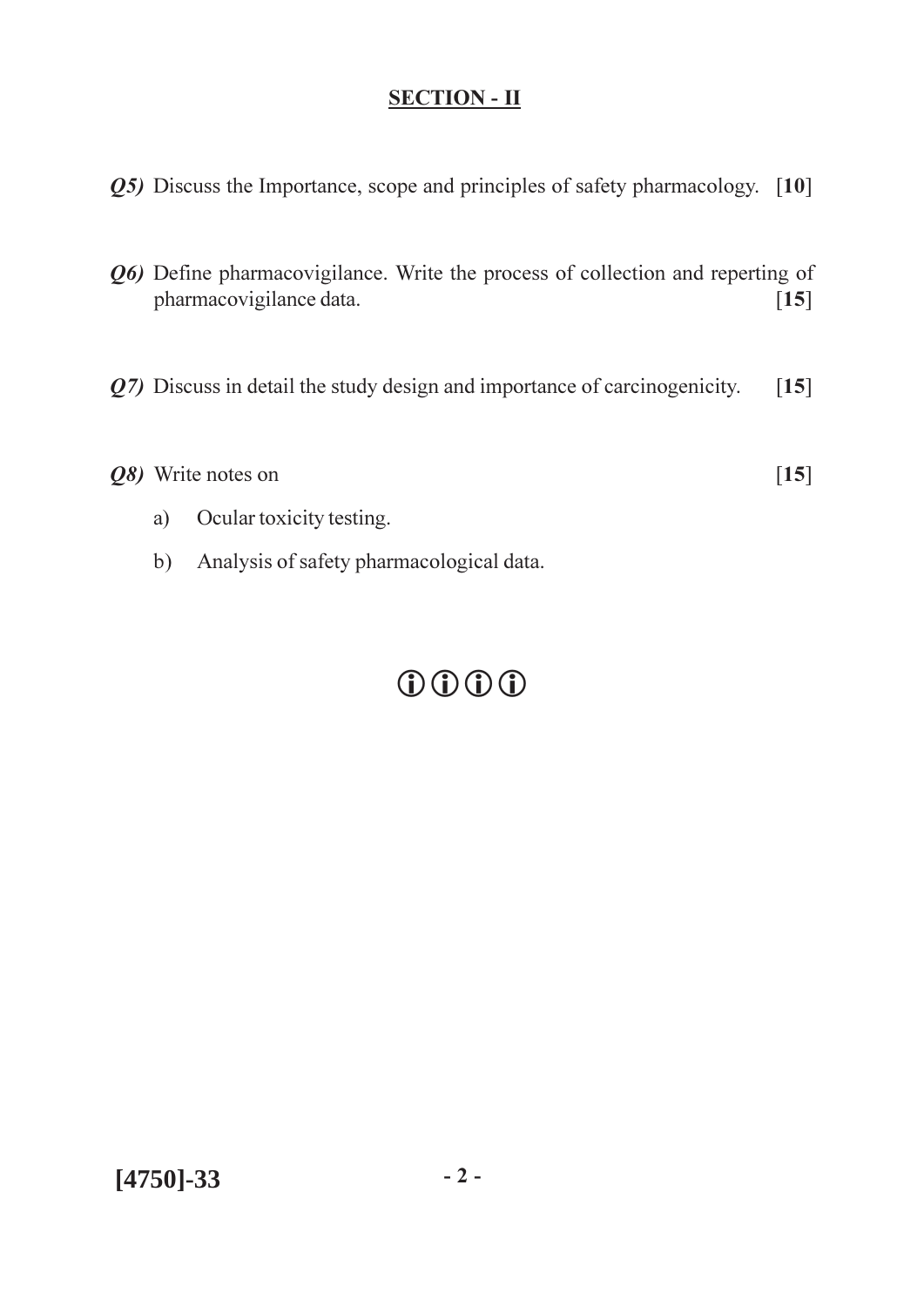- $Q5$ ) Discuss the Importance, scope and principles of safety pharmacology. [10]
- Q6) Define pharmacovigilance. Write the process of collection and reperting of pharmacovigilance data.  $[15]$
- $Q$ 7) Discuss in detail the study design and importance of carcinogenicity.  $[15]$

| Q8) Write notes on | $[15]$ |
|--------------------|--------|
|                    |        |

- Ocular toxicity testing. a)
- b) Analysis of safety pharmacological data.

# $0000$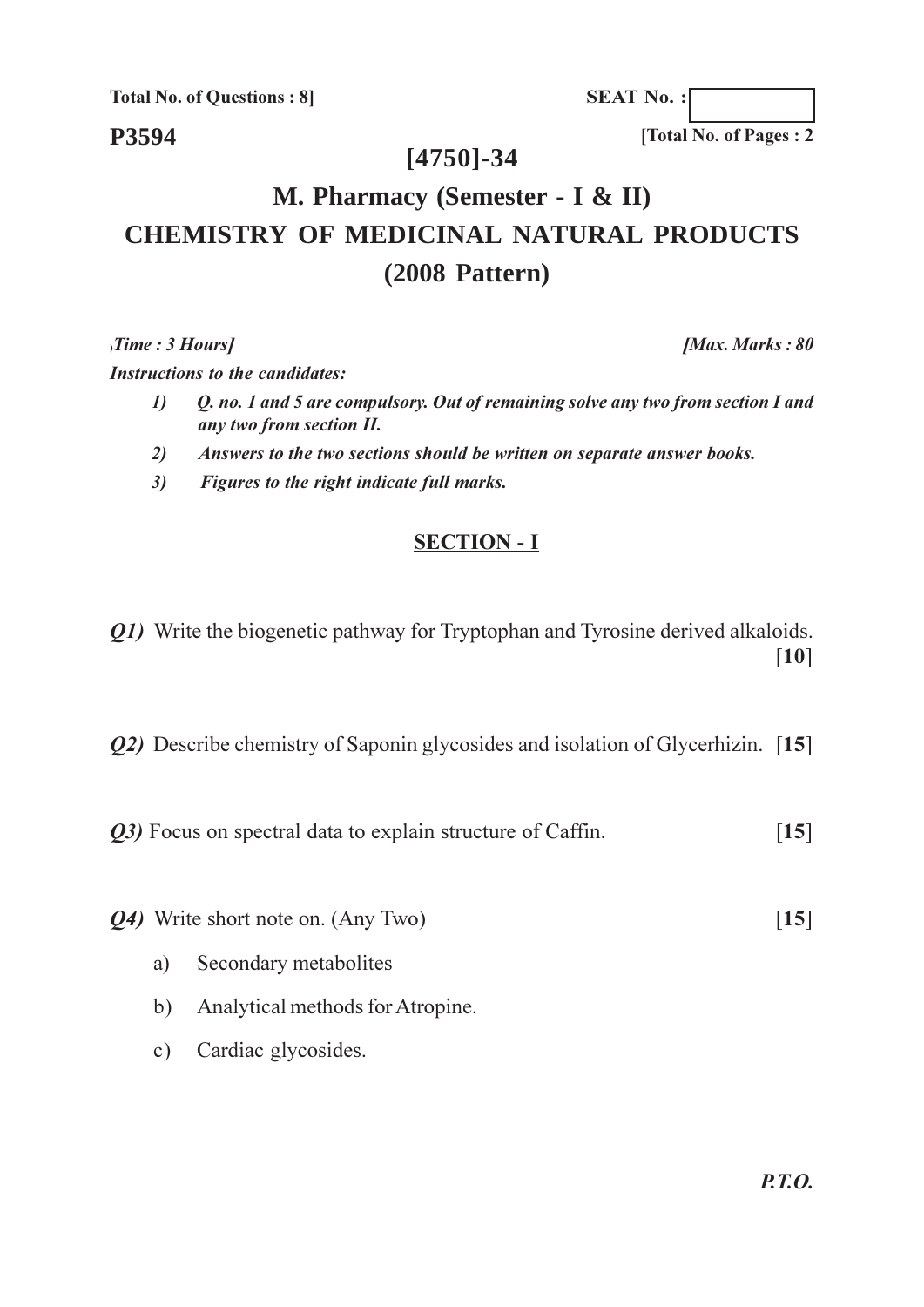**Total No. of Questions: 8** 

**SEAT No.:** 

P3594

#### $[4750] - 34$

# M. Pharmacy (Semester - I & II) **CHEMISTRY OF MEDICINAL NATURAL PRODUCTS**  $(2008$  Pattern)

 $\sum$  Time : 3 Hours

**Instructions to the candidates:** 

- $\boldsymbol{\eta}$ Q. no. 1 and 5 are compulsory. Out of remaining solve any two from section I and any two from section II.
- Answers to the two sections should be written on separate answer books.  $2)$
- $3)$ Figures to the right indicate full marks.

### **SECTION - I**

*O1*) Write the biogenetic pathway for Tryptophan and Tyrosine derived alkaloids.  $[10]$ 

*Q2*) Describe chemistry of Saponin glycosides and isolation of Glycerhizin. [15]

- Q3) Focus on spectral data to explain structure of Caffin.  $[15]$
- *Q4*) Write short note on. (Any Two)  $[15]$ 
	- Secondary metabolites  $a)$
	- b) Analytical methods for Atropine.
	- Cardiac glycosides.  $c)$

[Max. Marks: 80]

[Total No. of Pages: 2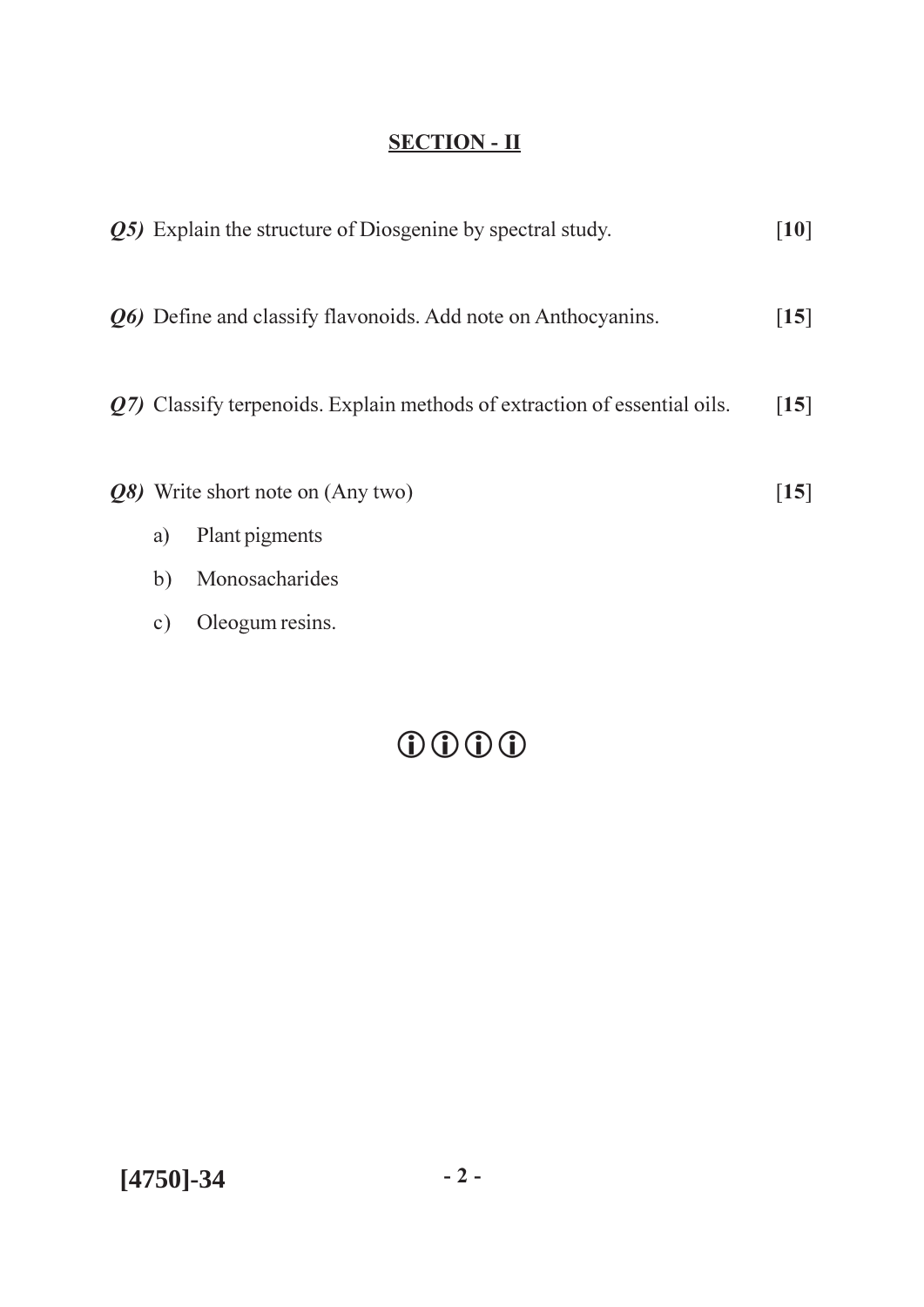|           | Q5) Explain the structure of Diosgenine by spectral study.                | $\lceil 10 \rceil$ |
|-----------|---------------------------------------------------------------------------|--------------------|
|           | Q6) Define and classify flavonoids. Add note on Anthocyanins.             | $\left[15\right]$  |
|           | Q7) Classify terpenoids. Explain methods of extraction of essential oils. | $[15]$             |
|           | Q8) Write short note on (Any two)                                         | $\lceil 15 \rceil$ |
| a)        | Plant pigments                                                            |                    |
| b)        | Monosacharides                                                            |                    |
| $\circ$ ) | Oleogum resins.                                                           |                    |
|           |                                                                           |                    |
|           |                                                                           |                    |
|           |                                                                           |                    |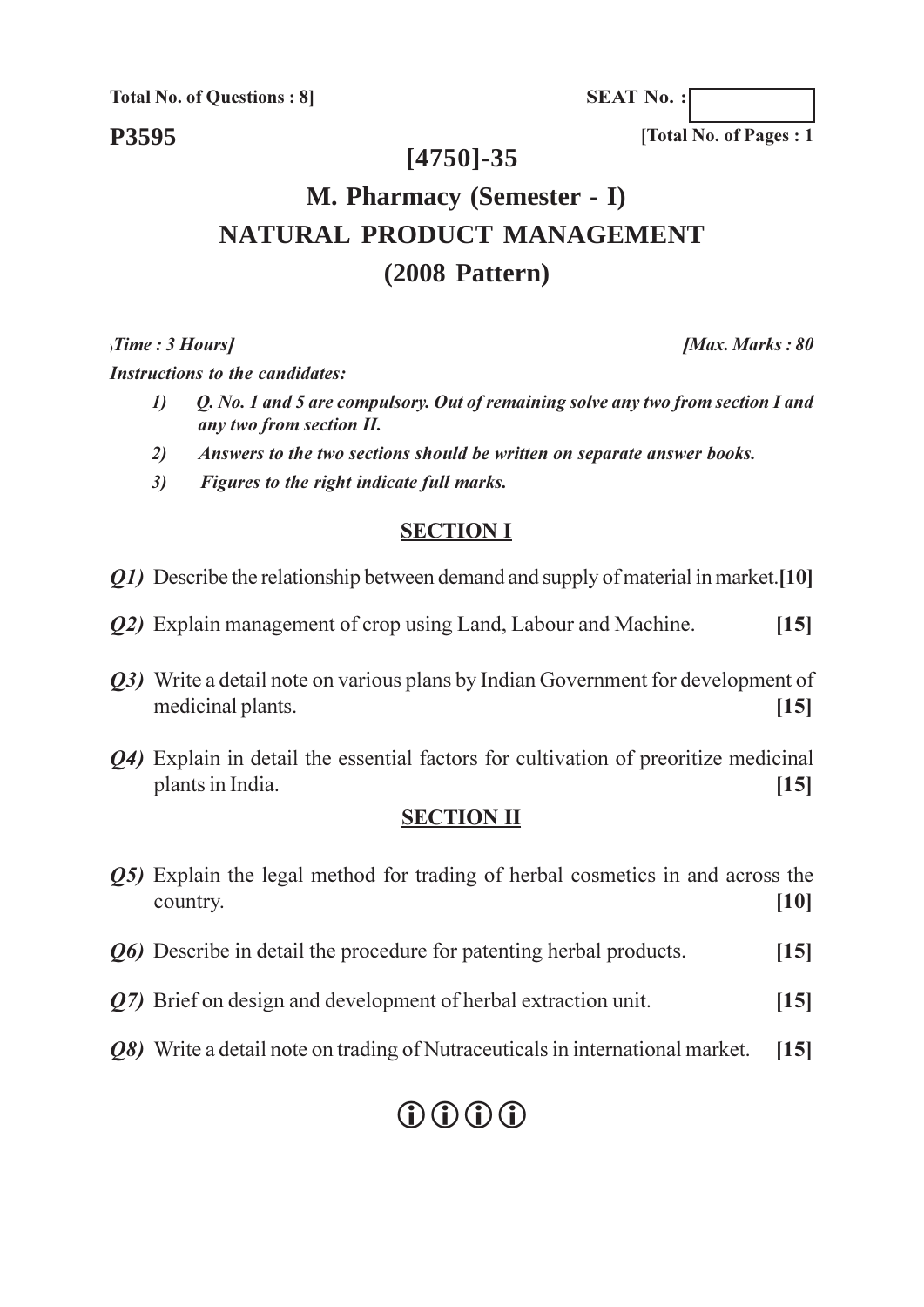**Total No. of Questions: 8** 

**SEAT No.:** 

#### P3595

#### $[4750] - 35$

# M. Pharmacy (Semester - I) NATURAL PRODUCT MANAGEMENT  $(2008$  Pattern)

 $, Time : 3$  Hours]

**Instructions to the candidates:** 

- $\boldsymbol{\eta}$ Q. No. 1 and 5 are compulsory. Out of remaining solve any two from section I and any two from section II.
- Answers to the two sections should be written on separate answer books.  $2)$
- $3)$ Figures to the right indicate full marks.

#### **SECTION I**

*O1*) Describe the relationship between demand and supply of material in market. [10]

- *O2*) Explain management of crop using Land, Labour and Machine.  $[15]$
- *O3*) Write a detail note on various plans by Indian Government for development of medicinal plants.  $[15]$
- *Q4*) Explain in detail the essential factors for cultivation of preoritize medicinal plants in India.  $[15]$

#### **SECTION II**

| <b>O5</b> ) Explain the legal method for trading of herbal cosmetics in and across the<br>country. | [10]             |
|----------------------------------------------------------------------------------------------------|------------------|
| <i>O6</i> ) Describe in detail the procedure for patenting herbal products.                        | [15]             |
| $Q7$ ) Brief on design and development of herbal extraction unit.                                  | $\vert 15 \vert$ |
| Q8) Write a detail note on trading of Nutraceuticals in international market.                      | $\vert 15 \vert$ |

# $\bigcirc$   $\bigcirc$   $\bigcirc$   $\bigcirc$

[Max. Marks: 80]

[Total No. of Pages: 1]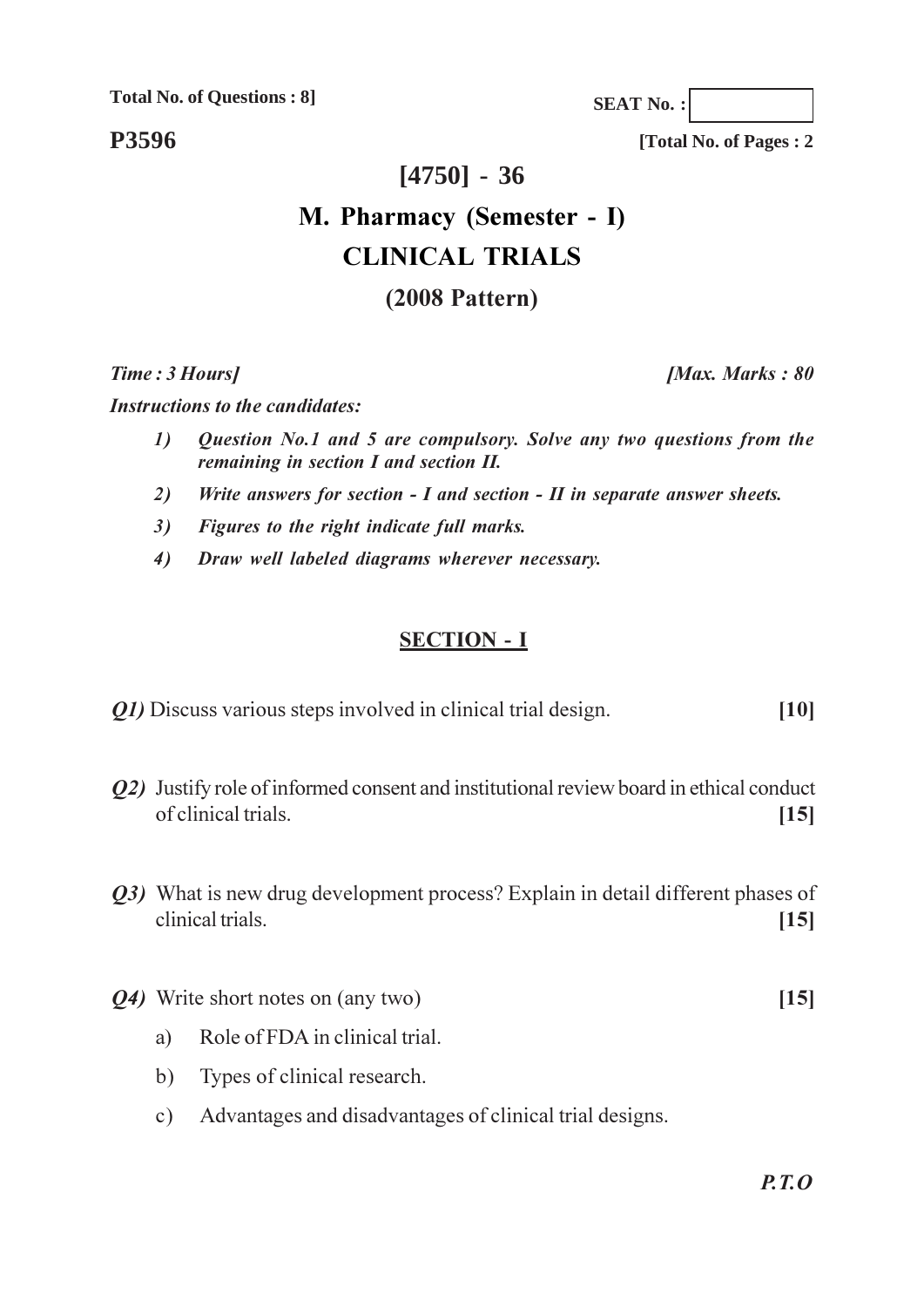**Total No. of Questions: 8]** 

P3596

[Total No. of Pages: 2]

**SEAT No.:** 

# $[4750] - 36$

# M. Pharmacy (Semester - I) **CLINICAL TRIALS**  $(2008$  Pattern)

Time: 3 Hours]

[Max. Marks: 80

**Instructions to the candidates:** 

- Question No.1 and 5 are compulsory. Solve any two questions from the  $\mathcal{D}$ remaining in section I and section II.
- Write answers for section  $I$  and section  $II$  in separate answer sheets. 2)
- Figures to the right indicate full marks.  $3)$
- Draw well labeled diagrams wherever necessary.  $4)$

#### **SECTION - I**

- *Q1*) Discuss various steps involved in clinical trial design.  $[10]$
- *O2*) Justify role of informed consent and institutional review board in ethical conduct of clinical trials.  $[15]$
- Q3) What is new drug development process? Explain in detail different phases of clinical trials.  $[15]$
- *Q4*) Write short notes on (any two)  $[15]$ 
	- Role of FDA in clinical trial. a)
	- $b)$ Types of clinical research.
	- Advantages and disadvantages of clinical trial designs.  $c)$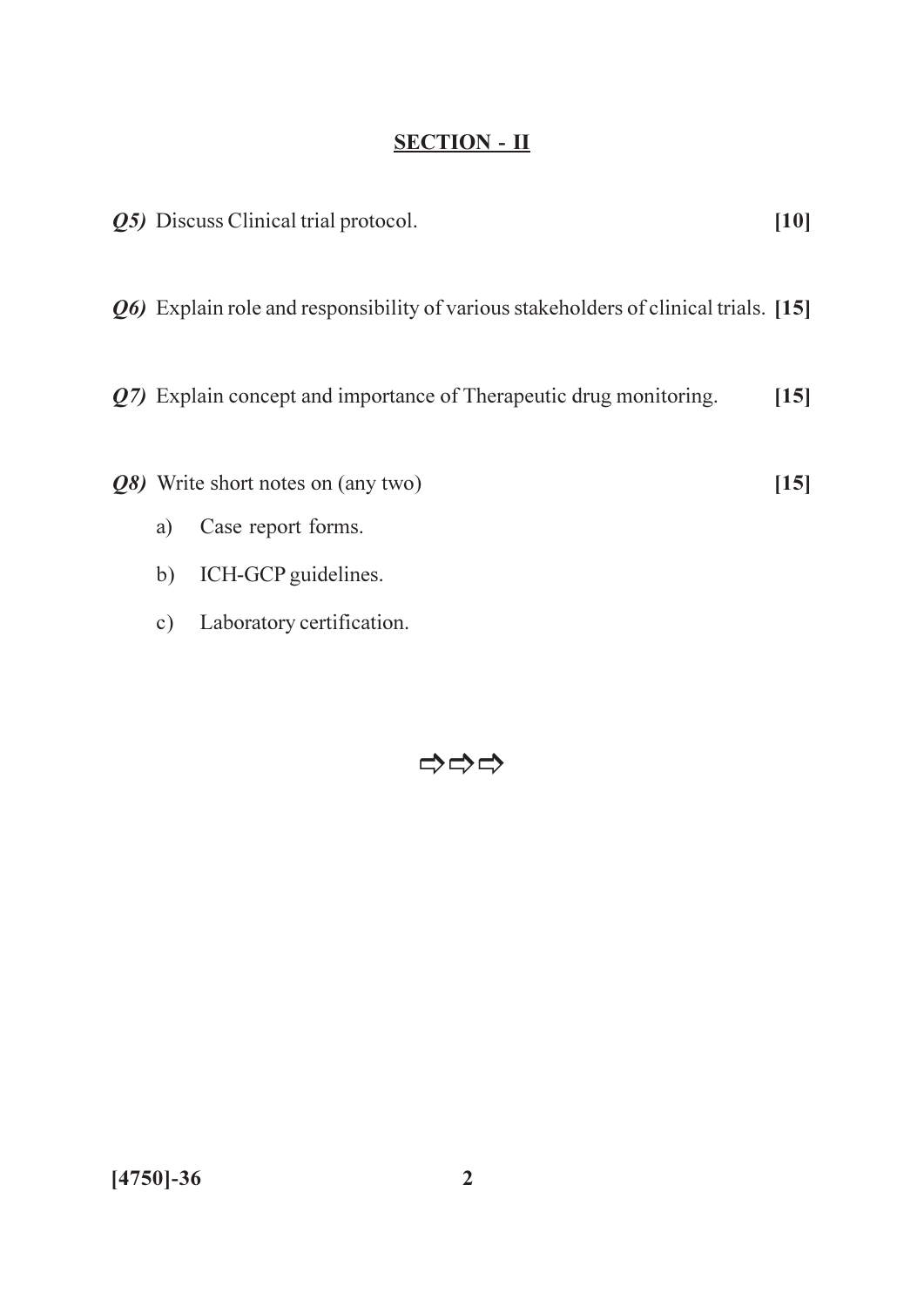|               | <b><i>Q5</i></b> ) Discuss Clinical trial protocol.                                          | [10] |
|---------------|----------------------------------------------------------------------------------------------|------|
|               | <i>Q</i> 6) Explain role and responsibility of various stakeholders of clinical trials. [15] |      |
|               | Q7) Explain concept and importance of Therapeutic drug monitoring.                           | [15] |
| a)            | Q8) Write short notes on (any two)<br>Case report forms.                                     | [15] |
| b)            | ICH-GCP guidelines.                                                                          |      |
| $\mathbf{c})$ | Laboratory certification.                                                                    |      |

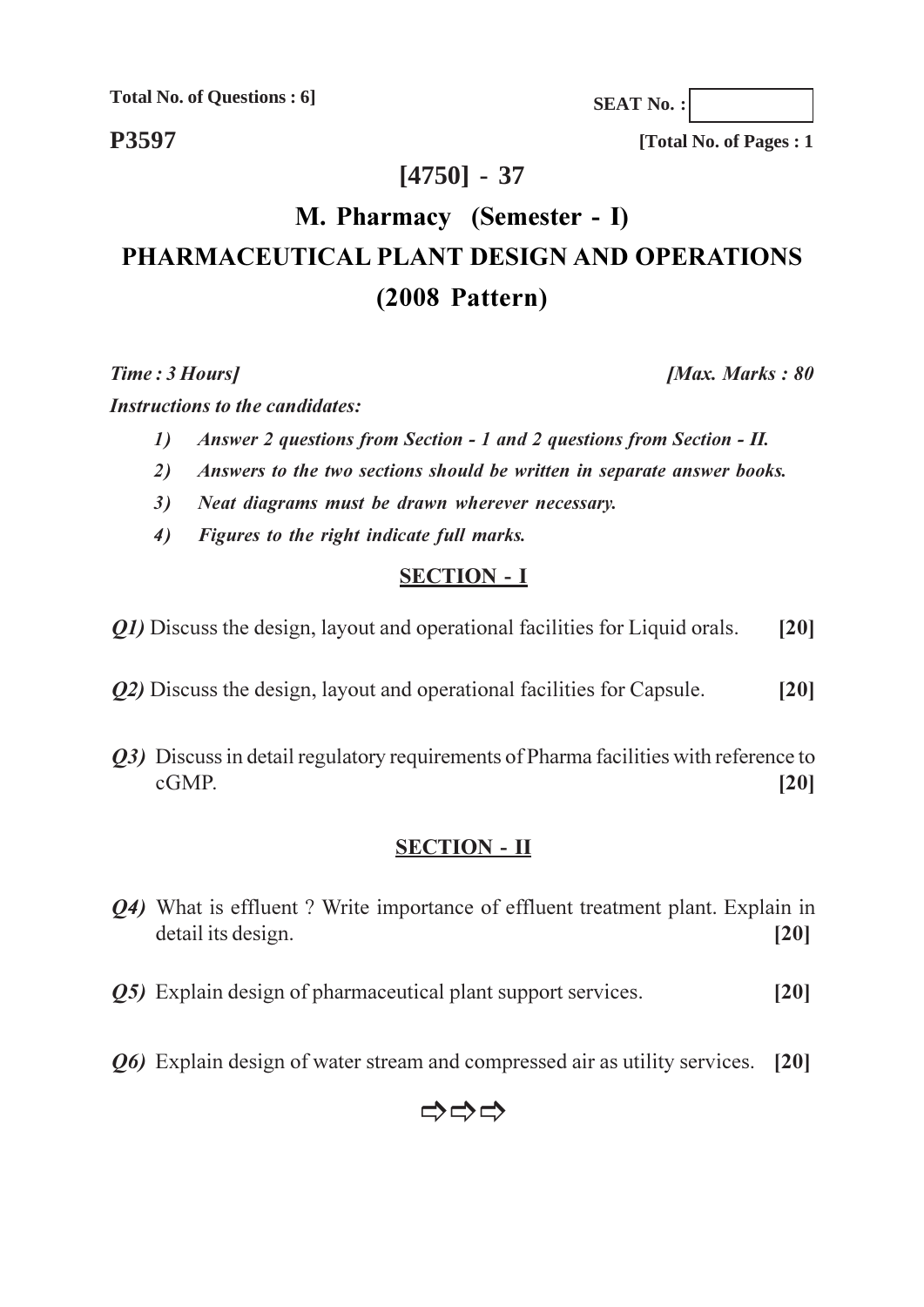**Total No. of Questions: 6]** 

P3597

[Total No. of Pages: 1]

**SEAT No.:** 

## $[4750] - 37$

# M. Pharmacy (Semester - I) PHARMACEUTICAL PLANT DESIGN AND OPERATIONS  $(2008$  Pattern)

Time: 3 Hours]

[Max. Marks: 80

**Instructions to the candidates:** 

- $\mathbf{D}$ Answer 2 questions from Section - 1 and 2 questions from Section - II.
- Answers to the two sections should be written in separate answer books.  $2)$
- Neat diagrams must be drawn wherever necessary.  $3)$
- $4)$ Figures to the right indicate full marks.

### **SECTION - I**

- *O1*) Discuss the design, layout and operational facilities for Liquid orals.  $[20]$
- *O2*) Discuss the design, layout and operational facilities for Capsule.  $[20]$
- O3) Discuss in detail regulatory requirements of Pharma facilities with reference to  $cGMP$ .  $[20]$

### **SECTION - II**

- *O4*) What is effluent? Write importance of effluent treatment plant. Explain in detail its design.  $[20]$
- *O5*) Explain design of pharmaceutical plant support services.  $[20]$
- *O*<sup>6</sup> Explain design of water stream and compressed air as utility services. [20]

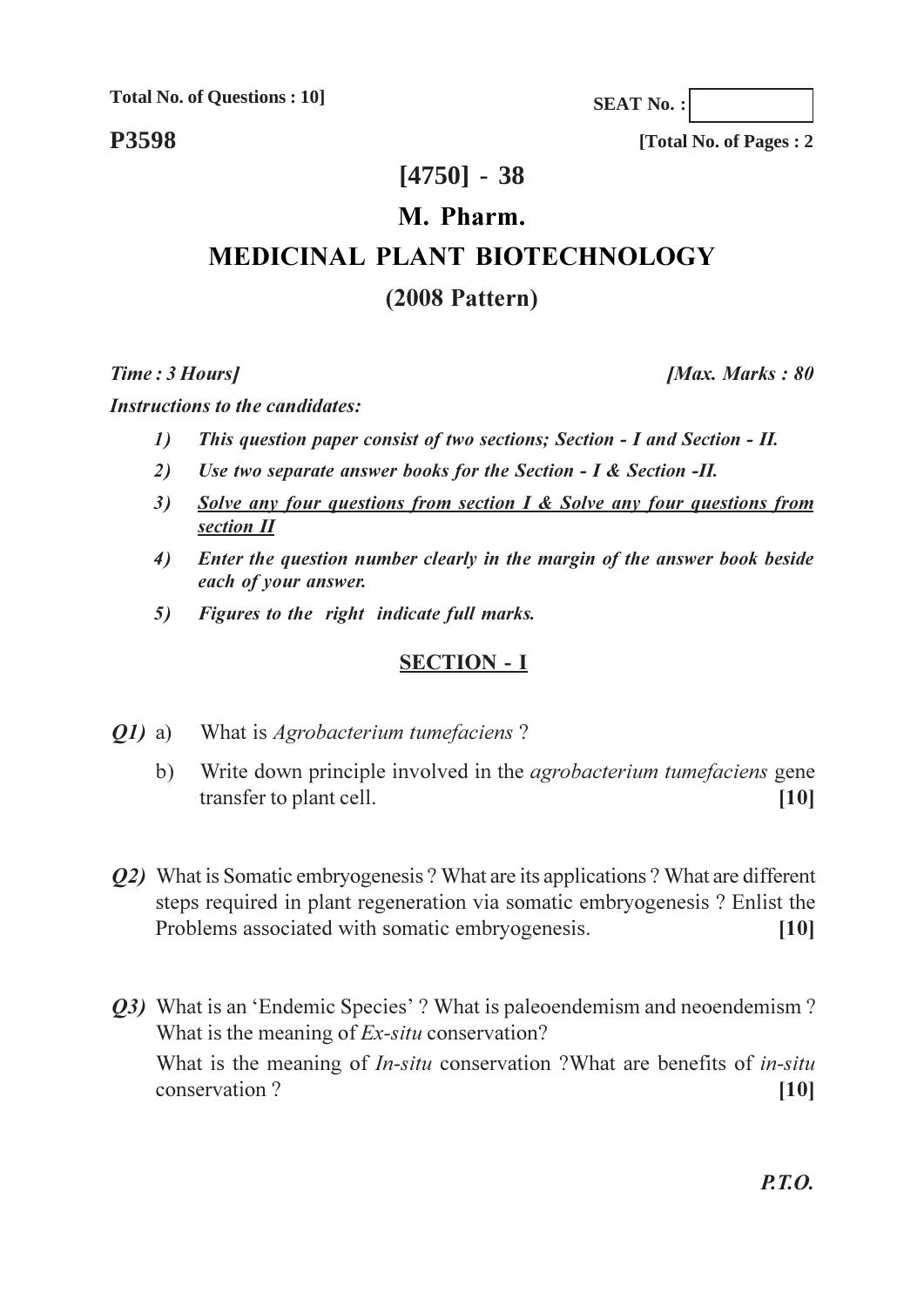**Total No. of Questions: 10]** 

**P3598** 

[Total No. of Pages: 2]

**SEAT No.:** 

## $[4750] - 38$

#### M. Pharm.

# **MEDICINAL PLANT BIOTECHNOLOGY**

### $(2008$  Pattern)

Time: 3 Hours]

[Max. Marks: 80

**Instructions to the candidates:** 

- $\mathbf{D}$ This question paper consist of two sections; Section - I and Section - II.
- Use two separate answer books for the Section I & Section -II.  $2)$
- Solve any four questions from section  $I \&$  Solve any four questions from  $3)$ section II
- $4)$ Enter the question number clearly in the margin of the answer book beside each of your answer.
- Figures to the right indicate full marks. 5)

#### **SECTION - I**

- What is *Agrobacterium tumefaciens? O1*) a)
	- $b)$ Write down principle involved in the *agrobacterium tumefaciens* gene transfer to plant cell.  $[10]$
- *O2* What is Somatic embryogenesis? What are its applications? What are different steps required in plant regeneration via somatic embryogenesis? Enlist the Problems associated with somatic embryogenesis.  $[10]$
- Q3) What is an 'Endemic Species' ? What is paleoendemism and neoendemism ? What is the meaning of *Ex-situ* conservation? What is the meaning of *In-situ* conservation ?What are benefits of *in-situ* conservation?  $[10]$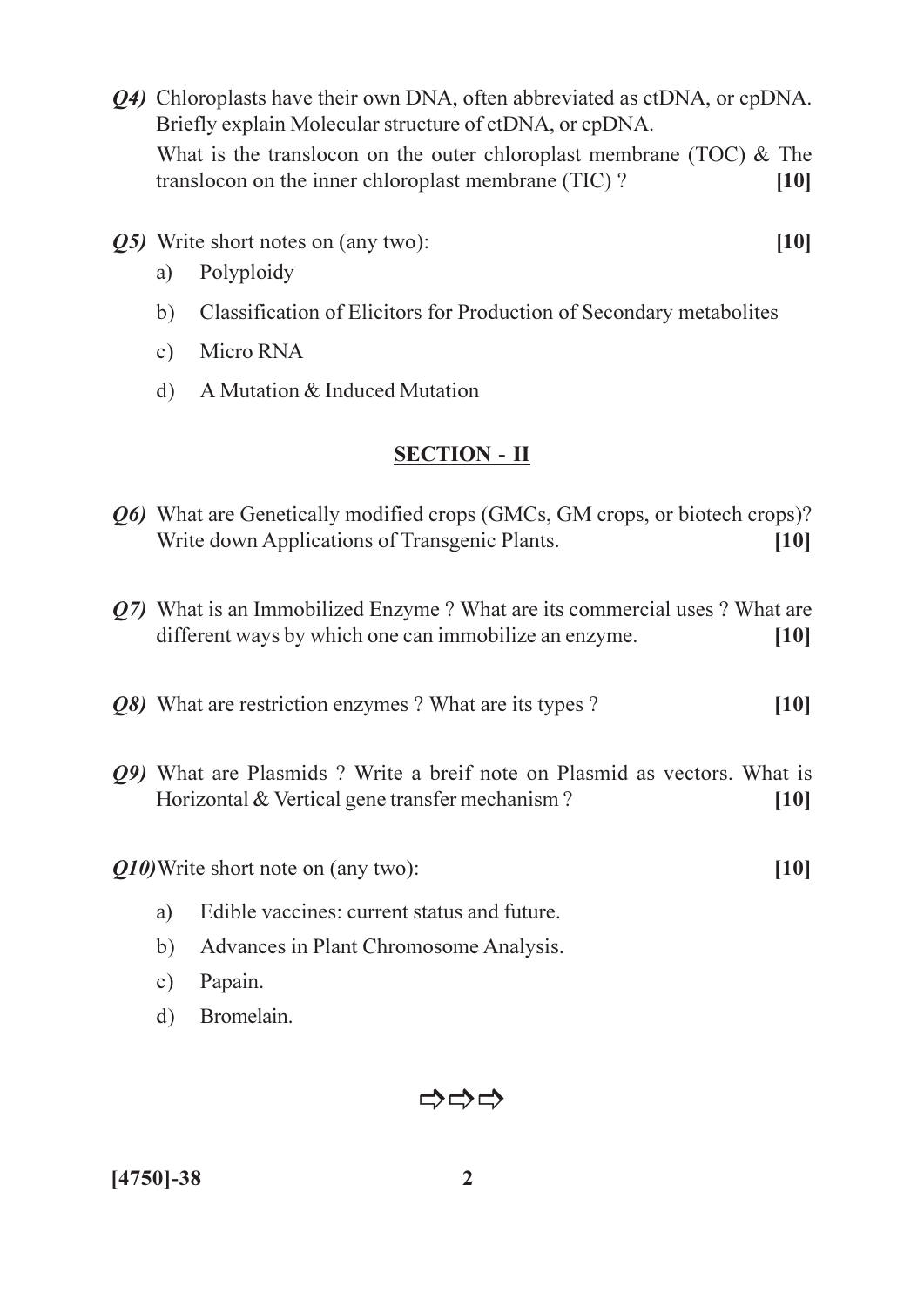- Q4) Chloroplasts have their own DNA, often abbreviated as ctDNA, or cpDNA. Briefly explain Molecular structure of ctDNA, or cpDNA. What is the translocon on the outer chloroplast membrane (TOC)  $&$  The translocon on the inner chloroplast membrane (TIC)?  $[10]$
- Q5) Write short notes on (any two):
	- Polyploidy a)
	- b) Classification of Elicitors for Production of Secondary metabolites

 $[10]$ 

 $[10]$ 

- c) Micro RNA
- $d)$  A Mutation & Induced Mutation

#### **SECTION - II**

- *Q6*) What are Genetically modified crops (GMCs, GM crops, or biotech crops)? Write down Applications of Transgenic Plants.  $[10]$
- Q7) What is an Immobilized Enzyme? What are its commercial uses? What are different ways by which one can immobilize an enzyme.  $[10]$
- *O8* What are restriction enzymes? What are its types?  $[10]$
- *O9* What are Plasmids? Write a breif note on Plasmid as vectors. What is Horizontal & Vertical gene transfer mechanism?  $[10]$

Q10) Write short note on (any two):

- Edible vaccines: current status and future.  $a)$
- $b)$ Advances in Plant Chromosome Analysis.
- Papain.  $c)$
- Bromelain.  $d)$



 $[4750] - 38$ 

 $\overline{2}$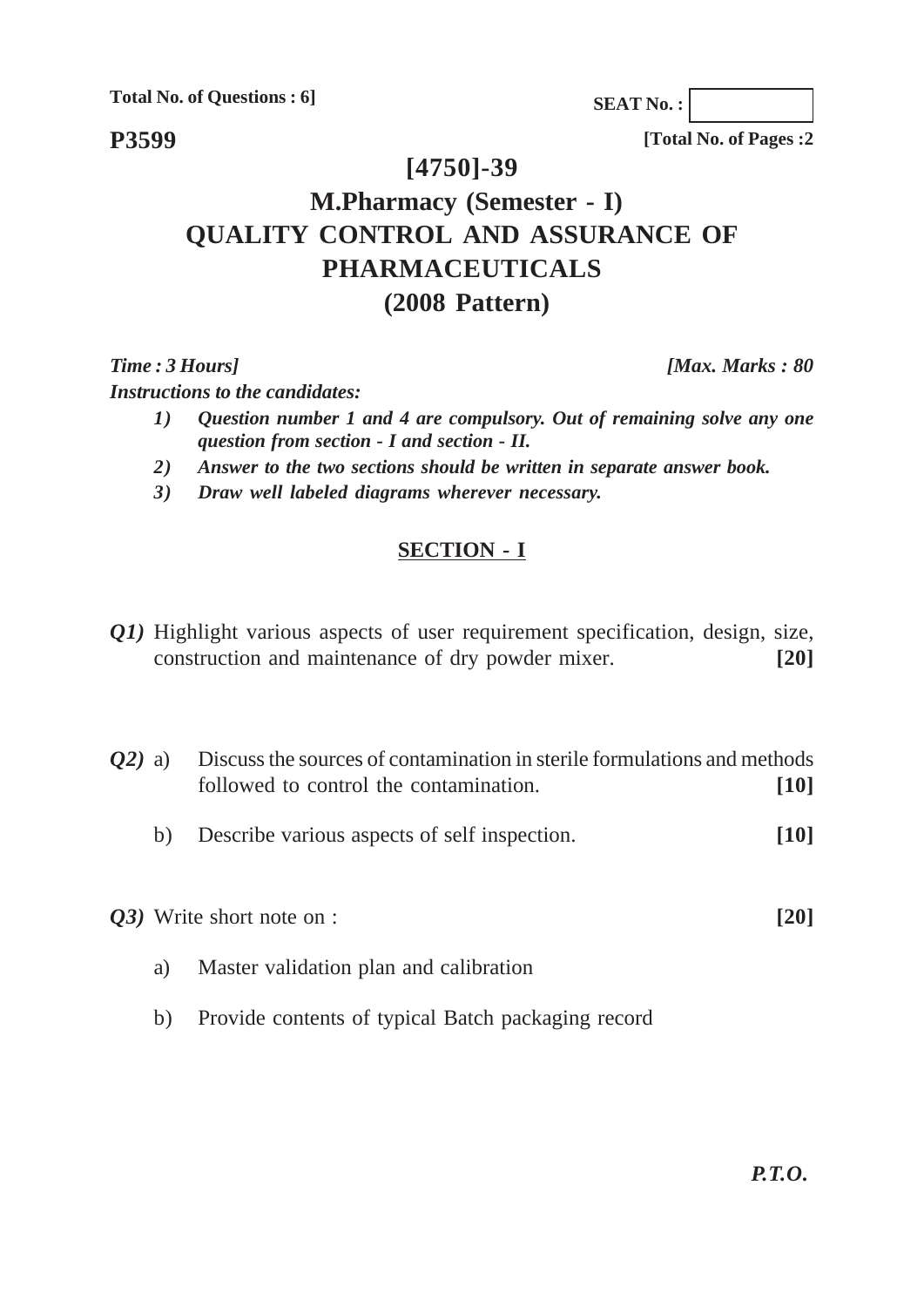**Total No. of Questions : 6]**

**P3599**

**SEAT No. :**

**[Total No. of Pages :2**

## **[4750]-39**

# **M.Pharmacy (Semester - I) QUALITY CONTROL AND ASSURANCE OF PHARMACEUTICALS (2008 Pattern)**

*Instructions to the candidates:*

- *1) Question number 1 and 4 are compulsory. Out of remaining solve any one question from section - I and section - II.*
- *2) Answer to the two sections should be written in separate answer book.*
- *3) Draw well labeled diagrams wherever necessary.*

### **SECTION - I**

*Q1*) Highlight various aspects of user requirement specification, design, size, construction and maintenance of dry powder mixer. **[20]**

*Q2*) a) Discuss the sources of contamination in sterile formulations and methods followed to control the contamination. **[10]**

b) Describe various aspects of self inspection. **[10]**

*Q3)* Write short note on : **[20]**

- a) Master validation plan and calibration
- b) Provide contents of typical Batch packaging record

*Time : 3 Hours] [Max. Marks : 80*